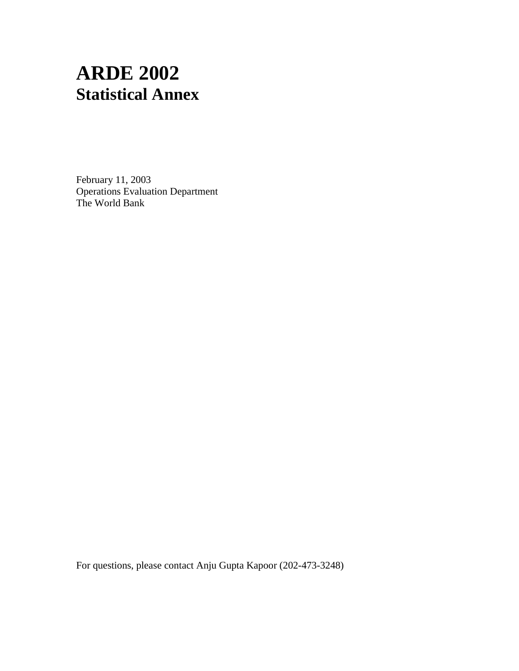# **ARDE 2002 Statistical Annex**

February 11, 2003 Operations Evaluation Department The World Bank

For questions, please contact Anju Gupta Kapoor (202-473-3248)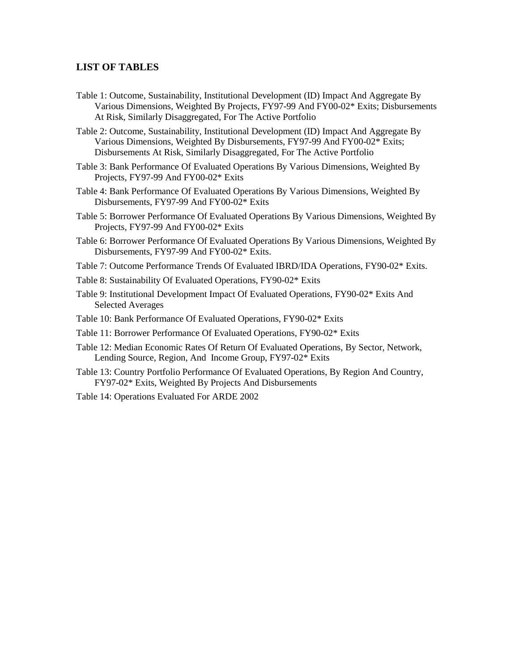## **LIST OF TABLES**

- Table 1: Outcome, Sustainability, Institutional Development (ID) Impact And Aggregate By Various Dimensions, Weighted By Projects, FY97-99 And FY00-02\* Exits; Disbursements At Risk, Similarly Disaggregated, For The Active Portfolio
- Table 2: Outcome, Sustainability, Institutional Development (ID) Impact And Aggregate By Various Dimensions, Weighted By Disbursements, FY97-99 And FY00-02\* Exits; Disbursements At Risk, Similarly Disaggregated, For The Active Portfolio
- Table 3: Bank Performance Of Evaluated Operations By Various Dimensions, Weighted By Projects, FY97-99 And FY00-02\* Exits
- Table 4: Bank Performance Of Evaluated Operations By Various Dimensions, Weighted By Disbursements, FY97-99 And FY00-02\* Exits
- Table 5: Borrower Performance Of Evaluated Operations By Various Dimensions, Weighted By Projects, FY97-99 And FY00-02\* Exits
- Table 6: Borrower Performance Of Evaluated Operations By Various Dimensions, Weighted By Disbursements, FY97-99 And FY00-02\* Exits.
- Table 7: Outcome Performance Trends Of Evaluated IBRD/IDA Operations, FY90-02\* Exits.
- Table 8: Sustainability Of Evaluated Operations, FY90-02\* Exits
- Table 9: Institutional Development Impact Of Evaluated Operations, FY90-02\* Exits And Selected Averages
- Table 10: Bank Performance Of Evaluated Operations, FY90-02\* Exits
- Table 11: Borrower Performance Of Evaluated Operations, FY90-02\* Exits
- Table 12: Median Economic Rates Of Return Of Evaluated Operations, By Sector, Network, Lending Source, Region, And Income Group, FY97-02\* Exits
- Table 13: Country Portfolio Performance Of Evaluated Operations, By Region And Country, FY97-02\* Exits, Weighted By Projects And Disbursements
- Table 14: Operations Evaluated For ARDE 2002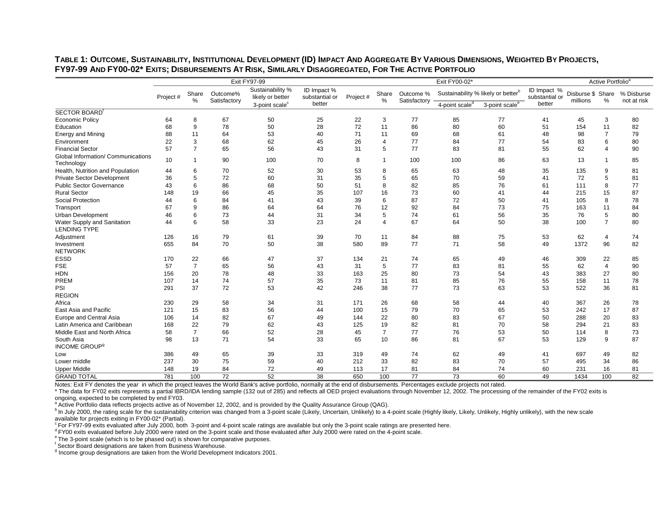|                                                  | Exit FY97-99 |                |                          |                                      |                               | Exit FY00-02* |                          |                           |                                                | Active Portfolio <sup>a</sup> |                               |                               |                |                           |
|--------------------------------------------------|--------------|----------------|--------------------------|--------------------------------------|-------------------------------|---------------|--------------------------|---------------------------|------------------------------------------------|-------------------------------|-------------------------------|-------------------------------|----------------|---------------------------|
|                                                  | Project #    | Share<br>%     | Outcome%<br>Satisfactory | Sustainability %<br>likely or better | ID Impact %<br>substantial or | Project#      | Share<br>%               | Outcome %<br>Satisfactory | Sustainability % likely or better <sup>b</sup> |                               | ID Impact %<br>substantial or | Disburse \$ Share<br>millions | %              | % Disburse<br>not at risk |
|                                                  |              |                |                          | 3-point scale <sup>c</sup>           | better                        |               |                          |                           | 4-point scale <sup>d</sup>                     | 3-point scale <sup>e</sup>    | better                        |                               |                |                           |
| SECTOR BOARD                                     |              |                |                          |                                      |                               |               |                          |                           |                                                |                               |                               |                               |                |                           |
| <b>Economic Policy</b>                           | 64           | 8              | 67                       | 50                                   | 25                            | 22            | 3                        | 77                        | 85                                             | 77                            | 41                            | 45                            | 3              | 80                        |
| Education                                        | 68           | 9              | 78                       | 50                                   | 28                            | 72            | 11                       | 86                        | 80                                             | 60                            | 51                            | 154                           | 11             | 82                        |
| Energy and Mining                                | 88           | 11             | 64                       | 53                                   | 40                            | 71            | 11                       | 69                        | 68                                             | 61                            | 48                            | 98                            | $\overline{7}$ | 79                        |
| Environment                                      | 22           | 3              | 68                       | 62                                   | 45                            | 26            | $\boldsymbol{\varDelta}$ | 77                        | 84                                             | 77                            | 54                            | 83                            | 6              | 80                        |
| <b>Financial Sector</b>                          | 57           | $\overline{7}$ | 65                       | 56                                   | 43                            | 31            | 5                        | 77                        | 83                                             | 81                            | 55                            | 62                            | $\overline{4}$ | 90                        |
| Global Information/ Communications<br>Technology | 10           | $\mathbf 1$    | 90                       | 100                                  | 70                            | 8             | -1                       | 100                       | 100                                            | 86                            | 63                            | 13                            |                | 85                        |
| Health, Nutrition and Population                 | 44           | 6              | 70                       | 52                                   | 30                            | 53            | 8                        | 65                        | 63                                             | 48                            | 35                            | 135                           | 9              | 81                        |
| <b>Private Sector Development</b>                | 36           | 5              | 72                       | 60                                   | 31                            | 35            | 5                        | 65                        | 70                                             | 59                            | 41                            | 72                            | 5              | 81                        |
| <b>Public Sector Governance</b>                  | 43           | 6              | 86                       | 68                                   | 50                            | 51            | 8                        | 82                        | 85                                             | 76                            | 61                            | 111                           | 8              | 77                        |
| <b>Rural Sector</b>                              | 148          | 19             | 66                       | 45                                   | 35                            | 107           | 16                       | 73                        | 60                                             | 41                            | 44                            | 215                           | 15             | 87                        |
| Social Protection                                | 44           | 6              | 84                       | 41                                   | 43                            | 39            | 6                        | 87                        | 72                                             | 50                            | 41                            | 105                           | 8              | 78                        |
| Transport                                        | 67           | 9              | 86                       | 64                                   | 64                            | 76            | 12                       | 92                        | 84                                             | 73                            | 75                            | 163                           | 11             | 84                        |
| <b>Urban Development</b>                         | 46           | 6              | 73                       | 44                                   | 31                            | 34            | 5                        | 74                        | 61                                             | 56                            | 35                            | 76                            | 5              | 80                        |
| Water Supply and Sanitation                      | 44           | 6              | 58                       | 33                                   | 23                            | 24            | $\boldsymbol{\varDelta}$ | 67                        | 64                                             | 50                            | 38                            | 100                           | $\overline{7}$ | 80                        |
| <b>LENDING TYPE</b>                              |              |                |                          |                                      |                               |               |                          |                           |                                                |                               |                               |                               |                |                           |
| Adjustment                                       | 126          | 16             | 79                       | 61                                   | 39                            | 70            | 11                       | 84                        | 88                                             | 75                            | 53                            | 62                            | $\overline{4}$ | 74                        |
| Investment                                       | 655          | 84             | 70                       | 50                                   | 38                            | 580           | 89                       | 77                        | 71                                             | 58                            | 49                            | 1372                          | 96             | 82                        |
| <b>NETWORK</b>                                   |              |                |                          |                                      |                               |               |                          |                           |                                                |                               |                               |                               |                |                           |
| <b>ESSD</b>                                      | 170          | 22             | 66                       | 47                                   | 37                            | 134           | 21                       | 74                        | 65                                             | 49                            | 46                            | 309                           | 22             | 85                        |
| <b>FSE</b>                                       | 57           | $\overline{7}$ | 65                       | 56                                   | 43                            | 31            | 5                        | 77                        | 83                                             | 81                            | 55                            | 62                            | 4              | 90                        |
| <b>HDN</b>                                       | 156          | 20             | 78                       | 48                                   | 33                            | 163           | 25                       | 80                        | 73                                             | 54                            | 43                            | 383                           | 27             | 80                        |
| PREM                                             | 107          | 14             | 74                       | 57                                   | 35                            | 73            | 11                       | 81                        | 85                                             | 76                            | 55                            | 158                           | 11             | 78                        |
| PSI                                              | 291          | 37             | 72                       | 53                                   | 42                            | 246           | 38                       | 77                        | 73                                             | 63                            | 53                            | 522                           | 36             | 81                        |
| <b>REGION</b>                                    |              |                |                          |                                      |                               |               |                          |                           |                                                |                               |                               |                               |                |                           |
| Africa                                           | 230          | 29             | 58                       | 34                                   | 31                            | 171           | 26                       | 68                        | 58                                             | 44                            | 40                            | 367                           | 26             | 78                        |
| East Asia and Pacific                            | 121          | 15             | 83                       | 56                                   | 44                            | 100           | 15                       | 79                        | 70                                             | 65                            | 53                            | 242                           | 17             | 87                        |
| Europe and Central Asia                          | 106          | 14             | 82                       | 67                                   | 49                            | 144           | 22                       | 80                        | 83                                             | 67                            | 50                            | 288                           | 20             | 83                        |
| Latin America and Caribbean                      | 168          | 22             | 79                       | 62                                   | 43                            | 125           | 19                       | 82                        | 81                                             | 70                            | 58                            | 294                           | 21             | 83                        |
| Middle East and North Africa                     | 58           | $\overline{7}$ | 66                       | 52                                   | 28                            | 45            | $\overline{7}$           | 77                        | 76                                             | 53                            | 50                            | 114                           | 8              | 73                        |
| South Asia                                       | 98           | 13             | 71                       | 54                                   | 33                            | 65            | 10                       | 86                        | 81                                             | 67                            | 53                            | 129                           | 9              | 87                        |
| <b>INCOME GROUP<sup>9</sup></b>                  |              |                |                          |                                      |                               |               |                          |                           |                                                |                               |                               |                               |                |                           |
| Low                                              | 386          | 49             | 65                       | 39                                   | 33                            | 319           | 49                       | 74                        | 62                                             | 49                            | 41                            | 697                           | 49             | 82                        |
| Lower middle                                     | 237          | 30             | 75                       | 59                                   | 40                            | 212           | 33                       | 82                        | 83                                             | 70                            | 57                            | 495                           | 34             | 86                        |
| <b>Upper Middle</b>                              | 148          | 19             | 84                       | 72                                   | 49                            | 113           | 17                       | 81                        | 84                                             | 74                            | 60                            | 231                           | 16             | 81                        |
| <b>GRAND TOTAL</b>                               | 781          | 100            | 72                       | 52                                   | 38                            | 650           | 100                      | 77                        | 73                                             | 60                            | 49                            | 1434                          | 100            | 82                        |
|                                                  |              |                |                          |                                      |                               |               |                          |                           |                                                |                               |                               |                               |                |                           |

**TABLE 1: OUTCOME, SUSTAINABILITY, INSTITUTIONAL DEVELOPMENT (ID) IMPACT AND AGGREGATE BY VARIOUS DIMENSIONS, WEIGHTED BY PROJECTS, FY97-99 AND FY00-02\* EXITS; DISBURSEMENTS AT RISK, SIMILARLY DISAGGREGATED, FOR THE ACTIVE PORTFOLIO**

Notes: Exit FY denotes the year in which the project leaves the World Bank's active portfolio, normally at the end of disbursements. Percentages exclude projects not rated.

\* The data for FY02 exits represents a partial IBRD/IDA lending sample (132 out of 285) and reflects all OED project evaluations through November 12, 2002. The processing of the remainder of the FY02 exits is ongoing, expected to be completed by end FY03.<br><sup>a</sup> Active Portfolio data reflects projects active as of November 12, 2002, and is provided by the Quality Assurance Group (QAG).

<sup>b</sup> In July 2000, the rating scale for the sustainability criterion was changed from a 3-point scale (Likely, Uncertain, Unlikely) to a 4-point scale (Highly likely, Likely, Unlikely, Highly unlikely), with the new scale available for projects exiting in FY00-02\* (Partial).<br>
For FY97-99 exits evaluated after July 2000, both 3-point and 4-point scale ratings are available but only the 3-point scale ratings are presented here.

<sup>d</sup> FY00 exits evaluated before July 2000 were rated on the 3-point scale and those evaluated after July 2000 were rated on the 4-point scale.<br><sup>e</sup> The 3-point scale (which is to be phased out) is shown for comparative purp

f Sector Board designations are taken from Business Warehouse.

<sup>g</sup> Income group designations are taken from the World Development Indicators 2001.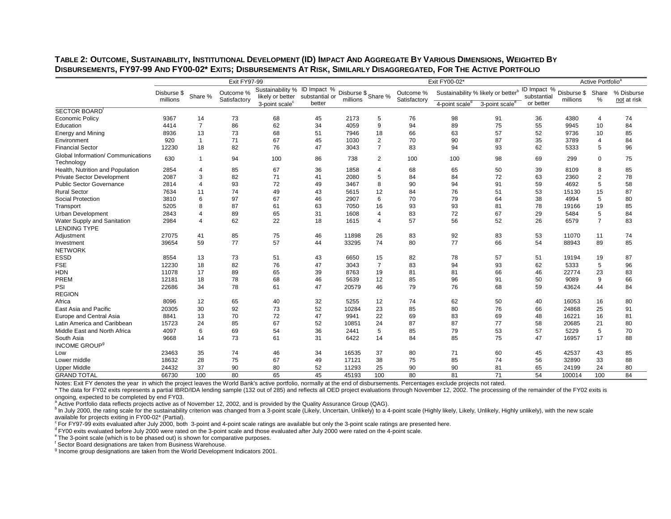| Sustainability % ID Impact %<br>ID Impact %<br>Sustainability % likely or better <sup>b</sup><br>Disburse \$ Share %<br>Outcome %<br>Disburse \$ Share<br>% Disburse<br>Disburse \$<br>Outcome %<br>Share %<br>likely or better<br>substantial or<br>substantial<br>millions<br>Satisfactory<br>$\%$<br>millions<br>Satisfactory<br>millions<br>not at risk<br>3-point scale <sup>c</sup><br>4-point scale <sup>d</sup><br>3-point scale <sup>e</sup><br>better<br>or better<br>SECTOR BOARD<br>9367<br>14<br>73<br>2173<br>98<br>74<br><b>Economic Policy</b><br>68<br>45<br>76<br>91<br>36<br>4380<br>5<br>$\overline{4}$<br>$\overline{7}$<br>86<br>62<br>9<br>94<br>75<br>84<br>4414<br>34<br>4059<br>89<br>55<br>9945<br>10<br>Education<br>73<br>85<br>13<br>51<br>18<br>66<br>63<br>57<br>52<br>10<br>8936<br>68<br>7946<br>9736<br><b>Energy and Mining</b><br>920<br>71<br>67<br>45<br>1030<br>$\overline{2}$<br>70<br>90<br>87<br>35<br>3789<br>$\overline{4}$<br>84<br>Environment<br>$\mathbf{1}$<br>$\overline{7}$<br>5<br>96<br><b>Financial Sector</b><br>12230<br>18<br>82<br>76<br>47<br>3043<br>83<br>94<br>93<br>62<br>5333<br>Global Information/ Communications<br>630<br>94<br>100<br>738<br>100<br>75<br>$\overline{1}$<br>86<br>2<br>100<br>98<br>69<br>299<br>$\mathbf 0$<br>2854<br>85<br>67<br>36<br>1858<br>65<br>50<br>39<br>8109<br>8<br>85<br>$\overline{4}$<br>68<br>3<br>82<br>2080<br>84<br>84<br>2360<br>$\overline{2}$<br>78<br>2087<br>71<br>41<br>5<br>72<br>63<br>93<br>72<br>5<br>58<br>2814<br>$\overline{4}$<br>49<br>3467<br>8<br>90<br>94<br>91<br>59<br>4692<br>74<br>49<br>43<br>12<br>84<br>76<br>53<br>15<br>87<br>7634<br>11<br>5615<br>51<br>15130<br>97<br>5<br>80<br>6<br>67<br>46<br>2907<br>6<br>70<br>79<br>64<br>38<br>4994<br>3810<br>87<br>63<br>16<br>93<br>19<br>85<br>5205<br>8<br>7050<br>93<br>81<br>78<br>19166<br>61<br>5<br>84<br>89<br>31<br>83<br>72<br>67<br>29<br>2843<br>65<br>1608<br>5484<br>4<br>$\overline{4}$<br>$\overline{7}$<br>83<br>62<br>22<br>18<br>1615<br>57<br>56<br>52<br>26<br>6579<br>2984<br>$\overline{\mathbf{A}}$<br>$\boldsymbol{\varLambda}$<br><b>LENDING TYPE</b><br>27075<br>41<br>85<br>75<br>46<br>11898<br>26<br>83<br>92<br>83<br>53<br>11<br>74<br>11070<br>Adjustment<br>77<br>57<br>77<br>85<br>44<br>74<br>80<br>66<br>54<br>89<br>39654<br>59<br>33295<br>88943<br>Investment<br><b>NETWORK</b><br><b>ESSD</b><br>73<br>6650<br>15<br>78<br>57<br>87<br>8554<br>13<br>51<br>43<br>82<br>51<br>19194<br>19<br><b>FSE</b><br>18<br>82<br>76<br>5<br>96<br>12230<br>47<br>3043<br>$\overline{7}$<br>83<br>94<br>93<br>62<br>5333<br><b>HDN</b><br>11078<br>17<br>89<br>65<br>39<br>8763<br>19<br>81<br>66<br>22774<br>23<br>83<br>81<br>46<br>78<br>9<br>66<br>18<br>68<br>46<br>5639<br>12<br>85<br>96<br>91<br>50<br>9089<br>12181<br>78<br>47<br>20579<br>79<br>76<br>84<br>22686<br>34<br>46<br>68<br>59<br>43624<br>44<br>61<br>12<br>40<br>32<br>5255<br>12<br>62<br>50<br>16<br>80<br>8096<br>65<br>74<br>40<br>16053<br>92<br>25<br>30<br>73<br>52<br>10284<br>23<br>85<br>80<br>76<br>24868<br>91<br>20305<br>66<br>70<br>72<br>16<br>81<br>8841<br>13<br>47<br>9941<br>22<br>69<br>83<br>69<br>48<br>16221<br>Latin America and Caribbean<br>15723<br>85<br>67<br>52<br>87<br>77<br>80<br>24<br>10851<br>24<br>87<br>58<br>20685<br>21<br>70<br>6<br>69<br>36<br>85<br>79<br>57<br>5<br>4097<br>54<br>2441<br>5<br>53<br>5229<br>73<br>14<br>84<br>85<br>75<br>47<br>17<br>88<br>9668<br>14<br>61<br>31<br>6422<br>16957<br>74<br>34<br>16535<br>23463<br>35<br>46<br>37<br>80<br>71<br>60<br>45<br>42537<br>43<br>85<br>18632<br>28<br>75<br>49<br>38<br>85<br>32890<br>33<br>88<br>67<br>17121<br>75<br>74<br>56<br>37<br>90<br>90<br>80<br><b>Upper Middle</b><br>80<br>52<br>11293<br>25<br>90<br>81<br>65<br>24199<br>24<br>24432<br>71<br>100<br>80<br>65<br>45<br>100<br>80<br>81<br>54<br>84<br>66730<br>45193<br>100014<br>100 |                                  | Exit FY97-99 |  |  |  |  |  | Exit FY00-02* | Active Portfolio <sup>a</sup> |  |  |  |
|-----------------------------------------------------------------------------------------------------------------------------------------------------------------------------------------------------------------------------------------------------------------------------------------------------------------------------------------------------------------------------------------------------------------------------------------------------------------------------------------------------------------------------------------------------------------------------------------------------------------------------------------------------------------------------------------------------------------------------------------------------------------------------------------------------------------------------------------------------------------------------------------------------------------------------------------------------------------------------------------------------------------------------------------------------------------------------------------------------------------------------------------------------------------------------------------------------------------------------------------------------------------------------------------------------------------------------------------------------------------------------------------------------------------------------------------------------------------------------------------------------------------------------------------------------------------------------------------------------------------------------------------------------------------------------------------------------------------------------------------------------------------------------------------------------------------------------------------------------------------------------------------------------------------------------------------------------------------------------------------------------------------------------------------------------------------------------------------------------------------------------------------------------------------------------------------------------------------------------------------------------------------------------------------------------------------------------------------------------------------------------------------------------------------------------------------------------------------------------------------------------------------------------------------------------------------------------------------------------------------------------------------------------------------------------------------------------------------------------------------------------------------------------------------------------------------------------------------------------------------------------------------------------------------------------------------------------------------------------------------------------------------------------------------------------------------------------------------------------------------------------------------------------------------------------------------------------------------------------------------------------------------------------------------------------------------------------------------------------------------------------------------------------------------------------------------------------------------------------------------------------------------------------------------------------------------------------------------------------------------------------------------------------------------------------------------------------------------------------------------------------------------------------------------------------------------------------------------------------------------------------------------------------------------------------------------------------------|----------------------------------|--------------|--|--|--|--|--|---------------|-------------------------------|--|--|--|
|                                                                                                                                                                                                                                                                                                                                                                                                                                                                                                                                                                                                                                                                                                                                                                                                                                                                                                                                                                                                                                                                                                                                                                                                                                                                                                                                                                                                                                                                                                                                                                                                                                                                                                                                                                                                                                                                                                                                                                                                                                                                                                                                                                                                                                                                                                                                                                                                                                                                                                                                                                                                                                                                                                                                                                                                                                                                                                                                                                                                                                                                                                                                                                                                                                                                                                                                                                                                                                                                                                                                                                                                                                                                                                                                                                                                                                                                                                                                                           |                                  |              |  |  |  |  |  |               |                               |  |  |  |
|                                                                                                                                                                                                                                                                                                                                                                                                                                                                                                                                                                                                                                                                                                                                                                                                                                                                                                                                                                                                                                                                                                                                                                                                                                                                                                                                                                                                                                                                                                                                                                                                                                                                                                                                                                                                                                                                                                                                                                                                                                                                                                                                                                                                                                                                                                                                                                                                                                                                                                                                                                                                                                                                                                                                                                                                                                                                                                                                                                                                                                                                                                                                                                                                                                                                                                                                                                                                                                                                                                                                                                                                                                                                                                                                                                                                                                                                                                                                                           |                                  |              |  |  |  |  |  |               |                               |  |  |  |
|                                                                                                                                                                                                                                                                                                                                                                                                                                                                                                                                                                                                                                                                                                                                                                                                                                                                                                                                                                                                                                                                                                                                                                                                                                                                                                                                                                                                                                                                                                                                                                                                                                                                                                                                                                                                                                                                                                                                                                                                                                                                                                                                                                                                                                                                                                                                                                                                                                                                                                                                                                                                                                                                                                                                                                                                                                                                                                                                                                                                                                                                                                                                                                                                                                                                                                                                                                                                                                                                                                                                                                                                                                                                                                                                                                                                                                                                                                                                                           |                                  |              |  |  |  |  |  |               |                               |  |  |  |
|                                                                                                                                                                                                                                                                                                                                                                                                                                                                                                                                                                                                                                                                                                                                                                                                                                                                                                                                                                                                                                                                                                                                                                                                                                                                                                                                                                                                                                                                                                                                                                                                                                                                                                                                                                                                                                                                                                                                                                                                                                                                                                                                                                                                                                                                                                                                                                                                                                                                                                                                                                                                                                                                                                                                                                                                                                                                                                                                                                                                                                                                                                                                                                                                                                                                                                                                                                                                                                                                                                                                                                                                                                                                                                                                                                                                                                                                                                                                                           |                                  |              |  |  |  |  |  |               |                               |  |  |  |
|                                                                                                                                                                                                                                                                                                                                                                                                                                                                                                                                                                                                                                                                                                                                                                                                                                                                                                                                                                                                                                                                                                                                                                                                                                                                                                                                                                                                                                                                                                                                                                                                                                                                                                                                                                                                                                                                                                                                                                                                                                                                                                                                                                                                                                                                                                                                                                                                                                                                                                                                                                                                                                                                                                                                                                                                                                                                                                                                                                                                                                                                                                                                                                                                                                                                                                                                                                                                                                                                                                                                                                                                                                                                                                                                                                                                                                                                                                                                                           |                                  |              |  |  |  |  |  |               |                               |  |  |  |
|                                                                                                                                                                                                                                                                                                                                                                                                                                                                                                                                                                                                                                                                                                                                                                                                                                                                                                                                                                                                                                                                                                                                                                                                                                                                                                                                                                                                                                                                                                                                                                                                                                                                                                                                                                                                                                                                                                                                                                                                                                                                                                                                                                                                                                                                                                                                                                                                                                                                                                                                                                                                                                                                                                                                                                                                                                                                                                                                                                                                                                                                                                                                                                                                                                                                                                                                                                                                                                                                                                                                                                                                                                                                                                                                                                                                                                                                                                                                                           |                                  |              |  |  |  |  |  |               |                               |  |  |  |
|                                                                                                                                                                                                                                                                                                                                                                                                                                                                                                                                                                                                                                                                                                                                                                                                                                                                                                                                                                                                                                                                                                                                                                                                                                                                                                                                                                                                                                                                                                                                                                                                                                                                                                                                                                                                                                                                                                                                                                                                                                                                                                                                                                                                                                                                                                                                                                                                                                                                                                                                                                                                                                                                                                                                                                                                                                                                                                                                                                                                                                                                                                                                                                                                                                                                                                                                                                                                                                                                                                                                                                                                                                                                                                                                                                                                                                                                                                                                                           |                                  |              |  |  |  |  |  |               |                               |  |  |  |
|                                                                                                                                                                                                                                                                                                                                                                                                                                                                                                                                                                                                                                                                                                                                                                                                                                                                                                                                                                                                                                                                                                                                                                                                                                                                                                                                                                                                                                                                                                                                                                                                                                                                                                                                                                                                                                                                                                                                                                                                                                                                                                                                                                                                                                                                                                                                                                                                                                                                                                                                                                                                                                                                                                                                                                                                                                                                                                                                                                                                                                                                                                                                                                                                                                                                                                                                                                                                                                                                                                                                                                                                                                                                                                                                                                                                                                                                                                                                                           |                                  |              |  |  |  |  |  |               |                               |  |  |  |
|                                                                                                                                                                                                                                                                                                                                                                                                                                                                                                                                                                                                                                                                                                                                                                                                                                                                                                                                                                                                                                                                                                                                                                                                                                                                                                                                                                                                                                                                                                                                                                                                                                                                                                                                                                                                                                                                                                                                                                                                                                                                                                                                                                                                                                                                                                                                                                                                                                                                                                                                                                                                                                                                                                                                                                                                                                                                                                                                                                                                                                                                                                                                                                                                                                                                                                                                                                                                                                                                                                                                                                                                                                                                                                                                                                                                                                                                                                                                                           | Technology                       |              |  |  |  |  |  |               |                               |  |  |  |
|                                                                                                                                                                                                                                                                                                                                                                                                                                                                                                                                                                                                                                                                                                                                                                                                                                                                                                                                                                                                                                                                                                                                                                                                                                                                                                                                                                                                                                                                                                                                                                                                                                                                                                                                                                                                                                                                                                                                                                                                                                                                                                                                                                                                                                                                                                                                                                                                                                                                                                                                                                                                                                                                                                                                                                                                                                                                                                                                                                                                                                                                                                                                                                                                                                                                                                                                                                                                                                                                                                                                                                                                                                                                                                                                                                                                                                                                                                                                                           | Health, Nutrition and Population |              |  |  |  |  |  |               |                               |  |  |  |
|                                                                                                                                                                                                                                                                                                                                                                                                                                                                                                                                                                                                                                                                                                                                                                                                                                                                                                                                                                                                                                                                                                                                                                                                                                                                                                                                                                                                                                                                                                                                                                                                                                                                                                                                                                                                                                                                                                                                                                                                                                                                                                                                                                                                                                                                                                                                                                                                                                                                                                                                                                                                                                                                                                                                                                                                                                                                                                                                                                                                                                                                                                                                                                                                                                                                                                                                                                                                                                                                                                                                                                                                                                                                                                                                                                                                                                                                                                                                                           | Private Sector Development       |              |  |  |  |  |  |               |                               |  |  |  |
|                                                                                                                                                                                                                                                                                                                                                                                                                                                                                                                                                                                                                                                                                                                                                                                                                                                                                                                                                                                                                                                                                                                                                                                                                                                                                                                                                                                                                                                                                                                                                                                                                                                                                                                                                                                                                                                                                                                                                                                                                                                                                                                                                                                                                                                                                                                                                                                                                                                                                                                                                                                                                                                                                                                                                                                                                                                                                                                                                                                                                                                                                                                                                                                                                                                                                                                                                                                                                                                                                                                                                                                                                                                                                                                                                                                                                                                                                                                                                           | <b>Public Sector Governance</b>  |              |  |  |  |  |  |               |                               |  |  |  |
|                                                                                                                                                                                                                                                                                                                                                                                                                                                                                                                                                                                                                                                                                                                                                                                                                                                                                                                                                                                                                                                                                                                                                                                                                                                                                                                                                                                                                                                                                                                                                                                                                                                                                                                                                                                                                                                                                                                                                                                                                                                                                                                                                                                                                                                                                                                                                                                                                                                                                                                                                                                                                                                                                                                                                                                                                                                                                                                                                                                                                                                                                                                                                                                                                                                                                                                                                                                                                                                                                                                                                                                                                                                                                                                                                                                                                                                                                                                                                           | <b>Rural Sector</b>              |              |  |  |  |  |  |               |                               |  |  |  |
|                                                                                                                                                                                                                                                                                                                                                                                                                                                                                                                                                                                                                                                                                                                                                                                                                                                                                                                                                                                                                                                                                                                                                                                                                                                                                                                                                                                                                                                                                                                                                                                                                                                                                                                                                                                                                                                                                                                                                                                                                                                                                                                                                                                                                                                                                                                                                                                                                                                                                                                                                                                                                                                                                                                                                                                                                                                                                                                                                                                                                                                                                                                                                                                                                                                                                                                                                                                                                                                                                                                                                                                                                                                                                                                                                                                                                                                                                                                                                           | Social Protection                |              |  |  |  |  |  |               |                               |  |  |  |
|                                                                                                                                                                                                                                                                                                                                                                                                                                                                                                                                                                                                                                                                                                                                                                                                                                                                                                                                                                                                                                                                                                                                                                                                                                                                                                                                                                                                                                                                                                                                                                                                                                                                                                                                                                                                                                                                                                                                                                                                                                                                                                                                                                                                                                                                                                                                                                                                                                                                                                                                                                                                                                                                                                                                                                                                                                                                                                                                                                                                                                                                                                                                                                                                                                                                                                                                                                                                                                                                                                                                                                                                                                                                                                                                                                                                                                                                                                                                                           | Transport                        |              |  |  |  |  |  |               |                               |  |  |  |
|                                                                                                                                                                                                                                                                                                                                                                                                                                                                                                                                                                                                                                                                                                                                                                                                                                                                                                                                                                                                                                                                                                                                                                                                                                                                                                                                                                                                                                                                                                                                                                                                                                                                                                                                                                                                                                                                                                                                                                                                                                                                                                                                                                                                                                                                                                                                                                                                                                                                                                                                                                                                                                                                                                                                                                                                                                                                                                                                                                                                                                                                                                                                                                                                                                                                                                                                                                                                                                                                                                                                                                                                                                                                                                                                                                                                                                                                                                                                                           | <b>Urban Development</b>         |              |  |  |  |  |  |               |                               |  |  |  |
|                                                                                                                                                                                                                                                                                                                                                                                                                                                                                                                                                                                                                                                                                                                                                                                                                                                                                                                                                                                                                                                                                                                                                                                                                                                                                                                                                                                                                                                                                                                                                                                                                                                                                                                                                                                                                                                                                                                                                                                                                                                                                                                                                                                                                                                                                                                                                                                                                                                                                                                                                                                                                                                                                                                                                                                                                                                                                                                                                                                                                                                                                                                                                                                                                                                                                                                                                                                                                                                                                                                                                                                                                                                                                                                                                                                                                                                                                                                                                           | Water Supply and Sanitation      |              |  |  |  |  |  |               |                               |  |  |  |
|                                                                                                                                                                                                                                                                                                                                                                                                                                                                                                                                                                                                                                                                                                                                                                                                                                                                                                                                                                                                                                                                                                                                                                                                                                                                                                                                                                                                                                                                                                                                                                                                                                                                                                                                                                                                                                                                                                                                                                                                                                                                                                                                                                                                                                                                                                                                                                                                                                                                                                                                                                                                                                                                                                                                                                                                                                                                                                                                                                                                                                                                                                                                                                                                                                                                                                                                                                                                                                                                                                                                                                                                                                                                                                                                                                                                                                                                                                                                                           |                                  |              |  |  |  |  |  |               |                               |  |  |  |
|                                                                                                                                                                                                                                                                                                                                                                                                                                                                                                                                                                                                                                                                                                                                                                                                                                                                                                                                                                                                                                                                                                                                                                                                                                                                                                                                                                                                                                                                                                                                                                                                                                                                                                                                                                                                                                                                                                                                                                                                                                                                                                                                                                                                                                                                                                                                                                                                                                                                                                                                                                                                                                                                                                                                                                                                                                                                                                                                                                                                                                                                                                                                                                                                                                                                                                                                                                                                                                                                                                                                                                                                                                                                                                                                                                                                                                                                                                                                                           |                                  |              |  |  |  |  |  |               |                               |  |  |  |
|                                                                                                                                                                                                                                                                                                                                                                                                                                                                                                                                                                                                                                                                                                                                                                                                                                                                                                                                                                                                                                                                                                                                                                                                                                                                                                                                                                                                                                                                                                                                                                                                                                                                                                                                                                                                                                                                                                                                                                                                                                                                                                                                                                                                                                                                                                                                                                                                                                                                                                                                                                                                                                                                                                                                                                                                                                                                                                                                                                                                                                                                                                                                                                                                                                                                                                                                                                                                                                                                                                                                                                                                                                                                                                                                                                                                                                                                                                                                                           |                                  |              |  |  |  |  |  |               |                               |  |  |  |
|                                                                                                                                                                                                                                                                                                                                                                                                                                                                                                                                                                                                                                                                                                                                                                                                                                                                                                                                                                                                                                                                                                                                                                                                                                                                                                                                                                                                                                                                                                                                                                                                                                                                                                                                                                                                                                                                                                                                                                                                                                                                                                                                                                                                                                                                                                                                                                                                                                                                                                                                                                                                                                                                                                                                                                                                                                                                                                                                                                                                                                                                                                                                                                                                                                                                                                                                                                                                                                                                                                                                                                                                                                                                                                                                                                                                                                                                                                                                                           |                                  |              |  |  |  |  |  |               |                               |  |  |  |
|                                                                                                                                                                                                                                                                                                                                                                                                                                                                                                                                                                                                                                                                                                                                                                                                                                                                                                                                                                                                                                                                                                                                                                                                                                                                                                                                                                                                                                                                                                                                                                                                                                                                                                                                                                                                                                                                                                                                                                                                                                                                                                                                                                                                                                                                                                                                                                                                                                                                                                                                                                                                                                                                                                                                                                                                                                                                                                                                                                                                                                                                                                                                                                                                                                                                                                                                                                                                                                                                                                                                                                                                                                                                                                                                                                                                                                                                                                                                                           |                                  |              |  |  |  |  |  |               |                               |  |  |  |
|                                                                                                                                                                                                                                                                                                                                                                                                                                                                                                                                                                                                                                                                                                                                                                                                                                                                                                                                                                                                                                                                                                                                                                                                                                                                                                                                                                                                                                                                                                                                                                                                                                                                                                                                                                                                                                                                                                                                                                                                                                                                                                                                                                                                                                                                                                                                                                                                                                                                                                                                                                                                                                                                                                                                                                                                                                                                                                                                                                                                                                                                                                                                                                                                                                                                                                                                                                                                                                                                                                                                                                                                                                                                                                                                                                                                                                                                                                                                                           |                                  |              |  |  |  |  |  |               |                               |  |  |  |
|                                                                                                                                                                                                                                                                                                                                                                                                                                                                                                                                                                                                                                                                                                                                                                                                                                                                                                                                                                                                                                                                                                                                                                                                                                                                                                                                                                                                                                                                                                                                                                                                                                                                                                                                                                                                                                                                                                                                                                                                                                                                                                                                                                                                                                                                                                                                                                                                                                                                                                                                                                                                                                                                                                                                                                                                                                                                                                                                                                                                                                                                                                                                                                                                                                                                                                                                                                                                                                                                                                                                                                                                                                                                                                                                                                                                                                                                                                                                                           | PREM                             |              |  |  |  |  |  |               |                               |  |  |  |
|                                                                                                                                                                                                                                                                                                                                                                                                                                                                                                                                                                                                                                                                                                                                                                                                                                                                                                                                                                                                                                                                                                                                                                                                                                                                                                                                                                                                                                                                                                                                                                                                                                                                                                                                                                                                                                                                                                                                                                                                                                                                                                                                                                                                                                                                                                                                                                                                                                                                                                                                                                                                                                                                                                                                                                                                                                                                                                                                                                                                                                                                                                                                                                                                                                                                                                                                                                                                                                                                                                                                                                                                                                                                                                                                                                                                                                                                                                                                                           | PSI                              |              |  |  |  |  |  |               |                               |  |  |  |
|                                                                                                                                                                                                                                                                                                                                                                                                                                                                                                                                                                                                                                                                                                                                                                                                                                                                                                                                                                                                                                                                                                                                                                                                                                                                                                                                                                                                                                                                                                                                                                                                                                                                                                                                                                                                                                                                                                                                                                                                                                                                                                                                                                                                                                                                                                                                                                                                                                                                                                                                                                                                                                                                                                                                                                                                                                                                                                                                                                                                                                                                                                                                                                                                                                                                                                                                                                                                                                                                                                                                                                                                                                                                                                                                                                                                                                                                                                                                                           | <b>REGION</b>                    |              |  |  |  |  |  |               |                               |  |  |  |
|                                                                                                                                                                                                                                                                                                                                                                                                                                                                                                                                                                                                                                                                                                                                                                                                                                                                                                                                                                                                                                                                                                                                                                                                                                                                                                                                                                                                                                                                                                                                                                                                                                                                                                                                                                                                                                                                                                                                                                                                                                                                                                                                                                                                                                                                                                                                                                                                                                                                                                                                                                                                                                                                                                                                                                                                                                                                                                                                                                                                                                                                                                                                                                                                                                                                                                                                                                                                                                                                                                                                                                                                                                                                                                                                                                                                                                                                                                                                                           | Africa                           |              |  |  |  |  |  |               |                               |  |  |  |
|                                                                                                                                                                                                                                                                                                                                                                                                                                                                                                                                                                                                                                                                                                                                                                                                                                                                                                                                                                                                                                                                                                                                                                                                                                                                                                                                                                                                                                                                                                                                                                                                                                                                                                                                                                                                                                                                                                                                                                                                                                                                                                                                                                                                                                                                                                                                                                                                                                                                                                                                                                                                                                                                                                                                                                                                                                                                                                                                                                                                                                                                                                                                                                                                                                                                                                                                                                                                                                                                                                                                                                                                                                                                                                                                                                                                                                                                                                                                                           | East Asia and Pacific            |              |  |  |  |  |  |               |                               |  |  |  |
|                                                                                                                                                                                                                                                                                                                                                                                                                                                                                                                                                                                                                                                                                                                                                                                                                                                                                                                                                                                                                                                                                                                                                                                                                                                                                                                                                                                                                                                                                                                                                                                                                                                                                                                                                                                                                                                                                                                                                                                                                                                                                                                                                                                                                                                                                                                                                                                                                                                                                                                                                                                                                                                                                                                                                                                                                                                                                                                                                                                                                                                                                                                                                                                                                                                                                                                                                                                                                                                                                                                                                                                                                                                                                                                                                                                                                                                                                                                                                           | Europe and Central Asia          |              |  |  |  |  |  |               |                               |  |  |  |
|                                                                                                                                                                                                                                                                                                                                                                                                                                                                                                                                                                                                                                                                                                                                                                                                                                                                                                                                                                                                                                                                                                                                                                                                                                                                                                                                                                                                                                                                                                                                                                                                                                                                                                                                                                                                                                                                                                                                                                                                                                                                                                                                                                                                                                                                                                                                                                                                                                                                                                                                                                                                                                                                                                                                                                                                                                                                                                                                                                                                                                                                                                                                                                                                                                                                                                                                                                                                                                                                                                                                                                                                                                                                                                                                                                                                                                                                                                                                                           |                                  |              |  |  |  |  |  |               |                               |  |  |  |
|                                                                                                                                                                                                                                                                                                                                                                                                                                                                                                                                                                                                                                                                                                                                                                                                                                                                                                                                                                                                                                                                                                                                                                                                                                                                                                                                                                                                                                                                                                                                                                                                                                                                                                                                                                                                                                                                                                                                                                                                                                                                                                                                                                                                                                                                                                                                                                                                                                                                                                                                                                                                                                                                                                                                                                                                                                                                                                                                                                                                                                                                                                                                                                                                                                                                                                                                                                                                                                                                                                                                                                                                                                                                                                                                                                                                                                                                                                                                                           | Middle East and North Africa     |              |  |  |  |  |  |               |                               |  |  |  |
|                                                                                                                                                                                                                                                                                                                                                                                                                                                                                                                                                                                                                                                                                                                                                                                                                                                                                                                                                                                                                                                                                                                                                                                                                                                                                                                                                                                                                                                                                                                                                                                                                                                                                                                                                                                                                                                                                                                                                                                                                                                                                                                                                                                                                                                                                                                                                                                                                                                                                                                                                                                                                                                                                                                                                                                                                                                                                                                                                                                                                                                                                                                                                                                                                                                                                                                                                                                                                                                                                                                                                                                                                                                                                                                                                                                                                                                                                                                                                           | South Asia                       |              |  |  |  |  |  |               |                               |  |  |  |
|                                                                                                                                                                                                                                                                                                                                                                                                                                                                                                                                                                                                                                                                                                                                                                                                                                                                                                                                                                                                                                                                                                                                                                                                                                                                                                                                                                                                                                                                                                                                                                                                                                                                                                                                                                                                                                                                                                                                                                                                                                                                                                                                                                                                                                                                                                                                                                                                                                                                                                                                                                                                                                                                                                                                                                                                                                                                                                                                                                                                                                                                                                                                                                                                                                                                                                                                                                                                                                                                                                                                                                                                                                                                                                                                                                                                                                                                                                                                                           | <b>INCOME GROUP<sup>9</sup></b>  |              |  |  |  |  |  |               |                               |  |  |  |
|                                                                                                                                                                                                                                                                                                                                                                                                                                                                                                                                                                                                                                                                                                                                                                                                                                                                                                                                                                                                                                                                                                                                                                                                                                                                                                                                                                                                                                                                                                                                                                                                                                                                                                                                                                                                                                                                                                                                                                                                                                                                                                                                                                                                                                                                                                                                                                                                                                                                                                                                                                                                                                                                                                                                                                                                                                                                                                                                                                                                                                                                                                                                                                                                                                                                                                                                                                                                                                                                                                                                                                                                                                                                                                                                                                                                                                                                                                                                                           | Low                              |              |  |  |  |  |  |               |                               |  |  |  |
|                                                                                                                                                                                                                                                                                                                                                                                                                                                                                                                                                                                                                                                                                                                                                                                                                                                                                                                                                                                                                                                                                                                                                                                                                                                                                                                                                                                                                                                                                                                                                                                                                                                                                                                                                                                                                                                                                                                                                                                                                                                                                                                                                                                                                                                                                                                                                                                                                                                                                                                                                                                                                                                                                                                                                                                                                                                                                                                                                                                                                                                                                                                                                                                                                                                                                                                                                                                                                                                                                                                                                                                                                                                                                                                                                                                                                                                                                                                                                           | Lower middle                     |              |  |  |  |  |  |               |                               |  |  |  |
|                                                                                                                                                                                                                                                                                                                                                                                                                                                                                                                                                                                                                                                                                                                                                                                                                                                                                                                                                                                                                                                                                                                                                                                                                                                                                                                                                                                                                                                                                                                                                                                                                                                                                                                                                                                                                                                                                                                                                                                                                                                                                                                                                                                                                                                                                                                                                                                                                                                                                                                                                                                                                                                                                                                                                                                                                                                                                                                                                                                                                                                                                                                                                                                                                                                                                                                                                                                                                                                                                                                                                                                                                                                                                                                                                                                                                                                                                                                                                           |                                  |              |  |  |  |  |  |               |                               |  |  |  |
|                                                                                                                                                                                                                                                                                                                                                                                                                                                                                                                                                                                                                                                                                                                                                                                                                                                                                                                                                                                                                                                                                                                                                                                                                                                                                                                                                                                                                                                                                                                                                                                                                                                                                                                                                                                                                                                                                                                                                                                                                                                                                                                                                                                                                                                                                                                                                                                                                                                                                                                                                                                                                                                                                                                                                                                                                                                                                                                                                                                                                                                                                                                                                                                                                                                                                                                                                                                                                                                                                                                                                                                                                                                                                                                                                                                                                                                                                                                                                           | <b>GRAND TOTAL</b>               |              |  |  |  |  |  |               |                               |  |  |  |

### **TABLE 2: OUTCOME, SUSTAINABILITY, INSTITUTIONAL DEVELOPMENT (ID) IMPACT AND AGGREGATE BY VARIOUS DIMENSIONS, WEIGHTED BY DISBURSEMENTS, FY97-99 AND FY00-02\* EXITS; DISBURSEMENTS AT RISK, SIMILARLY DISAGGREGATED, FOR THE ACTIVE PORTFOLIO**

Notes: Exit FY denotes the year in which the project leaves the World Bank's active portfolio, normally at the end of disbursements. Percentages exclude projects not rated.

\* The data for FY02 exits represents a partial IBRD/IDA lending sample (132 out of 285) and reflects all OED project evaluations through November 12, 2002. The processing of the remainder of the FY02 exits is ongoing, expected to be completed by end FY03.<br><sup>a</sup> Active Portfolio data reflects projects active as of November 12, 2002, and is provided by the Quality Assurance Group (QAG).

<sup>b</sup> In July 2000, the rating scale for the sustainability criterion was changed from a 3-point scale (Likely, Uncertain, Unlikely) to a 4-point scale (Highly likely, Likely, Unlikely, Highly unlikely), with the new scale available for projects exiting in FY00-02\* (Partial).<br>
For FY97-99 exits evaluated after July 2000, both 3-point and 4-point scale ratings are available but only the 3-point scale ratings are presented here.

<sup>d</sup> FY00 exits evaluated before July 2000 were rated on the 3-point scale and those evaluated after July 2000 were rated on the 4-point scale.<br>
<sup>e</sup> The 3-point scale (which is to be phased out) is shown for comparative pur

<sup>f</sup> Sector Board designations are taken from Business Warehouse.

<sup>g</sup> Income group designations are taken from the World Development Indicators 2001.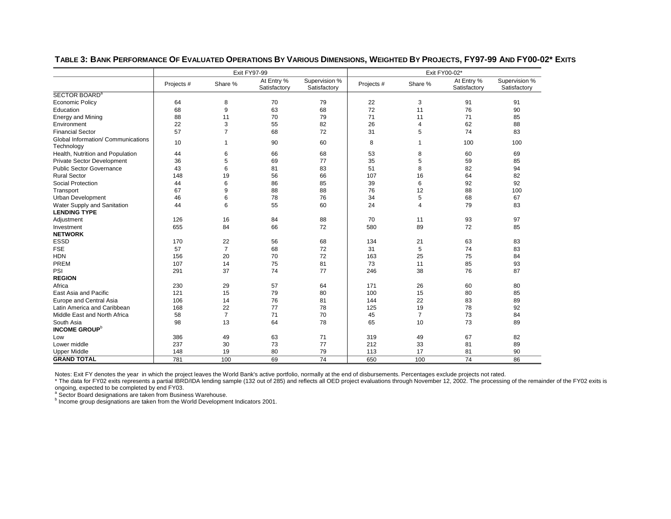|                                    |            |                | <b>Exit FY97-99</b>        |                               | Exit FY00-02* |                |                            |                               |  |
|------------------------------------|------------|----------------|----------------------------|-------------------------------|---------------|----------------|----------------------------|-------------------------------|--|
|                                    | Projects # | Share %        | At Entry %<br>Satisfactory | Supervision %<br>Satisfactory | Projects #    | Share %        | At Entry %<br>Satisfactory | Supervision %<br>Satisfactory |  |
| SECTOR BOARD <sup>a</sup>          |            |                |                            |                               |               |                |                            |                               |  |
| <b>Economic Policy</b>             | 64         | 8              | 70                         | 79                            | 22            | 3              | 91                         | 91                            |  |
| Education                          | 68         | 9              | 63                         | 68                            | 72            | 11             | 76                         | 90                            |  |
| <b>Energy and Mining</b>           | 88         | 11             | 70                         | 79                            | 71            | 11             | 71                         | 85                            |  |
| Environment                        | 22         | 3              | 55                         | 82                            | 26            | 4              | 62                         | 88                            |  |
| <b>Financial Sector</b>            | 57         | $\overline{7}$ | 68                         | 72                            | 31            | 5              | 74                         | 83                            |  |
| Global Information/ Communications | 10         | 1              | 90                         | 60                            | 8             | 1              | 100                        | 100                           |  |
| Technology                         |            |                |                            |                               |               |                |                            |                               |  |
| Health, Nutrition and Population   | 44         | 6              | 66                         | 68                            | 53            | 8              | 60                         | 69                            |  |
| Private Sector Development         | 36         | 5              | 69                         | 77                            | 35            | 5              | 59                         | 85                            |  |
| <b>Public Sector Governance</b>    | 43         | 6              | 81                         | 83                            | 51            | 8              | 82                         | 94                            |  |
| <b>Rural Sector</b>                | 148        | 19             | 56                         | 66                            | 107           | 16             | 64                         | 82                            |  |
| Social Protection                  | 44         | 6              | 86                         | 85                            | 39            | 6              | 92                         | 92                            |  |
| Transport                          | 67         | 9              | 88                         | 88                            | 76            | 12             | 88                         | 100                           |  |
| Urban Development                  | 46         | 6              | 78                         | 76                            | 34            | 5              | 68                         | 67                            |  |
| Water Supply and Sanitation        | 44         | 6              | 55                         | 60                            | 24            | 4              | 79                         | 83                            |  |
| <b>LENDING TYPE</b>                |            |                |                            |                               |               |                |                            |                               |  |
| Adjustment                         | 126        | 16             | 84                         | 88                            | 70            | 11             | 93                         | 97                            |  |
| Investment                         | 655        | 84             | 66                         | 72                            | 580           | 89             | 72                         | 85                            |  |
| <b>NETWORK</b>                     |            |                |                            |                               |               |                |                            |                               |  |
| <b>ESSD</b>                        | 170        | 22             | 56                         | 68                            | 134           | 21             | 63                         | 83                            |  |
| <b>FSE</b>                         | 57         | $\overline{7}$ | 68                         | 72                            | 31            | 5              | 74                         | 83                            |  |
| <b>HDN</b>                         | 156        | 20             | 70                         | 72                            | 163           | 25             | 75                         | 84                            |  |
| PREM                               | 107        | 14             | 75                         | 81                            | 73            | 11             | 85                         | 93                            |  |
| PSI                                | 291        | 37             | 74                         | 77                            | 246           | 38             | 76                         | 87                            |  |
| <b>REGION</b>                      |            |                |                            |                               |               |                |                            |                               |  |
| Africa                             | 230        | 29             | 57                         | 64                            | 171           | 26             | 60                         | 80                            |  |
| East Asia and Pacific              | 121        | 15             | 79                         | 80                            | 100           | 15             | 80                         | 85                            |  |
| Europe and Central Asia            | 106        | 14             | 76                         | 81                            | 144           | 22             | 83                         | 89                            |  |
| Latin America and Caribbean        | 168        | 22             | 77                         | 78                            | 125           | 19             | 78                         | 92                            |  |
| Middle East and North Africa       | 58         | $\overline{7}$ | 71                         | 70                            | 45            | $\overline{7}$ | 73                         | 84                            |  |
| South Asia                         | 98         | 13             | 64                         | 78                            | 65            | 10             | 73                         | 89                            |  |
| <b>INCOME GROUP</b> <sup>b</sup>   |            |                |                            |                               |               |                |                            |                               |  |
| Low                                | 386        | 49             | 63                         | 71                            | 319           | 49             | 67                         | 82                            |  |
| Lower middle                       | 237        | 30             | 73                         | 77                            | 212           | 33             | 81                         | 89                            |  |
| <b>Upper Middle</b>                | 148        | 19             | 80                         | 79                            | 113           | 17             | 81                         | 90                            |  |
| <b>GRAND TOTAL</b>                 | 781        | 100            | 69                         | $\overline{74}$               | 650           | 100            | 74                         | 86                            |  |

**TABLE 3: BANK PERFORMANCE OF EVALUATED OPERATIONS BY VARIOUS DIMENSIONS, WEIGHTED BY PROJECTS, FY97-99 AND FY00-02\* EXITS**

Notes: Exit FY denotes the year in which the project leaves the World Bank's active portfolio, normally at the end of disbursements. Percentages exclude projects not rated.

\* The data for FY02 exits represents a partial IBRD/IDA lending sample (132 out of 285) and reflects all OED project evaluations through November 12, 2002. The processing of the remainder of the FY02 exits is ongoing, expected to be completed by end FY03.<br><sup>a</sup> Sector Board designations are taken from Business Warehouse.

b Income group designations are taken from the World Development Indicators 2001.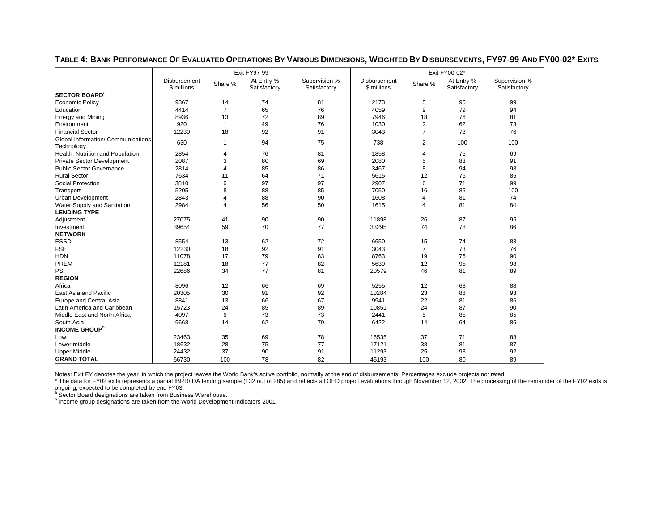|                                                  |                             |                | Exit FY97-99               |                               | Exit FY00-02*               |                |                            |                               |  |
|--------------------------------------------------|-----------------------------|----------------|----------------------------|-------------------------------|-----------------------------|----------------|----------------------------|-------------------------------|--|
|                                                  | Disbursement<br>\$ millions | Share %        | At Entry %<br>Satisfactory | Supervision %<br>Satisfactory | Disbursement<br>\$ millions | Share %        | At Entry %<br>Satisfactory | Supervision %<br>Satisfactory |  |
| <b>SECTOR BOARD<sup>a</sup></b>                  |                             |                |                            |                               |                             |                |                            |                               |  |
| <b>Economic Policy</b>                           | 9367                        | 14             | 74                         | 81                            | 2173                        | 5              | 95                         | 99                            |  |
| Education                                        | 4414                        | $\overline{7}$ | 65                         | 76                            | 4059                        | 9              | 79                         | 94                            |  |
| <b>Energy and Mining</b>                         | 8936                        | 13             | 72                         | 89                            | 7946                        | 18             | 76                         | 81                            |  |
| Environment                                      | 920                         | 1              | 49                         | 76                            | 1030                        | $\overline{2}$ | 62                         | 73                            |  |
| <b>Financial Sector</b>                          | 12230                       | 18             | 92                         | 91                            | 3043                        | $\overline{7}$ | 73                         | 76                            |  |
| Global Information/ Communications<br>Technology | 630                         | $\mathbf{1}$   | 94                         | 75                            | 738                         | $\overline{2}$ | 100                        | 100                           |  |
| Health, Nutrition and Population                 | 2854                        | 4              | 76                         | 81                            | 1858                        | 4              | 75                         | 69                            |  |
| Private Sector Development                       | 2087                        | 3              | 80                         | 69                            | 2080                        | 5              | 83                         | 91                            |  |
| <b>Public Sector Governance</b>                  | 2814                        | 4              | 85                         | 86                            | 3467                        | 8              | 94                         | 98                            |  |
| <b>Rural Sector</b>                              | 7634                        | 11             | 64                         | 71                            | 5615                        | 12             | 76                         | 85                            |  |
| Social Protection                                | 3810                        | 6              | 97                         | 97                            | 2907                        | 6              | 71                         | 99                            |  |
| Transport                                        | 5205                        | 8              | 88                         | 85                            | 7050                        | 16             | 85                         | 100                           |  |
| <b>Urban Development</b>                         | 2843                        | 4              | 88                         | 90                            | 1608                        | 4              | 81                         | 74                            |  |
| Water Supply and Sanitation                      | 2984                        | 4              | 56                         | 50                            | 1615                        | 4              | 81                         | 84                            |  |
| <b>LENDING TYPE</b>                              |                             |                |                            |                               |                             |                |                            |                               |  |
| Adjustment                                       | 27075                       | 41             | 90                         | 90                            | 11898                       | 26             | 87                         | 95                            |  |
| Investment                                       | 39654                       | 59             | 70                         | 77                            | 33295                       | 74             | 78                         | 86                            |  |
| <b>NETWORK</b>                                   |                             |                |                            |                               |                             |                |                            |                               |  |
| <b>ESSD</b>                                      | 8554                        | 13             | 62                         | 72                            | 6650                        | 15             | 74                         | 83                            |  |
| <b>FSE</b>                                       | 12230                       | 18             | 92                         | 91                            | 3043                        | $\overline{7}$ | 73                         | 76                            |  |
| <b>HDN</b>                                       | 11078                       | 17             | 79                         | 83                            | 8763                        | 19             | 76                         | 90                            |  |
| PREM                                             | 12181                       | 18             | 77                         | 82                            | 5639                        | 12             | 95                         | 98                            |  |
| PSI                                              | 22686                       | 34             | 77                         | 81                            | 20579                       | 46             | 81                         | 89                            |  |
| <b>REGION</b>                                    |                             |                |                            |                               |                             |                |                            |                               |  |
| Africa                                           | 8096                        | 12             | 66                         | 69                            | 5255                        | 12             | 68                         | 88                            |  |
| East Asia and Pacific                            | 20305                       | 30             | 91                         | 92                            | 10284                       | 23             | 88                         | 93                            |  |
| Europe and Central Asia                          | 8841                        | 13             | 66                         | 67                            | 9941                        | 22             | 81                         | 86                            |  |
| Latin America and Caribbean                      | 15723                       | 24             | 85                         | 89                            | 10851                       | 24             | 87                         | 90                            |  |
| Middle East and North Africa                     | 4097                        | 6              | 73                         | 73                            | 2441                        | 5              | 85                         | 85                            |  |
| South Asia                                       | 9668                        | 14             | 62                         | 79                            | 6422                        | 14             | 64                         | 86                            |  |
| <b>INCOME GROUP</b> <sup>b</sup>                 |                             |                |                            |                               |                             |                |                            |                               |  |
| Low                                              | 23463                       | 35             | 69                         | 78                            | 16535                       | 37             | 71                         | 88                            |  |
| Lower middle                                     | 18632                       | 28             | 75                         | 77                            | 17121                       | 38             | 81                         | 87                            |  |
| <b>Upper Middle</b>                              | 24432                       | 37             | 90                         | 91                            | 11293                       | 25             | 93                         | 92                            |  |
| <b>GRAND TOTAL</b>                               | 66730                       | 100            | 78                         | 82                            | 45193                       | 100            | 80                         | 89                            |  |

**TABLE 4: BANK PERFORMANCE OF EVALUATED OPERATIONS BY VARIOUS DIMENSIONS, WEIGHTED BY DISBURSEMENTS, FY97-99 AND FY00-02\* EXITS**

Notes: Exit FY denotes the year in which the project leaves the World Bank's active portfolio, normally at the end of disbursements. Percentages exclude projects not rated.

\* The data for FY02 exits represents a partial IBRD/IDA lending sample (132 out of 285) and reflects all OED project evaluations through November 12, 2002. The processing of the remainder of the FY02 exits is ongoing, expected to be completed by end FY03.<br><sup>a</sup> Sector Board designations are taken from Business Warehouse.

b Income group designations are taken from the World Development Indicators 2001.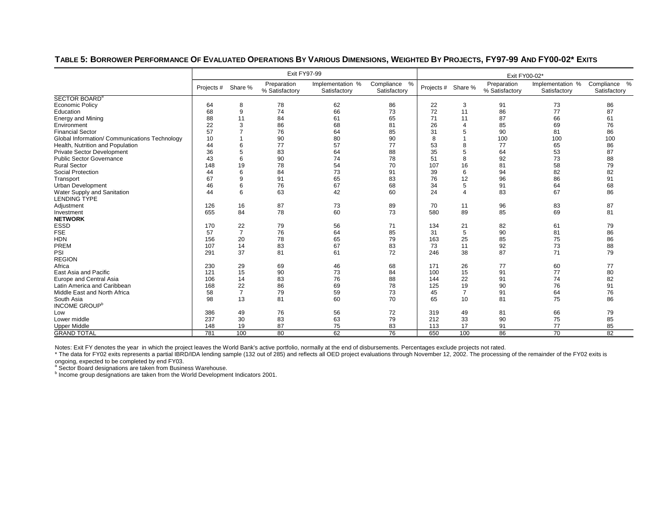### **TABLE 5: BORROWER PERFORMANCE OF EVALUATED OPERATIONS BY VARIOUS DIMENSIONS, WEIGHTED BY PROJECTS, FY97-99 AND FY00-02\* EXITS**

|                                               |                    |                | Exit FY97-99                  |                                  |                              |                    |                | Exit FY00-02*                 |                                  |                              |
|-----------------------------------------------|--------------------|----------------|-------------------------------|----------------------------------|------------------------------|--------------------|----------------|-------------------------------|----------------------------------|------------------------------|
|                                               | Projects # Share % |                | Preparation<br>% Satisfactory | Implementation %<br>Satisfactory | Compliance %<br>Satisfactory | Projects # Share % |                | Preparation<br>% Satisfactory | Implementation %<br>Satisfactory | Compliance %<br>Satisfactory |
| SECTOR BOARD <sup>a</sup>                     |                    |                |                               |                                  |                              |                    |                |                               |                                  |                              |
| <b>Economic Policy</b>                        | 64                 | 8              | 78                            | 62                               | 86                           | 22                 | 3              | 91                            | 73                               | 86                           |
| Education                                     | 68                 | 9              | 74                            | 66                               | 73                           | 72                 | 11             | 86                            | 77                               | 87                           |
| <b>Energy and Mining</b>                      | 88                 | 11             | 84                            | 61                               | 65                           | 71                 | 11             | 87                            | 66                               | 61                           |
| Environment                                   | 22                 | 3              | 86                            | 68                               | 81                           | 26                 | 4              | 85                            | 69                               | 76                           |
| <b>Financial Sector</b>                       | 57                 |                | 76                            | 64                               | 85                           | 31                 | 5              | 90                            | 81                               | 86                           |
| Global Information/ Communications Technology | 10                 |                | 90                            | 80                               | 90                           | 8                  |                | 100                           | 100                              | 100                          |
| Health, Nutrition and Population              | 44                 | 6              | 77                            | 57                               | 77                           | 53                 | 8              | 77                            | 65                               | 86                           |
| <b>Private Sector Development</b>             | 36                 | 5              | 83                            | 64                               | 88                           | 35                 | 5              | 64                            | 53                               | 87                           |
| <b>Public Sector Governance</b>               | 43                 | 6              | 90                            | 74                               | 78                           | 51                 | 8              | 92                            | 73                               | 88                           |
| <b>Rural Sector</b>                           | 148                | 19             | 78                            | 54                               | 70                           | 107                | 16             | 81                            | 58                               | 79                           |
| <b>Social Protection</b>                      | 44                 | 6              | 84                            | 73                               | 91                           | 39                 | 6              | 94                            | 82                               | 82                           |
| Transport                                     | 67                 | 9              | 91                            | 65                               | 83                           | 76                 | 12             | 96                            | 86                               | 91                           |
| <b>Urban Development</b>                      | 46                 | 6              | 76                            | 67                               | 68                           | 34                 | 5              | 91                            | 64                               | 68                           |
| Water Supply and Sanitation                   | 44                 | 6              | 63                            | 42                               | 60                           | 24                 | $\overline{4}$ | 83                            | 67                               | 86                           |
| <b>LENDING TYPE</b>                           |                    |                |                               |                                  |                              |                    |                |                               |                                  |                              |
| Adjustment                                    | 126                | 16             | 87                            | 73                               | 89                           | 70                 | 11             | 96                            | 83                               | 87                           |
| Investment                                    | 655                | 84             | 78                            | 60                               | 73                           | 580                | 89             | 85                            | 69                               | 81                           |
| <b>NETWORK</b>                                |                    |                |                               |                                  |                              |                    |                |                               |                                  |                              |
| <b>ESSD</b>                                   | 170                | 22             | 79                            | 56                               | 71                           | 134                | 21             | 82                            | 61                               | 79                           |
| <b>FSE</b>                                    | 57                 | $\overline{7}$ | 76                            | 64                               | 85                           | 31                 | 5              | 90                            | 81                               | 86                           |
| <b>HDN</b>                                    | 156                | 20             | 78                            | 65                               | 79                           | 163                | 25             | 85                            | 75                               | 86                           |
| PREM                                          | 107                | 14             | 83                            | 67                               | 83                           | 73                 | 11             | 92                            | 73                               | 88                           |
| PSI                                           | 291                | 37             | 81                            | 61                               | 72                           | 246                | 38             | 87                            | 71                               | 79                           |
| <b>REGION</b>                                 |                    |                |                               |                                  |                              |                    |                |                               |                                  |                              |
| Africa                                        | 230                | 29             | 69                            | 46                               | 68                           | 171                | 26             | 77                            | 60                               | 77                           |
| East Asia and Pacific                         | 121                | 15             | 90                            | 73                               | 84                           | 100                | 15             | 91                            | 77                               | 80                           |
| Europe and Central Asia                       | 106                | 14             | 83                            | 76                               | 88                           | 144                | 22             | 91                            | 74                               | 82                           |
| Latin America and Caribbean                   | 168                | 22             | 86                            | 69                               | 78                           | 125                | 19             | 90                            | 76                               | 91                           |
| Middle East and North Africa                  | 58                 | $\overline{7}$ | 79                            | 59                               | 73                           | 45                 | 7              | 91                            | 64                               | 76                           |
| South Asia                                    | 98                 | 13             | 81                            | 60                               | 70                           | 65                 | 10             | 81                            | 75                               | 86                           |
| <b>INCOME GROUP</b> <sup>b</sup>              |                    |                |                               |                                  |                              |                    |                |                               |                                  |                              |
| Low                                           | 386                | 49             | 76                            | 56                               | 72                           | 319                | 49             | 81                            | 66                               | 79                           |
| Lower middle                                  | 237                | 30             | 83                            | 63                               | 79                           | 212                | 33             | 90                            | 75                               | 85                           |
| <b>Upper Middle</b>                           | 148                | 19             | 87                            | 75                               | 83                           | 113                | 17             | 91                            | 77                               | 85                           |
| <b>GRAND TOTAL</b>                            | 781                | 100            | 80                            | 62                               | 76                           | 650                | 100            | 86                            | 70                               | 82                           |

Notes: Exit FY denotes the year in which the project leaves the World Bank's active portfolio, normally at the end of disbursements. Percentages exclude projects not rated.<br>\* The data for FY02 exits represents a partial IB ongoing, expected to be completed by end FY03.

a Sector Board designations are taken from Business Warehouse.<br>
b Income group designations are taken from the World Development Indicators 2001.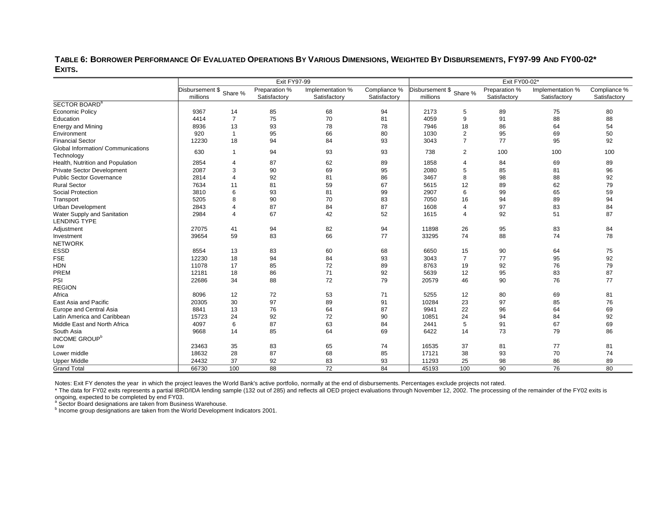**TABLE 6: BORROWER PERFORMANCE OF EVALUATED OPERATIONS BY VARIOUS DIMENSIONS, WEIGHTED BY DISBURSEMENTS, FY97-99 AND FY00-02\* EXITS.** 

|                                                    |                                     | <b>Exit FY97-99</b> |                               | Exit FY00-02*                    |                              |                                     |                  |                               |                                  |                              |
|----------------------------------------------------|-------------------------------------|---------------------|-------------------------------|----------------------------------|------------------------------|-------------------------------------|------------------|-------------------------------|----------------------------------|------------------------------|
|                                                    | Disbursement \$ Share %<br>millions |                     | Preparation %<br>Satisfactory | Implementation %<br>Satisfactory | Compliance %<br>Satisfactory | Disbursement \$ Share %<br>millions |                  | Preparation %<br>Satisfactory | Implementation %<br>Satisfactory | Compliance %<br>Satisfactory |
| SECTOR BOARD <sup>a</sup>                          |                                     |                     |                               |                                  |                              |                                     |                  |                               |                                  |                              |
| <b>Economic Policy</b>                             | 9367                                | 14                  | 85                            | 68                               | 94                           | 2173                                | 5                | 89                            | 75                               | 80                           |
| Education                                          | 4414                                | $\overline{7}$      | 75                            | 70                               | 81                           | 4059                                | 9                | 91                            | 88                               | 88                           |
| <b>Energy and Mining</b>                           | 8936                                | 13                  | 93                            | 78                               | 78                           | 7946                                | 18               | 86                            | 64                               | 54                           |
| Environment                                        | 920                                 | $\mathbf{1}$        | 95                            | 66                               | 80                           | 1030                                | $\overline{2}$   | 95                            | 69                               | 50                           |
| <b>Financial Sector</b>                            | 12230                               | 18                  | 94                            | 84                               | 93                           | 3043                                | $\overline{7}$   | 77                            | 95                               | 92                           |
| Global Information/ Communications<br>Technology   | 630                                 | $\overline{1}$      | 94                            | 93                               | 93                           | 738                                 | $\overline{2}$   | 100                           | 100                              | 100                          |
| Health, Nutrition and Population                   | 2854                                | $\overline{4}$      | 87                            | 62                               | 89                           | 1858                                | 4                | 84                            | 69                               | 89                           |
| <b>Private Sector Development</b>                  | 2087                                | 3                   | 90                            | 69                               | 95                           | 2080                                | 5                | 85                            | 81                               | 96                           |
| <b>Public Sector Governance</b>                    | 2814                                | 4                   | 92                            | 81                               | 86                           | 3467                                | 8                | 98                            | 88                               | 92                           |
| <b>Rural Sector</b>                                | 7634                                | 11                  | 81                            | 59                               | 67                           | 5615                                | 12               | 89                            | 62                               | 79                           |
| Social Protection                                  | 3810                                | 6                   | 93                            | 81                               | 99                           | 2907                                | 6                | 99                            | 65                               | 59                           |
| Transport                                          | 5205                                | 8                   | 90                            | 70                               | 83                           | 7050                                | 16               | 94                            | 89                               | 94                           |
| <b>Urban Development</b>                           | 2843                                |                     | 87                            | 84                               | 87                           | 1608                                | $\boldsymbol{4}$ | 97                            | 83                               | 84                           |
| Water Supply and Sanitation<br><b>LENDING TYPE</b> | 2984                                | 4                   | 67                            | 42                               | 52                           | 1615                                | $\overline{4}$   | 92                            | 51                               | 87                           |
| Adjustment                                         | 27075                               | 41                  | 94                            | 82                               | 94                           | 11898                               | 26               | 95                            | 83                               | 84                           |
| Investment                                         | 39654                               | 59                  | 83                            | 66                               | 77                           | 33295                               | 74               | 88                            | 74                               | 78                           |
| <b>NETWORK</b>                                     |                                     |                     |                               |                                  |                              |                                     |                  |                               |                                  |                              |
| <b>ESSD</b>                                        | 8554                                | 13                  | 83                            | 60                               | 68                           | 6650                                | 15               | 90                            | 64                               | 75                           |
| <b>FSE</b>                                         | 12230                               | 18                  | 94                            | 84                               | 93                           | 3043                                | $\overline{7}$   | 77                            | 95                               | 92                           |
| <b>HDN</b>                                         | 11078                               | 17                  | 85                            | 72                               | 89                           | 8763                                | 19               | 92                            | 76                               | 79                           |
| PREM                                               | 12181                               | 18                  | 86                            | 71                               | 92                           | 5639                                | 12               | 95                            | 83                               | 87                           |
| PSI                                                | 22686                               | 34                  | 88                            | 72                               | 79                           | 20579                               | 46               | 90                            | 76                               | 77                           |
| <b>REGION</b>                                      |                                     |                     |                               |                                  |                              |                                     |                  |                               |                                  |                              |
| Africa                                             | 8096                                | 12                  | 72                            | 53                               | 71                           | 5255                                | 12               | 80                            | 69                               | 81                           |
| East Asia and Pacific                              | 20305                               | 30                  | 97                            | 89                               | 91                           | 10284                               | 23               | 97                            | 85                               | 76                           |
| Europe and Central Asia                            | 8841                                | 13                  | 76                            | 64                               | 87                           | 9941                                | 22               | 96                            | 64                               | 69                           |
| Latin America and Caribbean                        | 15723                               | 24                  | 92                            | 72                               | 90                           | 10851                               | 24               | 94                            | 84                               | 92                           |
| Middle East and North Africa                       | 4097                                | 6                   | 87                            | 63                               | 84                           | 2441                                | 5                | 91                            | 67                               | 69                           |
| South Asia                                         | 9668                                | 14                  | 85                            | 64                               | 69                           | 6422                                | 14               | 73                            | 79                               | 86                           |
| INCOME GROUP <sup>b</sup>                          |                                     |                     |                               |                                  |                              |                                     |                  |                               |                                  |                              |
| Low                                                | 23463                               | 35                  | 83                            | 65                               | 74                           | 16535                               | 37               | 81                            | 77                               | 81                           |
| Lower middle                                       | 18632                               | 28                  | 87                            | 68                               | 85                           | 17121                               | 38               | 93                            | 70                               | 74                           |
| <b>Upper Middle</b>                                | 24432                               | 37                  | 92                            | 83                               | 93                           | 11293                               | 25               | 98                            | 86                               | 89                           |
| <b>Grand Total</b>                                 | 66730                               | 100                 | 88                            | 72                               | 84                           | 45193                               | 100              | 90                            | 76                               | 80                           |

Notes: Exit FY denotes the year in which the project leaves the World Bank's active portfolio, normally at the end of disbursements. Percentages exclude projects not rated.

\* The data for FY02 exits represents a partial IBRD/IDA lending sample (132 out of 285) and reflects all OED project evaluations through November 12, 2002. The processing of the remainder of the FY02 exits is ongoing, expected to be completed by end FY03.<br>
<sup>a</sup> Sector Board designations are taken from Business Warehouse.

b Income group designations are taken from the World Development Indicators 2001.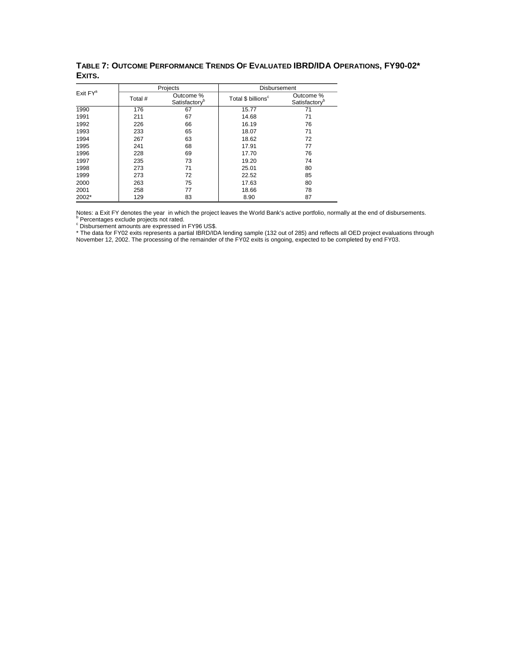|                      |         | Projects                               | Disbursement                   |                                        |
|----------------------|---------|----------------------------------------|--------------------------------|----------------------------------------|
| Exit FY <sup>a</sup> | Total # | Outcome %<br>Satisfactory <sup>b</sup> | Total \$ billions <sup>c</sup> | Outcome %<br>Satisfactory <sup>b</sup> |
| 1990                 | 176     | 67                                     | 15.77                          | 71                                     |
| 1991                 | 211     | 67                                     | 14.68                          | 71                                     |
| 1992                 | 226     | 66                                     | 16.19                          | 76                                     |
| 1993                 | 233     | 65                                     | 18.07                          | 71                                     |
| 1994                 | 267     | 63                                     | 18.62                          | 72                                     |
| 1995                 | 241     | 68                                     | 17.91                          | 77                                     |
| 1996                 | 228     | 69                                     | 17.70                          | 76                                     |
| 1997                 | 235     | 73                                     | 19.20                          | 74                                     |
| 1998                 | 273     | 71                                     | 25.01                          | 80                                     |
| 1999                 | 273     | 72                                     | 22.52                          | 85                                     |
| 2000                 | 263     | 75                                     | 17.63                          | 80                                     |
| 2001                 | 258     | 77                                     | 18.66                          | 78                                     |
| 2002*                | 129     | 83                                     | 8.90                           | 87                                     |

## **TABLE 7: OUTCOME PERFORMANCE TRENDS OF EVALUATED IBRD/IDA OPERATIONS, FY90-02\* EXITS.**

Notes: a Exit FY denotes the year in which the project leaves the World Bank's active portfolio, normally at the end of disbursements.<br><sup>b</sup> Percentages exclude projects not rated.<br><sup>c</sup> Disbursement amounts are expressed in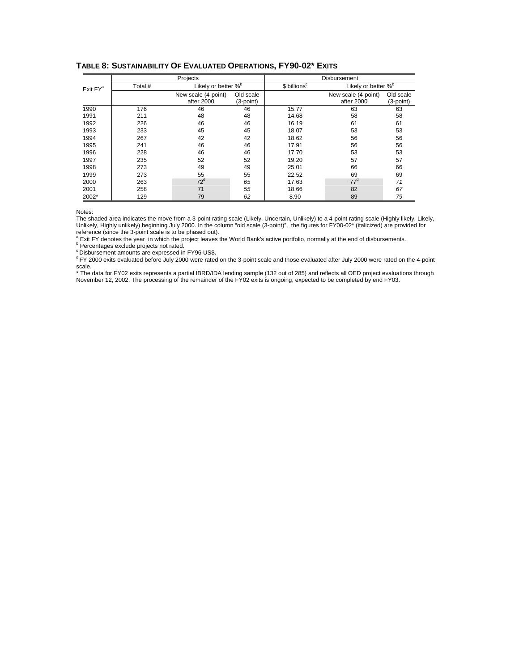|                      |         | Projects                        |             |                          | <b>Disbursement</b>             |           |  |
|----------------------|---------|---------------------------------|-------------|--------------------------|---------------------------------|-----------|--|
| Exit FY <sup>a</sup> | Total # | Likely or better % <sup>b</sup> |             | \$ billions <sup>c</sup> | Likely or better % <sup>b</sup> |           |  |
|                      |         | New scale (4-point)             | Old scale   |                          | New scale (4-point)             | Old scale |  |
|                      |         | after 2000                      | $(3-point)$ |                          | after 2000                      | (3-point) |  |
| 1990                 | 176     | 46                              | 46          | 15.77                    | 63                              | 63        |  |
| 1991                 | 211     | 48                              | 48          | 14.68                    | 58                              | 58        |  |
| 1992                 | 226     | 46                              | 46          | 16.19                    | 61                              | 61        |  |
| 1993                 | 233     | 45                              | 45          | 18.07                    | 53                              | 53        |  |
| 1994                 | 267     | 42                              | 42          | 18.62                    | 56                              | 56        |  |
| 1995                 | 241     | 46                              | 46          | 17.91                    | 56                              | 56        |  |
| 1996                 | 228     | 46                              | 46          | 17.70                    | 53                              | 53        |  |
| 1997                 | 235     | 52                              | 52          | 19.20                    | 57                              | 57        |  |
| 1998                 | 273     | 49                              | 49          | 25.01                    | 66                              | 66        |  |
| 1999                 | 273     | 55                              | 55          | 22.52                    | 69                              | 69        |  |
| 2000                 | 263     | $72^d$                          | 65          | 17.63                    | $77^d$                          | 71        |  |
| 2001                 | 258     | 71                              | 55          | 18.66                    | 82                              | 67        |  |
| 2002*                | 129     | 79                              | 62          | 8.90                     | 89                              | 79        |  |

### **TABLE 8: SUSTAINABILITY OF EVALUATED OPERATIONS, FY90-02\* EXITS**

Notes:

The shaded area indicates the move from a 3-point rating scale (Likely, Uncertain, Unlikely) to a 4-point rating scale (Highly likely, Likely, Unlikely, Highly unlikely) beginning July 2000. In the column "old scale (3-point)", the figures for FY00-02\* (italicized) are provided for reference (since the 3-point scale is to be phased out).

<sup>a</sup> Exit FY denotes the year in which the project leaves the World Bank's active portfolio, normally at the end of disbursements.<br><sup>b</sup> Percentages exclude projects not rated.

c Disbursement amounts are expressed in FY96 US\$.

<sup>d</sup> FY 2000 exits evaluated before July 2000 were rated on the 3-point scale and those evaluated after July 2000 were rated on the 4-point scale.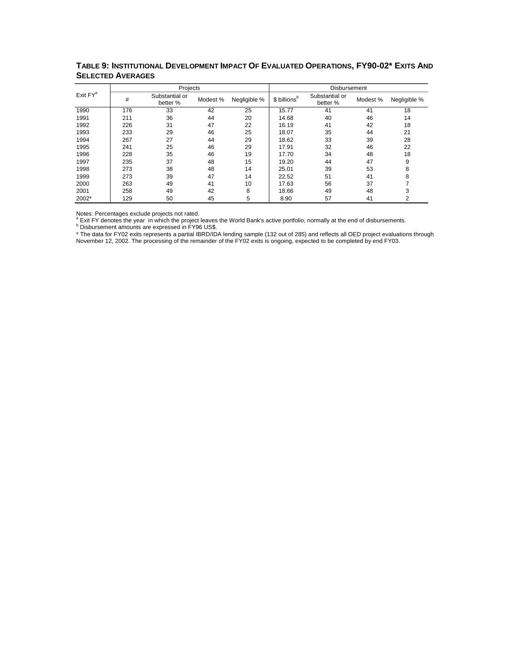|                      |     | Projects                   |          |              |                          | Disbursement               |          |              |
|----------------------|-----|----------------------------|----------|--------------|--------------------------|----------------------------|----------|--------------|
| Exit FY <sup>a</sup> | #   | Substantial or<br>better % | Modest % | Negligible % | \$ billions <sup>b</sup> | Substantial or<br>better % | Modest % | Negligible % |
| 1990                 | 176 | 33                         | 42       | 25           | 15.77                    | 41                         | 41       | 18           |
| 1991                 | 211 | 36                         | 44       | 20           | 14.68                    | 40                         | 46       | 14           |
| 1992                 | 226 | 31                         | 47       | 22           | 16.19                    | 41                         | 42       | 18           |
| 1993                 | 233 | 29                         | 46       | 25           | 18.07                    | 35                         | 44       | 21           |
| 1994                 | 267 | 27                         | 44       | 29           | 18.62                    | 33                         | 39       | 28           |
| 1995                 | 241 | 25                         | 46       | 29           | 17.91                    | 32                         | 46       | 22           |
| 1996                 | 228 | 35                         | 46       | 19           | 17.70                    | 34                         | 48       | 18           |
| 1997                 | 235 | 37                         | 48       | 15           | 19.20                    | 44                         | 47       | 9            |
| 1998                 | 273 | 38                         | 48       | 14           | 25.01                    | 39                         | 53       | 8            |
| 1999                 | 273 | 39                         | 47       | 14           | 22.52                    | 51                         | 41       | 8            |
| 2000                 | 263 | 49                         | 41       | 10           | 17.63                    | 56                         | 37       | ⇁            |
| 2001                 | 258 | 49                         | 42       | 8            | 18.66                    | 49                         | 48       | 3            |
| 2002*                | 129 | 50                         | 45       | 5            | 8.90                     | 57                         | 41       | 2            |

## **TABLE 9: INSTITUTIONAL DEVELOPMENT IMPACT OF EVALUATED OPERATIONS, FY90-02\* EXITS AND SELECTED AVERAGES**

Notes: Percentages exclude projects not rated.<br><sup>a</sup> Exit FY denotes the year in which the project leaves the World Bank's active portfolio, normally at the end of disbursements.<br><sup>b</sup> Disbursement amounts are expressed in FY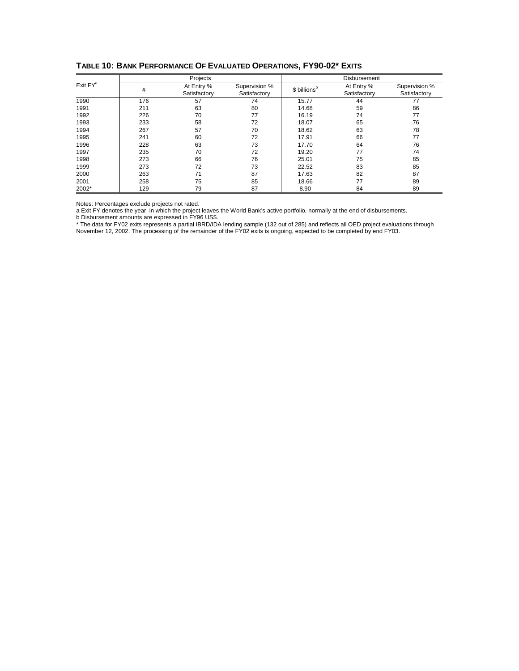|               |     | Projects                   |                               |                          | Disbursement               |                               |
|---------------|-----|----------------------------|-------------------------------|--------------------------|----------------------------|-------------------------------|
| $Exit$ $FY^a$ | #   | At Entry %<br>Satisfactory | Supervision %<br>Satisfactory | \$ billions <sup>b</sup> | At Entry %<br>Satisfactory | Supervision %<br>Satisfactory |
| 1990          | 176 | 57                         | 74                            | 15.77                    | 44                         | 77                            |
| 1991          | 211 | 63                         | 80                            | 14.68                    | 59                         | 86                            |
| 1992          | 226 | 70                         | 77                            | 16.19                    | 74                         | 77                            |
| 1993          | 233 | 58                         | 72                            | 18.07                    | 65                         | 76                            |
| 1994          | 267 | 57                         | 70                            | 18.62                    | 63                         | 78                            |
| 1995          | 241 | 60                         | 72                            | 17.91                    | 66                         | 77                            |
| 1996          | 228 | 63                         | 73                            | 17.70                    | 64                         | 76                            |
| 1997          | 235 | 70                         | 72                            | 19.20                    | 77                         | 74                            |
| 1998          | 273 | 66                         | 76                            | 25.01                    | 75                         | 85                            |
| 1999          | 273 | 72                         | 73                            | 22.52                    | 83                         | 85                            |
| 2000          | 263 | 71                         | 87                            | 17.63                    | 82                         | 87                            |
| 2001          | 258 | 75                         | 85                            | 18.66                    | 77                         | 89                            |
| 2002*         | 129 | 79                         | 87                            | 8.90                     | 84                         | 89                            |

**TABLE 10: BANK PERFORMANCE OF EVALUATED OPERATIONS, FY90-02\* EXITS**

Notes: Percentages exclude projects not rated.

a Exit FY denotes the year in which the project leaves the World Bank's active portfolio, normally at the end of disbursements.

b Disbursement amounts are expressed in FY96 US\$.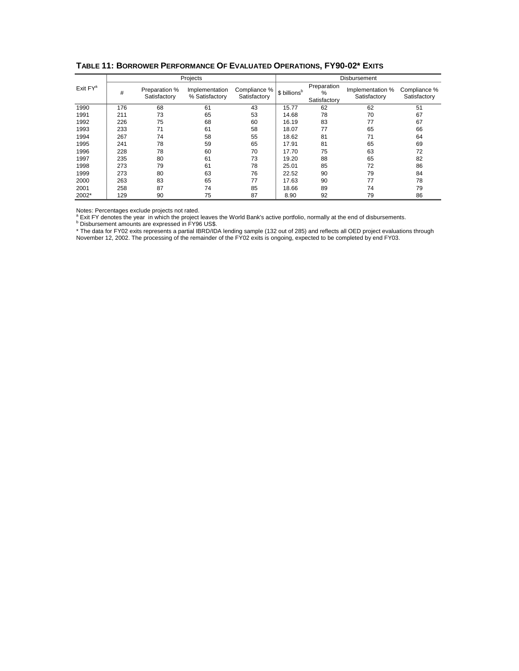|                      |     |                               | Projects                         |                              | Disbursement             |                                     |                                  |                              |  |  |
|----------------------|-----|-------------------------------|----------------------------------|------------------------------|--------------------------|-------------------------------------|----------------------------------|------------------------------|--|--|
| Exit FY <sup>a</sup> | #   | Preparation %<br>Satisfactory | Implementation<br>% Satisfactory | Compliance %<br>Satisfactory | \$ billions <sup>b</sup> | Preparation<br>$\%$<br>Satisfactory | Implementation %<br>Satisfactory | Compliance %<br>Satisfactory |  |  |
| 1990                 | 176 | 68                            | 61                               | 43                           | 15.77                    | 62                                  | 62                               | 51                           |  |  |
| 1991                 | 211 | 73                            | 65                               | 53                           | 14.68                    | 78                                  | 70                               | 67                           |  |  |
| 1992                 | 226 | 75                            | 68                               | 60                           | 16.19                    | 83                                  | 77                               | 67                           |  |  |
| 1993                 | 233 | 71                            | 61                               | 58                           | 18.07                    | 77                                  | 65                               | 66                           |  |  |
| 1994                 | 267 | 74                            | 58                               | 55                           | 18.62                    | 81                                  | 71                               | 64                           |  |  |
| 1995                 | 241 | 78                            | 59                               | 65                           | 17.91                    | 81                                  | 65                               | 69                           |  |  |
| 1996                 | 228 | 78                            | 60                               | 70                           | 17.70                    | 75                                  | 63                               | 72                           |  |  |
| 1997                 | 235 | 80                            | 61                               | 73                           | 19.20                    | 88                                  | 65                               | 82                           |  |  |
| 1998                 | 273 | 79                            | 61                               | 78                           | 25.01                    | 85                                  | 72                               | 86                           |  |  |
| 1999                 | 273 | 80                            | 63                               | 76                           | 22.52                    | 90                                  | 79                               | 84                           |  |  |
| 2000                 | 263 | 83                            | 65                               | 77                           | 17.63                    | 90                                  | 77                               | 78                           |  |  |
| 2001                 | 258 | 87                            | 74                               | 85                           | 18.66                    | 89                                  | 74                               | 79                           |  |  |
| 2002*                | 129 | 90                            | 75                               | 87                           | 8.90                     | 92                                  | 79                               | 86                           |  |  |

## **TABLE 11: BORROWER PERFORMANCE OF EVALUATED OPERATIONS, FY90-02\* EXITS**

Notes: Percentages exclude projects not rated.<br>a Exit EV depates the vear, in which the project.

<sup>a</sup> Exit FY denotes the year in which the project leaves the World Bank's active portfolio, normally at the end of disbursements.<br><sup>b</sup> Disbursement amounts are expressed in FY96 US\$.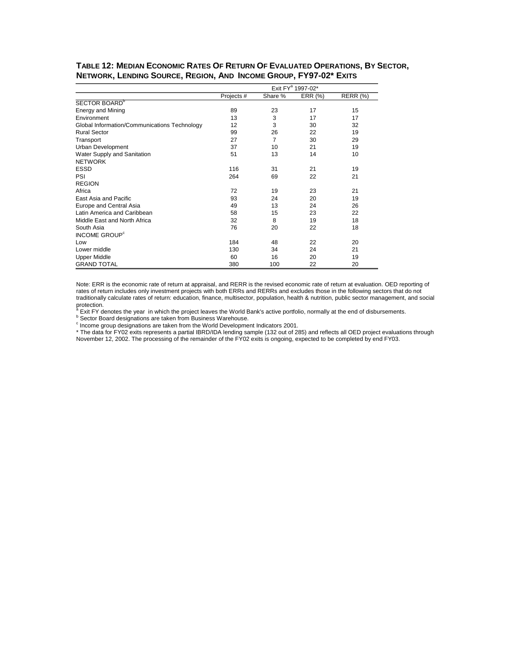| TABLE 12: MEDIAN ECONOMIC RATES OF RETURN OF EVALUATED OPERATIONS, BY SECTOR, |  |
|-------------------------------------------------------------------------------|--|
| NETWORK, LENDING SOURCE, REGION, AND INCOME GROUP, FY97-02* EXITS             |  |

|                                              | Exit FY <sup>a</sup> 1997-02* |                |         |                 |  |  |  |  |  |
|----------------------------------------------|-------------------------------|----------------|---------|-----------------|--|--|--|--|--|
|                                              | Projects #                    | Share %        | ERR (%) | <b>RERR (%)</b> |  |  |  |  |  |
| SECTOR BOARD <sup>b</sup>                    |                               |                |         |                 |  |  |  |  |  |
| <b>Energy and Mining</b>                     | 89                            | 23             | 17      | 15              |  |  |  |  |  |
| Environment                                  | 13                            | 3              | 17      | 17              |  |  |  |  |  |
| Global Information/Communications Technology | 12                            | 3              | 30      | 32              |  |  |  |  |  |
| <b>Rural Sector</b>                          | 99                            | 26             | 22      | 19              |  |  |  |  |  |
| Transport                                    | 27                            | $\overline{7}$ | 30      | 29              |  |  |  |  |  |
| Urban Development                            | 37                            | 10             | 21      | 19              |  |  |  |  |  |
| Water Supply and Sanitation                  | 51                            | 13             | 14      | 10              |  |  |  |  |  |
| <b>NETWORK</b>                               |                               |                |         |                 |  |  |  |  |  |
| <b>ESSD</b>                                  | 116                           | 31             | 21      | 19              |  |  |  |  |  |
| PSI                                          | 264                           | 69             | 22      | 21              |  |  |  |  |  |
| <b>REGION</b>                                |                               |                |         |                 |  |  |  |  |  |
| Africa                                       | 72                            | 19             | 23      | 21              |  |  |  |  |  |
| East Asia and Pacific                        | 93                            | 24             | 20      | 19              |  |  |  |  |  |
| Europe and Central Asia                      | 49                            | 13             | 24      | 26              |  |  |  |  |  |
| Latin America and Caribbean                  | 58                            | 15             | 23      | 22              |  |  |  |  |  |
| Middle East and North Africa                 | 32                            | 8              | 19      | 18              |  |  |  |  |  |
| South Asia                                   | 76                            | 20             | 22      | 18              |  |  |  |  |  |
| <b>INCOME GROUP<sup>c</sup></b>              |                               |                |         |                 |  |  |  |  |  |
| Low                                          | 184                           | 48             | 22      | 20              |  |  |  |  |  |
| Lower middle                                 | 130                           | 34             | 24      | 21              |  |  |  |  |  |
| <b>Upper Middle</b>                          | 60                            | 16             | 20      | 19              |  |  |  |  |  |
| <b>GRAND TOTAL</b>                           | 380                           | 100            | 22      | 20              |  |  |  |  |  |

Note: ERR is the economic rate of return at appraisal, and RERR is the revised economic rate of return at evaluation. OED reporting of rates of return includes only investment projects with both ERRs and RERRs and excludes those in the following sectors that do not traditionally calculate rates of return: education, finance, multisector, population, health & nutrition, public sector management, and social

protection.<br><sup>ª</sup> Exit FY denotes the year in which the project leaves the World Bank's active portfolio, normally at the end of disbursements.<br><sup>b</sup> Sector Board designations are taken from Business Warehouse.<br><sup>c</sup> Income gro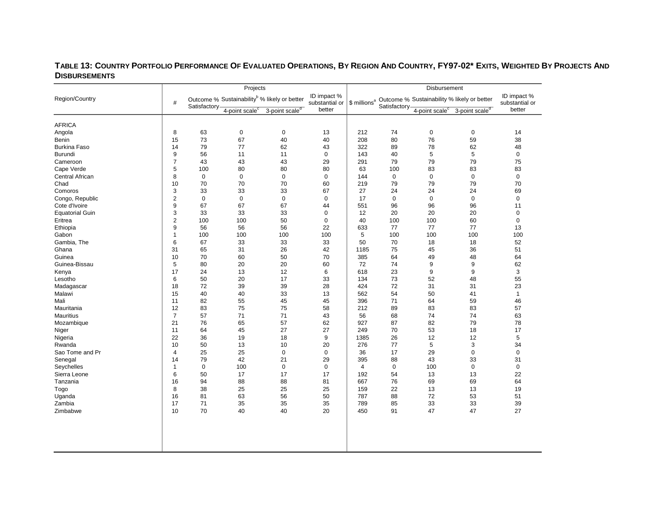#### **TABLE 13: COUNTRY PORTFOLIO PERFORMANCE OF EVALUATED OPERATIONS, BY REGION AND COUNTRY, FY97-02\* EXITS, WEIGHTED BY PROJECTS AND DISBURSEMENTS**  $\mathcal{L}_{\mathcal{A}}$

|                                  |                |              | Projects                   |                                                          |                               | Disbursement              |              |                            |                                             |                               |  |
|----------------------------------|----------------|--------------|----------------------------|----------------------------------------------------------|-------------------------------|---------------------------|--------------|----------------------------|---------------------------------------------|-------------------------------|--|
| Region/Country                   | #              | Satisfactory |                            | Outcome % Sustainability <sup>b</sup> % likely or better | ID impact %<br>substantial or | $$$ millions <sup>a</sup> | Satisfactory |                            | Outcome % Sustainability % likely or better | ID impact %<br>substantial or |  |
|                                  |                |              | 4-point scale <sup>c</sup> | 3-point scale <sup>d</sup>                               | better                        |                           |              | 4-point scale <sup>c</sup> | 3-point scale <sup>d</sup>                  | better                        |  |
| <b>AFRICA</b>                    |                |              |                            |                                                          |                               |                           |              |                            |                                             |                               |  |
| Angola                           | 8              | 63           | $\mathsf 0$                | $\mathbf 0$                                              | 13                            | 212                       | 74           | $\mathbf 0$                | $\mathbf 0$                                 | 14                            |  |
| <b>Benin</b>                     | 15             | 73           | 67                         | 40                                                       | 40                            | 208                       | 80           | 76                         | 59                                          | 38                            |  |
| <b>Burkina Faso</b>              | 14             | 79           | 77                         | 62                                                       | 43                            | 322                       | 89           | 78                         | 62                                          | 48                            |  |
| <b>Burundi</b>                   | 9              | 56           | 11                         | 11                                                       | $\mathbf 0$                   | 143                       | 40           | 5                          | 5                                           | $\mathbf 0$                   |  |
|                                  | $\overline{7}$ | 43           |                            | 43                                                       | 29                            | 291                       | 79           |                            | 79                                          |                               |  |
| Cameroon<br>Cape Verde           | 5              | 100          | 43<br>80                   | 80                                                       | 80                            | 63                        | 100          | 79<br>83                   | 83                                          | 75<br>83                      |  |
|                                  | 8              | $\mathbf 0$  | $\mathbf 0$                | $\mathbf 0$                                              | $\mathbf 0$                   | 144                       | $\mathbf 0$  | $\mathbf 0$                | $\mathbf 0$                                 | $\mathbf 0$                   |  |
| Central African                  | 10             | 70           | 70                         | 70                                                       | 60                            | 219                       |              |                            | 79                                          | 70                            |  |
| Chad<br>Comoros                  | 3              | 33           | 33                         | 33                                                       | 67                            | 27                        | 79<br>24     | 79<br>24                   | 24                                          | 69                            |  |
|                                  | $\overline{2}$ | $\mathbf 0$  | $\mathbf 0$                | $\mathbf 0$                                              | $\mathbf 0$                   | 17                        | $\mathbf 0$  | $\mathbf 0$                | $\mathbf 0$                                 | $\mathbf 0$                   |  |
| Congo, Republic<br>Cote d'Ivoire | 9              | 67           | 67                         | 67                                                       | 44                            | 551                       |              | 96                         | 96                                          | 11                            |  |
| <b>Equatorial Guin</b>           | 3              | 33           | 33                         | 33                                                       | 0                             | 12                        | 96<br>20     | 20                         | 20                                          | $\mathbf 0$                   |  |
| Eritrea                          | $\overline{2}$ | 100          | 100                        | 50                                                       | $\overline{0}$                | 40                        | 100          |                            | 60                                          | $\mathbf 0$                   |  |
|                                  | 9              | 56           | 56                         | 56                                                       | 22                            | 633                       | 77           | 100<br>77                  | 77                                          | 13                            |  |
| Ethiopia<br>Gabon                | $\mathbf{1}$   | 100          | 100                        | 100                                                      | 100                           | 5                         | 100          | 100                        | 100                                         | 100                           |  |
| Gambia, The                      | 6              | 67           | 33                         | 33                                                       | 33                            | 50                        | 70           | 18                         | 18                                          | 52                            |  |
| Ghana                            | 31             | 65           | 31                         | 26                                                       | 42                            | 1185                      | 75           | 45                         | 36                                          | 51                            |  |
| Guinea                           | 10             | 70           | 60                         | 50                                                       | 70                            | 385                       | 64           | 49                         | 48                                          | 64                            |  |
| Guinea-Bissau                    |                |              |                            |                                                          |                               | 72                        |              | 9                          |                                             | 62                            |  |
|                                  | 5<br>17        | 80<br>24     | 20<br>13                   | 20                                                       | 60<br>6                       | 618                       | 74<br>23     | 9                          | 9<br>9                                      | 3                             |  |
| Kenya<br>Lesotho                 | 6              | 50           | 20                         | 12<br>17                                                 | 33                            | 134                       |              | 52                         | 48                                          |                               |  |
|                                  |                |              |                            |                                                          |                               |                           | 73           |                            |                                             | 55<br>23                      |  |
| Madagascar                       | 18             | 72           | 39                         | 39                                                       | 28                            | 424                       | 72           | 31                         | 31                                          |                               |  |
| Malawi<br>Mali                   | 15<br>11       | 40<br>82     | 40<br>55                   | 33<br>45                                                 | 13<br>45                      | 562<br>396                | 54<br>71     | 50<br>64                   | 41<br>59                                    | $\mathbf{1}$<br>46            |  |
| Mauritania                       | 12             | 83           | 75                         | 75                                                       | 58                            | 212                       |              | 83                         | 83                                          | 57                            |  |
| <b>Mauritius</b>                 | $\overline{7}$ | 57           | 71                         | 71                                                       | 43                            | 56                        | 89<br>68     | 74                         | 74                                          | 63                            |  |
|                                  | 21             | 76           | 65                         | 57                                                       |                               | 927                       | 87           | 82                         |                                             | 78                            |  |
| Mozambique                       | 11             | 64           | 45                         | 27                                                       | 62<br>27                      | 249                       | 70           | 53                         | 79                                          | 17                            |  |
| Niger                            | 22             |              |                            |                                                          | 9                             | 1385                      |              |                            | 18                                          |                               |  |
| Nigeria                          |                | 36           | 19                         | 18                                                       |                               |                           | 26           | 12                         | 12                                          | 5                             |  |
| Rwanda                           | 10             | 50           | 13                         | 10                                                       | 20                            | 276                       | 77           | 5                          | 3                                           | 34                            |  |
| Sao Tome and Pr                  | $\overline{4}$ | 25           | 25                         | $\mathbf 0$                                              | $\mathbf 0$                   | 36                        | 17           | 29                         | $\mathbf 0$                                 | $\mathbf 0$                   |  |
| Senegal                          | 14             | 79           | 42                         | 21                                                       | 29                            | 395                       | 88           | 43                         | 33                                          | 31                            |  |
| Seychelles                       | $\mathbf{1}$   | $\mathbf 0$  | 100                        | $\mathbf 0$                                              | $\mathbf 0$                   | $\overline{4}$            | $\mathbf 0$  | 100                        | $\mathbf 0$                                 | $\mathbf 0$                   |  |
| Sierra Leone                     | 6              | 50           | 17                         | 17                                                       | 17                            | 192                       | 54           | 13                         | 13                                          | 22                            |  |
| Tanzania                         | 16             | 94           | 88                         | 88                                                       | 81                            | 667                       | 76           | 69                         | 69                                          | 64                            |  |
| Togo                             | 8              | 38           | 25                         | 25                                                       | 25                            | 159                       | 22           | 13                         | 13                                          | 19                            |  |
| Uganda<br>Zambia                 | 16             | 81<br>71     | 63<br>35                   | 56<br>35                                                 | 50<br>35                      | 787                       | 88           | 72                         | 53                                          | 51<br>39                      |  |
|                                  | 17<br>10       | 70           | 40                         | 40                                                       | 20                            | 789<br>450                | 85<br>91     | 33<br>47                   | 33<br>47                                    | 27                            |  |
| Zimbabwe                         |                |              |                            |                                                          |                               |                           |              |                            |                                             |                               |  |
|                                  |                |              |                            |                                                          |                               |                           |              |                            |                                             |                               |  |
|                                  |                |              |                            |                                                          |                               |                           |              |                            |                                             |                               |  |
|                                  |                |              |                            |                                                          |                               |                           |              |                            |                                             |                               |  |
|                                  |                |              |                            |                                                          |                               |                           |              |                            |                                             |                               |  |
|                                  |                |              |                            |                                                          |                               |                           |              |                            |                                             |                               |  |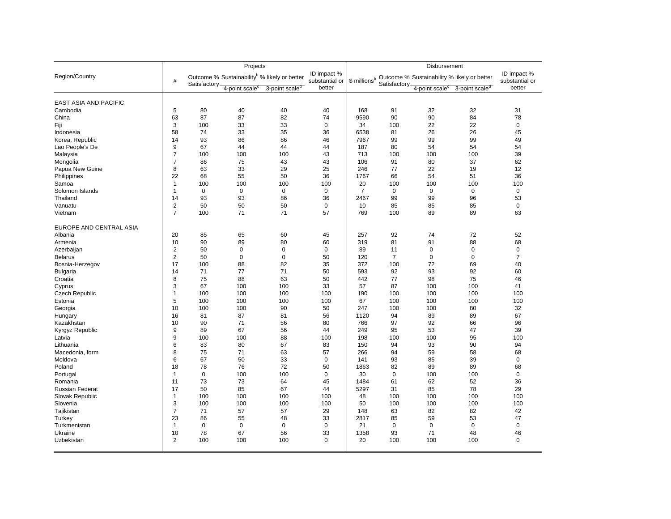|                              |                |              | Projects                   |                                                          |                               |                |                | <b>Disbursement</b>        |                                                                      |                               |
|------------------------------|----------------|--------------|----------------------------|----------------------------------------------------------|-------------------------------|----------------|----------------|----------------------------|----------------------------------------------------------------------|-------------------------------|
| Region/Country               | #              | Satisfactory |                            | Outcome % Sustainability <sup>b</sup> % likely or better | ID impact %<br>substantial or |                | Satisfactory-  |                            | \$ millions <sup>a</sup> Outcome % Sustainability % likely or better | ID impact %<br>substantial or |
|                              |                |              | 4-point scale <sup>c</sup> | 3-point scale <sup>d</sup>                               | better                        |                |                | 4-point scale <sup>c</sup> | 3-point scale <sup>d</sup>                                           | better                        |
| <b>EAST ASIA AND PACIFIC</b> |                |              |                            |                                                          |                               |                |                |                            |                                                                      |                               |
| Cambodia                     | 5              | 80           | 40                         | 40                                                       | 40                            | 168            | 91             | 32                         | 32                                                                   | 31                            |
|                              | 63             | 87           | 87                         | 82                                                       | 74                            | 9590           | 90             | 90                         | 84                                                                   | 78                            |
| China                        |                |              |                            |                                                          |                               |                |                |                            |                                                                      |                               |
| Fiji                         | 3              | 100          | 33                         | 33                                                       | 0                             | 34             | 100            | 22                         | 22                                                                   | 0                             |
| Indonesia                    | 58             | 74           | 33                         | 35                                                       | 36                            | 6538           | 81             | 26                         | 26                                                                   | 45                            |
| Korea, Republic              | 14             | 93           | 86                         | 86                                                       | 46                            | 7967           | 99             | 99                         | 99                                                                   | 49                            |
| Lao People's De              | 9              | 67           | 44                         | 44                                                       | 44                            | 187            | 80             | 54                         | 54                                                                   | 54                            |
| Malaysia                     | $\overline{7}$ | 100          | 100                        | 100                                                      | 43                            | 713            | 100            | 100                        | 100                                                                  | 39                            |
| Mongolia                     | $\overline{7}$ | 86           | 75                         | 43                                                       | 43                            | 106            | 91             | 80                         | 37                                                                   | 62                            |
| Papua New Guine              | 8              | 63           | 33                         | 29                                                       | 25                            | 246            | 77             | 22                         | 19                                                                   | 12                            |
| Philippines                  | 22             | 68           | 55                         | 50                                                       | 36                            | 1767           | 66             | 54                         | 51                                                                   | 36                            |
| Samoa                        | $\mathbf{1}$   | 100          | 100                        | 100                                                      | 100                           | 20             | 100            | 100                        | 100                                                                  | 100                           |
| Solomon Islands              | $\mathbf{1}$   | $\mathbf 0$  | $\mathbf 0$                | $\mathbf 0$                                              | $\mathbf 0$                   | $\overline{7}$ | $\mathbf 0$    | $\mathbf 0$                | 0                                                                    | $\mathbf 0$                   |
| Thailand                     | 14             | 93           | 93                         | 86                                                       | 36                            | 2467           | 99             | 99                         | 96                                                                   | 53                            |
| Vanuatu                      | $\overline{2}$ | 50           | 50                         | 50                                                       | $\mathbf 0$                   | 10             | 85             | 85                         | 85                                                                   | $\mathbf 0$                   |
| Vietnam                      | $\overline{7}$ | 100          | 71                         | 71                                                       | 57                            | 769            | 100            | 89                         | 89                                                                   | 63                            |
| EUROPE AND CENTRAL ASIA      |                |              |                            |                                                          |                               |                |                |                            |                                                                      |                               |
| Albania                      | 20             | 85           | 65                         | 60                                                       | 45                            | 257            | 92             | 74                         | 72                                                                   | 52                            |
| Armenia                      | 10             | 90           | 89                         | 80                                                       | 60                            | 319            | 81             | 91                         | 88                                                                   | 68                            |
| Azerbaijan                   | $\overline{2}$ | 50           | $\mathbf 0$                | $\mathbf 0$                                              | $\pmb{0}$                     | 89             | 11             | 0                          | 0                                                                    | $\mathbf 0$                   |
| <b>Belarus</b>               | 2              | 50           | $\mathbf 0$                | $\mathbf 0$                                              | 50                            | 120            | $\overline{7}$ | $\mathbf 0$                | 0                                                                    | $\overline{7}$                |
| Bosnia-Herzegov              | 17             | 100          | 88                         | 82                                                       | 35                            | 372            | 100            | 72                         | 69                                                                   | 40                            |
| <b>Bulgaria</b>              | 14             | 71           | 77                         | 71                                                       | 50                            | 593            | 92             | 93                         | 92                                                                   | 60                            |
| Croatia                      | 8              | 75           | 88                         | 63                                                       | 50                            | 442            | 77             | 98                         | 75                                                                   | 46                            |
| Cyprus                       | 3              | 67           | 100                        | 100                                                      | 33                            | 57             | 87             | 100                        | 100                                                                  | 41                            |
| Czech Republic               | $\mathbf{1}$   | 100          | 100                        | 100                                                      | 100                           | 190            | 100            | 100                        | 100                                                                  | 100                           |
| Estonia                      | 5              | 100          | 100                        | 100                                                      | 100                           | 67             | 100            | 100                        | 100                                                                  | 100                           |
| Georgia                      | 10             | 100          | 100                        | 90                                                       | 50                            | 247            | 100            | 100                        | 80                                                                   | 32                            |
| Hungary                      | 16             | 81           | 87                         | 81                                                       | 56                            | 1120           | 94             | 89                         | 89                                                                   | 67                            |
| Kazakhstan                   | 10             | 90           | 71                         | 56                                                       | 80                            | 766            | 97             | 92                         | 66                                                                   | 96                            |
|                              | 9              | 89           | 67                         | 56                                                       | 44                            | 249            | 95             | 53                         | 47                                                                   | 39                            |
| Kyrgyz Republic              | 9              | 100          | 100                        | 88                                                       | 100                           | 198            | 100            | 100                        | 95                                                                   | 100                           |
| Latvia                       | 6              |              | 80                         | 67                                                       |                               | 150            | 94             | 93                         | 90                                                                   | 94                            |
| Lithuania                    | 8              | 83<br>75     | 71                         | 63                                                       | 83<br>57                      | 266            | 94             | 59                         | 58                                                                   | 68                            |
| Macedonia, form              |                |              |                            |                                                          |                               |                |                |                            |                                                                      |                               |
| Moldova                      | 6              | 67           | 50                         | 33                                                       | $\mathbf 0$                   | 141            | 93             | 85                         | 39                                                                   | $\mathbf 0$                   |
| Poland                       | 18             | 78           | 76                         | 72                                                       | 50                            | 1863           | 82             | 89                         | 89                                                                   | 68                            |
| Portugal                     | $\mathbf{1}$   | $\mathbf 0$  | 100                        | 100                                                      | $\mathbf 0$                   | 30             | $\mathbf 0$    | 100                        | 100                                                                  | $\mathbf 0$                   |
| Romania                      | 11             | 73           | 73                         | 64                                                       | 45                            | 1484           | 61             | 62                         | 52                                                                   | 36                            |
| <b>Russian Federat</b>       | 17             | 50           | 85                         | 67                                                       | 44                            | 5297           | 31             | 85                         | 78                                                                   | 29                            |
| Slovak Republic              | $\mathbf{1}$   | 100          | 100                        | 100                                                      | 100                           | 48             | 100            | 100                        | 100                                                                  | 100                           |
| Slovenia                     | 3              | 100          | 100                        | 100                                                      | 100                           | 50             | 100            | 100                        | 100                                                                  | 100                           |
| Tajikistan                   | $\overline{7}$ | 71           | 57                         | 57                                                       | 29                            | 148            | 63             | 82                         | 82                                                                   | 42                            |
| Turkey                       | 23             | 86           | 55                         | 48                                                       | 33                            | 2817           | 85             | 59                         | 53                                                                   | 47                            |
| Turkmenistan                 | $\mathbf{1}$   | $\mathbf 0$  | $\mathbf 0$                | $\mathbf 0$                                              | $\mathbf 0$                   | 21             | $\mathbf 0$    | 0                          | 0                                                                    | $\mathbf 0$                   |
| Ukraine                      | 10             | 78           | 67                         | 56                                                       | 33                            | 1358           | 93             | 71                         | 48                                                                   | 46                            |
| Uzbekistan                   | $\overline{2}$ | 100          | 100                        | 100                                                      | 0                             | 20             | 100            | 100                        | 100                                                                  | $\mathbf 0$                   |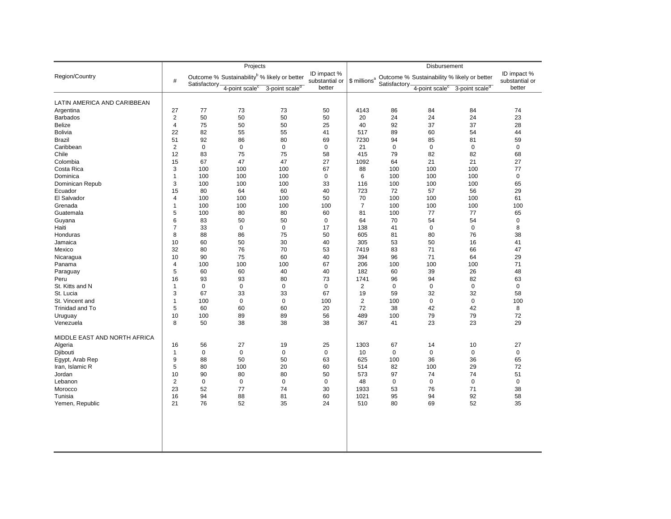|                              |                |              | Projects                                                 |                            |                               |                          |              | Disbursement               |                                             |                               |
|------------------------------|----------------|--------------|----------------------------------------------------------|----------------------------|-------------------------------|--------------------------|--------------|----------------------------|---------------------------------------------|-------------------------------|
| Region/Country               | #              |              | Outcome % Sustainability <sup>b</sup> % likely or better |                            | ID impact %<br>substantial or | \$ millions <sup>a</sup> |              |                            | Outcome % Sustainability % likely or better | ID impact %<br>substantial or |
|                              |                | Satisfactory | 4-point scale <sup>c</sup>                               | 3-point scale <sup>d</sup> | better                        |                          | Satisfactory | 4-point scale <sup>c</sup> | 3-point scale <sup>d</sup>                  | better                        |
| LATIN AMERICA AND CARIBBEAN  |                |              |                                                          |                            |                               |                          |              |                            |                                             |                               |
| Argentina                    | 27             | 77           | 73                                                       | 73                         | 50                            | 4143                     | 86           | 84                         | 84                                          | 74                            |
| <b>Barbados</b>              | $\overline{2}$ | 50           | 50                                                       | 50                         | 50                            | 20                       | 24           | 24                         | 24                                          | 23                            |
| Belize                       | 4              | 75           | 50                                                       | 50                         | 25                            | 40                       | 92           | 37                         | 37                                          | 28                            |
| <b>Bolivia</b>               | 22             | 82           | 55                                                       | 55                         | 41                            | 517                      | 89           | 60                         | 54                                          | 44                            |
|                              |                |              |                                                          |                            |                               |                          |              |                            |                                             |                               |
| <b>Brazil</b>                | 51             | 92           | 86                                                       | 80                         | 69                            | 7230                     | 94           | 85                         | 81                                          | 59                            |
| Caribbean                    | $\overline{c}$ | $\mathbf 0$  | $\mathbf 0$                                              | $\mathbf 0$                | 0                             | 21                       | $\mathbf 0$  | $\mathbf 0$                | $\mathbf 0$                                 | $\mathbf 0$                   |
| Chile                        | 12             | 83           | 75                                                       | 75                         | 58                            | 415                      | 79           | 82                         | 82                                          | 68                            |
| Colombia                     | 15             | 67           | 47                                                       | 47                         | 27                            | 1092                     | 64           | 21                         | 21                                          | 27                            |
| Costa Rica                   | 3              | 100          | 100                                                      | 100                        | 67                            | 88                       | 100          | 100                        | 100                                         | 77                            |
| Dominica                     | -1             | 100          | 100                                                      | 100                        | $\mathbf 0$                   | 6                        | 100          | 100                        | 100                                         | $\mathbf 0$                   |
| Dominican Repub              | 3              | 100          | 100                                                      | 100                        | 33                            | 116                      | 100          | 100                        | 100                                         | 65                            |
| Ecuador                      | 15             | 80           | 64                                                       | 60                         | 40                            | 723                      | 72           | 57                         | 56                                          | 29                            |
| El Salvador                  | $\overline{4}$ | 100          | 100                                                      | 100                        | 50                            | 70                       | 100          | 100                        | 100                                         | 61                            |
| Grenada                      | -1             | 100          | 100                                                      | 100                        | 100                           | $\overline{7}$           | 100          | 100                        | 100                                         | 100                           |
| Guatemala                    | 5              | 100          | 80                                                       | 80                         | 60                            | 81                       | 100          | 77                         | 77                                          | 65                            |
| Guyana                       | 6              | 83           | 50                                                       | 50                         | $\mathbf 0$                   | 64                       | 70           | 54                         | 54                                          | $\mathbf 0$                   |
| Haiti                        | 7              | 33           | $\mathbf 0$                                              | $\mathsf 0$                | 17                            | 138                      | 41           | $\mathbf 0$                | $\mathbf 0$                                 | 8                             |
| Honduras                     | 8              | 88           | 86                                                       | 75                         | 50                            | 605                      | 81           | 80                         | 76                                          | 38                            |
| Jamaica                      | 10             | 60           | 50                                                       | 30                         | 40                            | 305                      | 53           | 50                         | 16                                          | 41                            |
| Mexico                       | 32             | 80           | 76                                                       | 70                         | 53                            | 7419                     | 83           | 71                         | 66                                          | 47                            |
| Nicaragua                    | 10             | 90           | 75                                                       | 60                         | 40                            | 394                      | 96           | 71                         | 64                                          | 29                            |
| Panama                       | $\overline{4}$ | 100          | 100                                                      | 100                        | 67                            | 206                      | 100          | 100                        | 100                                         | 71                            |
| Paraguay                     | 5              | 60           | 60                                                       | 40                         | 40                            | 182                      | 60           | 39                         | 26                                          | 48                            |
| Peru                         | 16             | 93           | 93                                                       | 80                         | 73                            | 1741                     | 96           | 94                         | 82                                          | 63                            |
| St. Kitts and N              | $\overline{1}$ | $\mathbf 0$  | $\mathbf 0$                                              | $\mathsf 0$                | $\mathbf 0$                   | $\overline{2}$           | $\mathbf 0$  | $\mathbf 0$                | $\pmb{0}$                                   | $\mathbf 0$                   |
|                              |                |              |                                                          |                            |                               |                          |              |                            |                                             |                               |
| St. Lucia                    | 3              | 67           | 33                                                       | 33                         | 67                            | 19                       | 59           | 32                         | 32                                          | 58                            |
| St. Vincent and              | $\overline{1}$ | 100          | $\mathbf 0$                                              | $\mathbf 0$                | 100                           | $\overline{2}$           | 100          | $\mathbf 0$                | $\mathbf 0$                                 | 100                           |
| Trinidad and To              | 5              | 60           | 60                                                       | 60                         | 20                            | 72                       | 38           | 42                         | 42                                          | 8                             |
| Uruguay                      | 10             | 100          | 89                                                       | 89                         | 56                            | 489                      | 100          | 79                         | 79                                          | 72                            |
| Venezuela                    | 8              | 50           | 38                                                       | 38                         | 38                            | 367                      | 41           | 23                         | 23                                          | 29                            |
| MIDDLE EAST AND NORTH AFRICA |                |              |                                                          |                            |                               |                          |              |                            |                                             |                               |
| Algeria                      | 16             | 56           | 27                                                       | 19                         | 25                            | 1303                     | 67           | 14                         | 10                                          | 27                            |
| Djibouti                     | $\mathbf{1}$   | $\mathbf 0$  | $\mathbf 0$                                              | $\mathbf 0$                | $\mathbf 0$                   | 10                       | $\mathbf 0$  | $\mathbf 0$                | $\mathbf 0$                                 | $\mathbf 0$                   |
| Egypt, Arab Rep              | 9              | 88           | 50                                                       | 50                         | 63                            | 625                      | 100          | 36                         | 36                                          | 65                            |
| Iran, Islamic R              | 5              | 80           | 100                                                      | 20                         | 60                            | 514                      | 82           | 100                        | 29                                          | 72                            |
| Jordan                       | 10             | 90           | 80                                                       | 80                         | 50                            | 573                      | 97           | 74                         | 74                                          | 51                            |
| Lebanon                      | $\overline{2}$ | $\mathbf 0$  | 0                                                        | 0                          | 0                             | 48                       | $\mathbf 0$  | 0                          | $\mathbf 0$                                 | $\mathbf 0$                   |
| Morocco                      | 23             | 52           | 77                                                       | 74                         | 30                            | 1933                     | 53           | 76                         | 71                                          | 38                            |
| Tunisia                      | 16             | 94           | 88                                                       | 81                         | 60                            | 1021                     | 95           | 94                         | 92                                          | 58                            |
| Yemen, Republic              | 21             | 76           | 52                                                       | 35                         | 24                            | 510                      | 80           | 69                         | 52                                          | 35                            |
|                              |                |              |                                                          |                            |                               |                          |              |                            |                                             |                               |
|                              |                |              |                                                          |                            |                               |                          |              |                            |                                             |                               |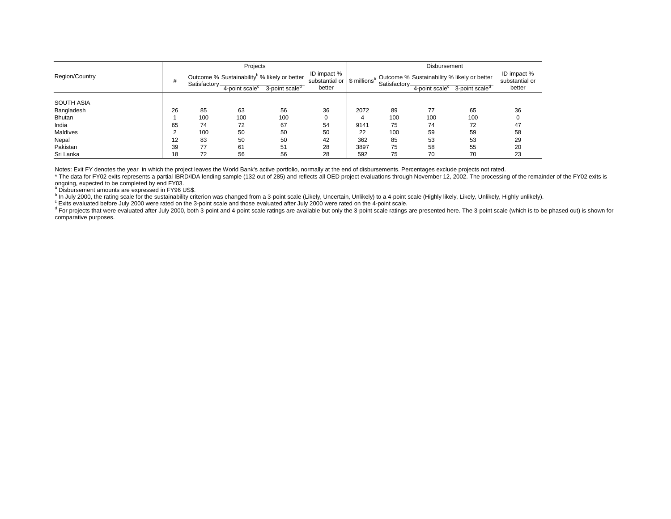|                   |    |               | Projects                                                 |                            |                                                          |      |               | Disbursement               |                                             |                               |
|-------------------|----|---------------|----------------------------------------------------------|----------------------------|----------------------------------------------------------|------|---------------|----------------------------|---------------------------------------------|-------------------------------|
| Region/Country    | #  |               | Outcome % Sustainability <sup>b</sup> % likely or better |                            | ID impact %<br>substantial or   \$ millions <sup>a</sup> |      |               |                            | Outcome % Sustainability % likely or better | ID impact %<br>substantial or |
|                   |    | Satisfactory- | $4$ -point scale $c$                                     | 3-point scale <sup>d</sup> | better                                                   |      | Satisfactory- | 4-point scale <sup>c</sup> | 3-point scale <sup>d</sup>                  | better                        |
| <b>SOUTH ASIA</b> |    |               |                                                          |                            |                                                          |      |               |                            |                                             |                               |
| Bangladesh        | 26 | 85            | 63                                                       | 56                         | 36                                                       | 2072 | 89            | 77                         | 65                                          | 36                            |
| <b>Bhutan</b>     |    | 100           | 100                                                      | 100                        |                                                          | Δ    | 100           | 100                        | 100                                         |                               |
| India             | 65 | 74            | 72                                                       | 67                         | 54                                                       | 9141 | 75            | 74                         | 72                                          | 47                            |
| Maldives          | ◠  | 100           | 50                                                       | 50                         | 50                                                       | 22   | 100           | 59                         | 59                                          | 58                            |
| Nepal             | 12 | 83            | 50                                                       | 50                         | 42                                                       | 362  | 85            | 53                         | 53                                          | 29                            |
| Pakistan          | 39 | 77            | 61                                                       | 51                         | 28                                                       | 3897 | 75            | 58                         | 55                                          | 20                            |
| Sri Lanka         | 18 | 72            | 56                                                       | 56                         | 28                                                       | 592  | 75            | 70                         | 70                                          | 23                            |

Notes: Exit FY denotes the year in which the project leaves the World Bank's active portfolio, normally at the end of disbursements. Percentages exclude projects not rated.

\* The data for FY02 exits represents a partial IBRD/IDA lending sample (132 out of 285) and reflects all OED project evaluations through November 12, 2002. The processing of the remainder of the FY02 exits is is ongoing, expected to be completed by end FY03.<br>a Disbursement amounts are expressed in FY96 US\$.

b In July 2000, the rating scale for the sustainability criterion was changed from a 3-point scale (Likely, Uncertain, Unlikely) to a 4-point scale (Highly likely, Likely, Unlikely, Highly unlikely).

Throuty 2000, the rating scale for the sustainability chicken was changed from a copent scale (encity, chicken, children, children, or results, and the several the section of the 4-point scale.<br><sup>8</sup> For projects that were e comparative purposes.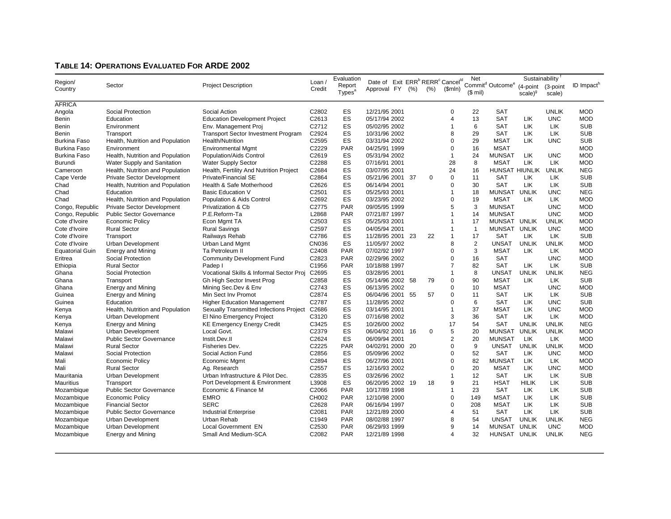#### **TABLE 14: OPERATIONS EVALUATED FOR ARDE 2002**

|                        |                                   |                                            |                   | Evaluation               |                                                                                         |  |             |                | Net            |                                          | Sustainability |              |                        |
|------------------------|-----------------------------------|--------------------------------------------|-------------------|--------------------------|-----------------------------------------------------------------------------------------|--|-------------|----------------|----------------|------------------------------------------|----------------|--------------|------------------------|
| Region/<br>Country     | Sector                            | <b>Project Description</b>                 | Loan<br>Credit    | Report                   | Date of Exit ERR <sup>b</sup> RERR <sup>c</sup> Cancel <sup>ld</sup><br>Approval FY (%) |  | $(\%)$      | \$mIn)         |                | Commit <sup>d</sup> Outcome <sup>e</sup> | (4-point       | (3-point     | ID Impact <sup>h</sup> |
|                        |                                   |                                            |                   | Types <sup>a</sup>       |                                                                                         |  |             |                | $($$ mil)      |                                          | $scale)^{9}$   | scale)       |                        |
| <b>AFRICA</b>          |                                   |                                            |                   |                          |                                                                                         |  |             |                |                |                                          |                |              |                        |
| Angola                 | Social Protection                 | Social Action                              | C2802             | ES                       | 12/21/95 2001                                                                           |  |             | $\Omega$       | 22             | <b>SAT</b>                               |                | <b>UNLIK</b> | <b>MOD</b>             |
| Benin                  | Education                         | <b>Education Development Project</b>       | C2613             | ES                       | 05/17/94 2002                                                                           |  |             | $\overline{4}$ | 13             | <b>SAT</b>                               | LIK            | <b>UNC</b>   | <b>MOD</b>             |
| Benin                  | Environment                       | Env. Management Proj                       | C2712             | ES                       | 05/02/95 2002                                                                           |  |             | 1              | 6              | <b>SAT</b>                               | <b>LIK</b>     | <b>LIK</b>   | <b>SUB</b>             |
|                        |                                   | <b>Transport Sector Investment Program</b> | C2924             | ES                       | 10/31/96 2002                                                                           |  |             | 8              | 29             | <b>SAT</b>                               | LIK            | <b>LIK</b>   | <b>SUB</b>             |
| Benin                  | Transport                         | Health/Nutrition                           | C2595             | ES                       | 03/31/94 2002                                                                           |  |             | $\Omega$       | 29             | <b>MSAT</b>                              | <b>LIK</b>     | <b>UNC</b>   | <b>SUB</b>             |
| Burkina Faso           | Health, Nutrition and Population  |                                            |                   |                          |                                                                                         |  |             | $\mathbf 0$    |                |                                          |                |              |                        |
| <b>Burkina Faso</b>    | Environment                       | <b>Environmental Mgmt</b>                  | C2229             | <b>PAR</b>               | 04/25/91 1999                                                                           |  |             |                | 16             | <b>MSAT</b>                              |                |              | <b>MOD</b>             |
| <b>Burkina Faso</b>    | Health, Nutrition and Population  | Population/Aids Control                    | C2619             | ES                       | 05/31/94 2002                                                                           |  |             | $\mathbf{1}$   | 24             | <b>MUNSAT</b>                            | LIK            | <b>UNC</b>   | <b>MOD</b>             |
| Burundi                | Water Supply and Sanitation       | <b>Water Supply Sector</b>                 | C2288             | ES                       | 07/16/91 2001                                                                           |  |             | 28             | 8              | <b>MSAT</b>                              | LIK            | LIK          | <b>MOD</b>             |
| Cameroon               | Health, Nutrition and Population  | Health, Fertility And Nutrition Project    | C2684             | ES                       | 03/07/95 2001                                                                           |  |             | 24             | 16             | HUNSAT HIUNLIK                           |                | <b>UNLIK</b> | <b>NEG</b>             |
| Cape Verde             | <b>Private Sector Development</b> | <b>Private/Financial SE</b>                | C2864             | ES                       | 05/21/96 2001 37                                                                        |  | $\Omega$    | $\mathbf 0$    | 11             | <b>SAT</b>                               | LIK            | <b>LIK</b>   | <b>SUB</b>             |
| Chad                   | Health, Nutrition and Population  | Health & Safe Motherhood                   | C2626             | ES                       | 06/14/94 2001                                                                           |  |             | $\mathbf 0$    | 30             | <b>SAT</b>                               | LIK            | <b>LIK</b>   | <b>SUB</b>             |
| Chad                   | Education                         | <b>Basic Education V</b>                   | C2501             | ES                       | 05/25/93 2001                                                                           |  |             | 1              | 18             | <b>MUNSAT</b>                            | <b>UNLIK</b>   | <b>UNC</b>   | <b>NEG</b>             |
| Chad                   | Health, Nutrition and Population  | Population & Aids Control                  | C2692             | ES                       | 03/23/95 2002                                                                           |  |             | $\mathbf 0$    | 19             | <b>MSAT</b>                              | <b>LIK</b>     | <b>LIK</b>   | <b>MOD</b>             |
| Congo, Republic        | <b>Private Sector Development</b> | Privatization & Cb                         | C2775             | <b>PAR</b>               | 09/05/95 1999                                                                           |  |             | 5              | 3              | <b>MUNSAT</b>                            |                | <b>UNC</b>   | <b>MOD</b>             |
| Congo, Republic        | <b>Public Sector Governance</b>   | P.E.Reform-Ta                              | L2868             | <b>PAR</b>               | 07/21/87 1997                                                                           |  |             | 1              | 14             | <b>MUNSAT</b>                            |                | <b>UNC</b>   | <b>MOD</b>             |
| Cote d'Ivoire          | Economic Policy                   | Econ Mgmt TA                               | C2503             | ES                       | 05/25/93 2001                                                                           |  |             | 1              | 17             | MUNSAT UNLIK                             |                | <b>UNLIK</b> | <b>MOD</b>             |
| Cote d'Ivoire          | <b>Rural Sector</b>               | <b>Rural Savings</b>                       | C2597             | ES                       | 04/05/94 2001                                                                           |  |             | 1              | $\overline{1}$ | MUNSAT UNLIK                             |                | <b>UNC</b>   | <b>MOD</b>             |
| Cote d'Ivoire          | Transport                         | Railways Rehab                             | C2786             | ES                       | 11/28/95 2001 23                                                                        |  | 22          | $\mathbf{1}$   | 17             | <b>SAT</b>                               | <b>LIK</b>     | <b>LIK</b>   | <b>SUB</b>             |
| Cote d'Ivoire          | <b>Urban Development</b>          | Urban Land Mgmt                            | <b>CN036</b>      | ES                       | 11/05/97 2002                                                                           |  |             | 8              | 2              | <b>UNSAT</b>                             | <b>UNLIK</b>   | <b>UNLIK</b> | <b>MOD</b>             |
| <b>Equatorial Guin</b> | <b>Energy and Mining</b>          | Ta Petroleum II                            | C2408             | PAR                      | 07/02/92 1997                                                                           |  |             | $\mathbf 0$    | 3              | <b>MSAT</b>                              | <b>LIK</b>     | <b>LIK</b>   | <b>MOD</b>             |
| Eritrea                | Social Protection                 | <b>Community Development Fund</b>          | C2823             | <b>PAR</b>               | 02/29/96 2002                                                                           |  |             | $\mathbf 0$    | 16             | <b>SAT</b>                               |                | <b>UNC</b>   | <b>MOD</b>             |
| Ethiopia               | <b>Rural Sector</b>               | Padep I                                    | C1956             | <b>PAR</b>               | 10/18/88 1997                                                                           |  |             | $\overline{7}$ | 82             | <b>SAT</b>                               | LIK            | <b>LIK</b>   | <b>SUB</b>             |
| Ghana                  | Social Protection                 | Vocational Skills & Informal Sector Proj   | C <sub>2695</sub> | ES                       | 03/28/95 2001                                                                           |  |             | 1              | 8              | <b>UNSAT</b>                             | <b>UNLIK</b>   | <b>UNLIK</b> | <b>NEG</b>             |
| Ghana                  | Transport                         | Gh High Sector Invest Prog                 | C2858             | ES                       | 05/14/96 2002 58                                                                        |  | 79          | $\mathbf 0$    | 90             | <b>MSAT</b>                              | <b>LIK</b>     | <b>LIK</b>   | <b>SUB</b>             |
| Ghana                  | <b>Energy and Mining</b>          | Mining Sec.Dev & Env                       | C2743             | ES                       | 06/13/95 2002                                                                           |  |             | $\mathbf 0$    | 10             | <b>MSAT</b>                              |                | <b>UNC</b>   | <b>MOD</b>             |
| Guinea                 | <b>Energy and Mining</b>          | Min Sect Inv Promot                        | C2874             | ES                       | 06/04/96 2001 55                                                                        |  | 57          | $\mathbf 0$    | 11             | <b>SAT</b>                               | LIK            | <b>LIK</b>   | <b>SUB</b>             |
| Guinea                 | Education                         | <b>Higher Education Management</b>         | C2787             | ES                       | 11/28/95 2002                                                                           |  |             | $\mathbf 0$    | 6              | <b>SAT</b>                               | LIK            | <b>UNC</b>   | <b>SUB</b>             |
| Kenya                  | Health, Nutrition and Population  | Sexually Transmitted Infections Project    | C2686             | ES                       | 03/14/95 2001                                                                           |  |             | 1              | 37             | <b>MSAT</b>                              | LIK            | <b>UNC</b>   | <b>MOD</b>             |
| Kenya                  | <b>Urban Development</b>          | El Nino Emergency Project                  | C3120             | ES                       | 07/16/98 2002                                                                           |  |             | 3              | 36             | <b>SAT</b>                               | LIK            | <b>LIK</b>   | <b>MOD</b>             |
| Kenya                  | <b>Energy and Mining</b>          | <b>KE Emergency Energy Credit</b>          | C3425             | ES                       | 10/26/00 2002                                                                           |  |             | 17             | 54             | <b>SAT</b>                               | <b>UNLIK</b>   | <b>UNLIK</b> | <b>NEG</b>             |
| Malawi                 | <b>Urban Development</b>          | Local Govt.                                | C2379             | ES                       | 06/04/92 2001 16                                                                        |  | $\mathbf 0$ | 5              | 20             | <b>MUNSAT</b>                            | <b>UNLIK</b>   | <b>UNLIK</b> | <b>MOD</b>             |
| Malawi                 | <b>Public Sector Governance</b>   | Instit.Dev.II                              | C2624             | ES                       | 06/09/94 2001                                                                           |  |             | $\overline{2}$ | 20             | <b>MUNSAT</b>                            | <b>LIK</b>     | <b>LIK</b>   | <b>MOD</b>             |
| Malawi                 | <b>Rural Sector</b>               | Fisheries Dev.                             | C2225             | PAR                      | 04/02/91 2000 20                                                                        |  |             | $\mathbf 0$    | 9              | <b>UNSAT</b>                             | <b>UNLIK</b>   | <b>UNLIK</b> | <b>MOD</b>             |
| Malawi                 | Social Protection                 | Social Action Fund                         | C2856             | ES                       | 05/09/96 2002                                                                           |  |             | $\Omega$       | 52             | <b>SAT</b>                               | <b>LIK</b>     | <b>UNC</b>   | <b>MOD</b>             |
| Mali                   | <b>Economic Policy</b>            | Economic Mgmt                              | C2894             | ES                       | 06/27/96 2001                                                                           |  |             | $\mathbf 0$    | 82             | <b>MUNSAT</b>                            | <b>LIK</b>     | LIK          | <b>MOD</b>             |
| Mali                   | <b>Rural Sector</b>               | Ag. Research                               | C2557             | ES                       | 12/16/93 2002                                                                           |  |             | $\mathbf 0$    | 20             | <b>MSAT</b>                              | <b>LIK</b>     | <b>UNC</b>   | <b>MOD</b>             |
| Mauritania             | Urban Development                 | Urban Infrastructure & Pilot Dec.          | C2835             | ES                       | 03/26/96 2002                                                                           |  |             | $\mathbf{1}$   | 12             | <b>SAT</b>                               | LIK            | LIK          | <b>SUB</b>             |
| <b>Mauritius</b>       | Transport                         | Port Development & Environment             | L3908             | ES                       | 06/20/95 2002 19                                                                        |  | 18          | 9              | 21             | <b>HSAT</b>                              | <b>HILIK</b>   | LIK          | <b>SUB</b>             |
| Mozambique             | <b>Public Sector Governance</b>   | Economic & Finance M                       | C2066             | <b>PAR</b>               | 10/17/89 1998                                                                           |  |             | $\mathbf{1}$   | 23             | <b>SAT</b>                               | <b>LIK</b>     | LIK          | <b>SUB</b>             |
| Mozambique             | <b>Economic Policy</b>            | <b>EMRO</b>                                | CH002             | <b>PAR</b>               | 12/10/98 2000                                                                           |  |             | $\mathbf 0$    | 149            | <b>MSAT</b>                              | LIK            | LIK          | <b>SUB</b>             |
| Mozambique             | <b>Financial Sector</b>           | <b>SERC</b>                                | C2628             | <b>PAR</b>               | 06/16/94 1997                                                                           |  |             | $\mathbf 0$    | 208            | <b>MSAT</b>                              | <b>LIK</b>     | LIK          | <b>SUB</b>             |
|                        |                                   |                                            |                   |                          |                                                                                         |  |             | $\overline{4}$ |                |                                          |                | <b>LIK</b>   | <b>SUB</b>             |
| Mozambique             | <b>Public Sector Governance</b>   | <b>Industrial Enterprise</b>               | C2081             | <b>PAR</b><br><b>PAR</b> | 12/21/89 2000                                                                           |  |             | 8              | 51<br>54       | <b>SAT</b><br><b>UNSAT</b>               | LIK            | <b>UNLIK</b> | <b>NEG</b>             |
| Mozambique             | Urban Development                 | Urban Rehab                                | C1949             |                          | 08/02/88 1997                                                                           |  |             |                |                |                                          | <b>UNLIK</b>   | <b>UNC</b>   |                        |
| Mozambique             | Urban Development                 | <b>Local Government EN</b>                 | C2530             | <b>PAR</b>               | 06/29/93 1999                                                                           |  |             | 9<br>$\Delta$  | 14<br>32       | MUNSAT                                   | <b>UNLIK</b>   |              | <b>MOD</b>             |
| Mozambique             | Energy and Mining                 | Small And Medium-SCA                       | C2082             | <b>PAR</b>               | 12/21/89 1998                                                                           |  |             |                |                | HUNSAT UNLIK                             |                | <b>UNLIK</b> | <b>NEG</b>             |
|                        |                                   |                                            |                   |                          |                                                                                         |  |             |                |                |                                          |                |              |                        |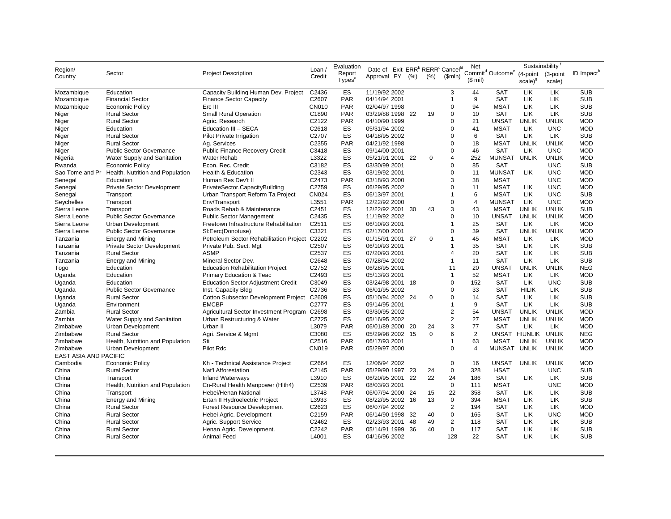|                              |                                                  |                                               |                   | Evaluation              |                                                                      |     |             |                    | Net            |                                          |               | Sustainability |                        |
|------------------------------|--------------------------------------------------|-----------------------------------------------|-------------------|-------------------------|----------------------------------------------------------------------|-----|-------------|--------------------|----------------|------------------------------------------|---------------|----------------|------------------------|
| Region/                      | Sector                                           | <b>Project Description</b>                    | Loan/             | Report                  | Date of Exit ERR <sup>b</sup> RERR <sup>c</sup> Cancel <sup>ld</sup> |     |             |                    |                | Commit <sup>d</sup> Outcome <sup>e</sup> | (4-point      | (3-point       | ID Impact <sup>h</sup> |
| Country                      |                                                  |                                               | Credit            | Types <sup>a</sup>      | Approval FY (%)                                                      |     | (%)         | (Smln)             | $($$ mil)      |                                          | $scale)^{9}$  | scale)         |                        |
|                              |                                                  |                                               |                   |                         |                                                                      |     |             |                    |                |                                          |               |                |                        |
| Mozambique                   | Education                                        | Capacity Building Human Dev. Project          | C2436             | ES                      | 11/19/92 2002                                                        |     |             | 3                  | 44             | <b>SAT</b>                               | LIK           | LIK            | <b>SUB</b>             |
| Mozambique                   | <b>Financial Sector</b>                          | <b>Finance Sector Capacity</b>                | C2607             | <b>PAR</b>              | 04/14/94 2001                                                        |     |             | $\mathbf{1}$       | 9              | <b>SAT</b>                               | LIK           | LIK            | <b>SUB</b>             |
| Mozambique                   | <b>Economic Policy</b>                           | Erc III                                       | CN010             | <b>PAR</b>              | 02/04/97 1998                                                        |     |             | $\mathbf 0$        | 94             | <b>MSAT</b>                              | LIK           | LIK            | <b>SUB</b>             |
| Niger                        | <b>Rural Sector</b>                              | <b>Small Rural Operation</b>                  | C1890             | <b>PAR</b>              | 03/29/88 1998 22                                                     |     | 19          | $\mathbf 0$        | 10             | <b>SAT</b>                               | LIK           | LIK            | <b>SUB</b>             |
| Niger                        | <b>Rural Sector</b>                              | Agric. Research                               | C2122             | <b>PAR</b>              | 04/10/90 1999                                                        |     |             | $\mathbf 0$        | 21             | <b>UNSAT</b>                             | <b>UNLIK</b>  | <b>UNLIK</b>   | <b>MOD</b>             |
| Niger                        | Education                                        | Education III - SECA                          | C2618             | ES                      | 05/31/94 2002                                                        |     |             | $\Omega$           | 41             | <b>MSAT</b>                              | LIK           | <b>UNC</b>     | <b>MOD</b>             |
| Niger                        | <b>Rural Sector</b>                              | <b>Pilot Private Irrigation</b>               | C2707             | ES                      | 04/18/95 2002                                                        |     |             | $\Omega$           | 6              | <b>SAT</b>                               | LIK           | LIK            | <b>SUB</b>             |
| Niger                        | <b>Rural Sector</b>                              | Ag. Services                                  | C2355             | <b>PAR</b>              | 04/21/92 1998                                                        |     |             | $\mathbf 0$        | 18             | <b>MSAT</b>                              | <b>UNLIK</b>  | <b>UNLIK</b>   | <b>MOD</b>             |
| Niger                        | <b>Public Sector Governance</b>                  | <b>Public Finance Recovery Credit</b>         | C3418             | ES                      | 09/14/00 2001                                                        |     |             | $\mathbf 0$        | 46             | <b>SAT</b>                               | <b>LIK</b>    | <b>UNC</b>     | <b>MOD</b>             |
| Nigeria                      | Water Supply and Sanitation                      | <b>Water Rehab</b>                            | L3322             | ES                      | 05/21/91 2001 22                                                     |     | $\Omega$    | $\overline{4}$     | 252            | <b>MUNSAT</b>                            | <b>UNLIK</b>  | <b>UNLIK</b>   | <b>MOD</b>             |
| Rwanda                       | Economic Policy                                  | Econ. Rec. Credit                             | C3182             | ES                      | 03/30/99 2001                                                        |     |             | $\Omega$           | 85             | <b>SAT</b>                               |               | <b>UNC</b>     | <b>SUB</b>             |
|                              | Sao Tome and Pr Health, Nutrition and Population | <b>Health &amp; Education</b>                 | C2343             | ES                      | 03/19/92 2001                                                        |     |             | $\mathbf 0$        | 11             | <b>MUNSAT</b>                            | <b>LIK</b>    | <b>UNC</b>     | <b>MOD</b>             |
| Senegal                      | Education                                        | Human Res Dev't II                            | C2473             | <b>PAR</b>              | 03/18/93 2000                                                        |     |             | 3                  | 38             | <b>MSAT</b>                              |               | <b>UNC</b>     | <b>MOD</b>             |
| Senegal                      | Private Sector Development                       | PrivateSector.CapacityBuilding                | C2759             | ES                      | 06/29/95 2002                                                        |     |             | $\mathbf 0$        | 11             | <b>MSAT</b>                              | LIK           | <b>UNC</b>     | <b>MOD</b>             |
| Senegal                      | Transport                                        | Urban Transport Reform Ta Project             | <b>CN024</b>      | ES                      | 06/13/97 2001                                                        |     |             | 1                  | 6              | <b>MSAT</b>                              | LIK           | <b>UNC</b>     | <b>SUB</b>             |
| Seychelles                   | Transport                                        | Env/Transport                                 | L3551             | <b>PAR</b>              | 12/22/92 2000                                                        |     |             | $\mathbf 0$        | 4              | <b>MUNSAT</b>                            | <b>LIK</b>    | <b>UNC</b>     | <b>MOD</b>             |
| Sierra Leone                 | Transport                                        | Roads Rehab & Maintenance                     | C2451             | ES                      | 12/22/92 2001 30                                                     |     | 43          | 3                  | 43             | <b>MSAT</b>                              | <b>UNLIK</b>  | <b>UNLIK</b>   | <b>SUB</b>             |
| Sierra Leone                 | <b>Public Sector Governance</b>                  | <b>Public Sector Management</b>               | C2435             | ES                      | 11/19/92 2002                                                        |     |             | $\Omega$           | 10             | <b>UNSAT</b>                             | <b>UNLIK</b>  | <b>UNLIK</b>   | <b>MOD</b>             |
| Sierra Leone                 | Urban Development                                | Freetown Infrastructure Rehabilitation        | C2511             | ES                      | 06/10/93 2001                                                        |     |             | 1                  | 25             | <b>SAT</b>                               | LIK           | LIK            | <b>MOD</b>             |
| Sierra Leone                 | <b>Public Sector Governance</b>                  | SI:Eerc(Donotuse)                             | C3321             | ES                      | 02/17/00 2001                                                        |     |             | $\mathbf 0$        | 39             | SAT                                      | <b>UNLIK</b>  | <b>UNLIK</b>   | <b>MOD</b>             |
| Tanzania                     | <b>Energy and Mining</b>                         | Petroleum Sector Rehabilitation Project C2202 |                   | ES                      | 01/15/91 2001 27                                                     |     | 0           | $\mathbf{1}$       | 45             | <b>MSAT</b>                              | <b>LIK</b>    | LIK            | <b>MOD</b>             |
| Tanzania                     | <b>Private Sector Development</b>                | Private Pub. Sect. Mgt                        | C2507             | ES                      | 06/10/93 2001                                                        |     |             | $\mathbf{1}$       | 35             | <b>SAT</b>                               | LIK           | LIK            | <b>SUB</b>             |
| Tanzania                     | <b>Rural Sector</b>                              | <b>ASMP</b>                                   | C2537             | ES                      | 07/20/93 2001                                                        |     |             | $\overline{4}$     | 20             | <b>SAT</b>                               | LIK           | LIK            | <b>SUB</b>             |
| Tanzania                     | <b>Energy and Mining</b>                         | Mineral Sector Dev.                           | C2648             | ES                      | 07/28/94 2002                                                        |     |             | $\mathbf{1}$       | 11             | <b>SAT</b>                               | LIK           | LIK            | <b>SUB</b>             |
| Togo                         | Education                                        | <b>Education Rehabilitation Project</b>       | C2752             | ES                      | 06/28/95 2001                                                        |     |             | 11                 | 20             | <b>UNSAT</b>                             | <b>UNLIK</b>  | <b>UNLIK</b>   | <b>NEG</b>             |
| Uganda                       | Education                                        | <b>Primary Education &amp; Teac</b>           | C2493             | ES                      | 05/13/93 2001                                                        |     |             | $\mathbf{1}$       | 52             | <b>MSAT</b>                              | <b>LIK</b>    | LIK            | <b>MOD</b>             |
| Uganda                       | Education                                        | <b>Education Sector Adjustment Credit</b>     | C3049             | ES                      | 03/24/98 2001 18                                                     |     |             | $\pmb{0}$          | 152            | <b>SAT</b>                               | LIK           | <b>UNC</b>     | <b>SUB</b>             |
| Uganda                       | <b>Public Sector Governance</b>                  | Inst. Capacity Bldg                           | C2736             | ES                      | 06/01/95 2002                                                        |     |             | $\mathbf 0$        | 33             | <b>SAT</b>                               | <b>HILIK</b>  | LIK            | <b>SUB</b>             |
| Uganda                       | <b>Rural Sector</b>                              | <b>Cotton Subsector Development Project</b>   | C <sub>2609</sub> | ES                      | 05/10/94 2002 24                                                     |     | $\Omega$    | $\mathbf 0$        | 14             | <b>SAT</b>                               | <b>LIK</b>    | LIK            | <b>SUB</b>             |
| Uganda                       | Environment                                      | <b>EMCBP</b>                                  | C2777             | ES                      | 09/14/95 2001                                                        |     |             | $\mathbf{1}$       | 9              | <b>SAT</b>                               | LIK           | LIK            | <b>SUB</b>             |
| Zambia                       | <b>Rural Sector</b>                              | Agricultural Sector Investment Program C2698  |                   | ES                      | 03/30/95 2002                                                        |     |             | $\overline{2}$     | 54             | UNSAT                                    | <b>UNLIK</b>  | <b>UNLIK</b>   | <b>MOD</b>             |
| Zambia                       | Water Supply and Sanitation                      | Urban Restructuring & Water                   | C2725             | ES                      | 05/16/95 2002                                                        |     |             | $\overline{2}$     | 27             | <b>MSAT</b>                              | <b>UNLIK</b>  | <b>UNLIK</b>   | <b>MOD</b>             |
| Zimbabwe                     | <b>Urban Development</b>                         | Urban II                                      | L3079             | <b>PAR</b>              | 06/01/89 2000                                                        | -20 | 24          | 3                  | 77             | <b>SAT</b>                               | <b>LIK</b>    | LIK            | <b>MOD</b>             |
| Zimbabwe                     | <b>Rural Sector</b>                              | Agri. Service & Mgmt                          | C3080             | ES                      | 05/29/98 2002 15                                                     |     | $\mathbf 0$ | 6                  | $\overline{2}$ |                                          | UNSAT HIUNLIK | <b>UNLIK</b>   | <b>NEG</b>             |
| Zimbabwe                     | Health, Nutrition and Population                 | Sti                                           | C2516             | <b>PAR</b>              | 06/17/93 2001                                                        |     |             | $\mathbf{1}$       | 63             | <b>MSAT</b>                              | <b>UNLIK</b>  | <b>UNLIK</b>   | <b>MOD</b>             |
| Zimbabwe                     | <b>Urban Development</b>                         | Pilot Rdc                                     | CN019             | <b>PAR</b>              | 05/29/97 2000                                                        |     |             | $\mathbf 0$        | $\overline{4}$ | <b>MUNSAT</b>                            | <b>UNLIK</b>  | <b>UNLIK</b>   | <b>MOD</b>             |
| <b>EAST ASIA AND PACIFIC</b> |                                                  |                                               |                   |                         |                                                                      |     |             |                    |                |                                          |               |                |                        |
| Cambodia                     | <b>Economic Policy</b>                           | Kh - Technical Assistance Project             | C2664             | ES                      | 12/06/94 2002                                                        |     |             | $\pmb{0}$          | 16             | <b>UNSAT</b>                             | <b>UNLIK</b>  | <b>UNLIK</b>   | <b>MOD</b>             |
| China                        | <b>Rural Sector</b>                              | Nat'l Afforestation                           | C2145             | <b>PAR</b>              | 05/29/90 1997 23                                                     |     | 24          | $\mathbf 0$        | 328            | <b>HSAT</b>                              |               | <b>UNC</b>     | <b>SUB</b>             |
| China                        | Transport                                        | <b>Inland Waterways</b>                       | L3910             | ES                      | 06/20/95 2001                                                        | 22  | 22          | 24                 | 186            | <b>SAT</b>                               | LIK           | LIK.           | <b>SUB</b>             |
| China                        | Health, Nutrition and Population                 | Cn-Rural Health Manpower (Hlth4)              | C2539             | <b>PAR</b>              | 08/03/93 2001                                                        |     |             | $\mathbf 0$        | 111            | <b>MSAT</b>                              |               | <b>UNC</b>     | <b>MOD</b>             |
| China                        | Transport                                        | Hebei/Henan National                          | L3748             | PAR                     | 06/07/94 2000 24                                                     |     | 15          | 22                 | 358            | <b>SAT</b>                               | LIK           | LIK            | <b>SUB</b>             |
| China                        | <b>Energy and Mining</b>                         | Ertan II Hydroelectric Project                | L3933             | ES                      | 08/22/95 2002 16                                                     |     | 13          | $\mathbf 0$        | 394            | <b>MSAT</b>                              | LIK           | LIK            | <b>SUB</b>             |
|                              |                                                  |                                               |                   | ES                      |                                                                      |     |             | $\overline{2}$     | 194            | <b>SAT</b>                               |               | LIK            | <b>MOD</b>             |
| China<br>China               | <b>Rural Sector</b><br><b>Rural Sector</b>       | <b>Forest Resource Development</b>            | C2623<br>C2159    | PAR                     | 06/07/94 2002<br>06/14/90 1998                                       |     | 40          | $\Omega$           | 165            | <b>SAT</b>                               | LIK<br>LIK    | <b>UNC</b>     | <b>MOD</b>             |
|                              |                                                  | Hebei Agric. Development                      |                   |                         |                                                                      | -32 |             |                    |                |                                          |               |                |                        |
| China                        | <b>Rural Sector</b>                              | Agric. Support Service                        | C2462             | ES                      | 02/23/93 2001                                                        | 48  | 49          | $\overline{2}$     | 118            | SAT                                      | LIK           | LIK            | <b>SUB</b>             |
| China                        | <b>Rural Sector</b>                              | Henan Agric. Development.                     | C2242             | <b>PAR</b><br><b>ES</b> | 05/14/91 1999                                                        | 36  | 40          | $\mathbf 0$<br>128 | 117            | <b>SAT</b>                               | LIK           | <b>LIK</b>     | <b>SUB</b>             |
| China                        | <b>Rural Sector</b>                              | <b>Animal Feed</b>                            | L4001             |                         | 04/16/96 2002                                                        |     |             |                    | 22             | <b>SAT</b>                               | LIK           | <b>LIK</b>     | <b>SUB</b>             |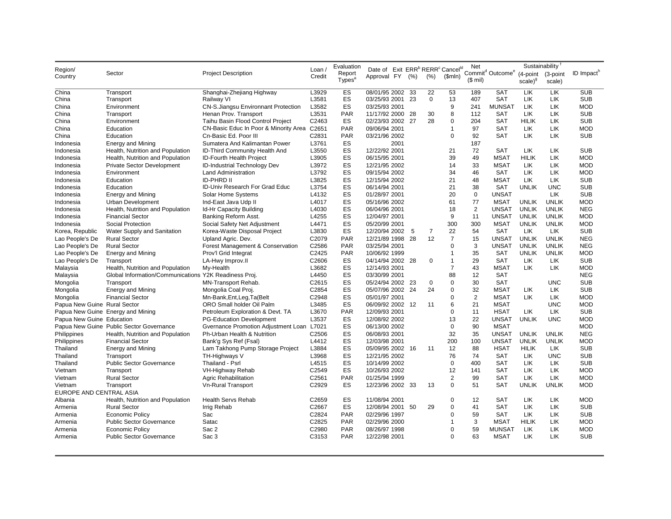|                              |                                                       |                                             |        | Evaluation         |                                                                      |      |                |                | Net            |                                                   | Sustainability      |              |                        |
|------------------------------|-------------------------------------------------------|---------------------------------------------|--------|--------------------|----------------------------------------------------------------------|------|----------------|----------------|----------------|---------------------------------------------------|---------------------|--------------|------------------------|
| Region/                      | Sector                                                | <b>Project Description</b>                  | Loan   | Report             | Date of Exit ERR <sup>b</sup> RERR <sup>c</sup> Cancel <sup>ld</sup> |      |                |                |                | Commit <sup>d</sup> Outcome <sup>e</sup> (4-point |                     | (3-point     | ID Impact <sup>h</sup> |
| Country                      |                                                       |                                             | Credit | Types <sup>®</sup> | Approval FY (%)                                                      |      | (%)            | \$mIn)         | $($$ mil)      |                                                   | scale) <sup>g</sup> | scale)       |                        |
|                              |                                                       |                                             |        |                    |                                                                      |      |                |                |                |                                                   |                     |              |                        |
| China                        | Transport                                             | Shanghai-Zhejiang Highway                   | L3929  | ES                 | 08/01/95 2002 33                                                     |      | 22             | 53             | 189            | <b>SAT</b>                                        | LIK                 | LIK          | <b>SUB</b>             |
| China                        | Transport                                             | Railway VI                                  | L3581  | ES                 | 03/25/93 2001 23                                                     |      | $\mathbf 0$    | 13             | 407            | <b>SAT</b>                                        | LIK                 | LIK          | <b>SUB</b>             |
| China                        | Environment                                           | CN-S.Jiangsu Environnant Protection         | L3582  | ES                 | 03/25/93 2001                                                        |      |                | 9              | 241            | <b>MUNSAT</b>                                     | LIK                 | LIK          | <b>MOD</b>             |
| China                        | Transport                                             | Henan Prov. Transport                       | L3531  | PAR                | 11/17/92 2000 28                                                     |      | 30             | 8              | 112            | <b>SAT</b>                                        | LIK                 | LIK          | <b>SUB</b>             |
| China                        | Environment                                           | Taihu Basin Flood Control Project           | C2463  | ES                 | 02/23/93 2002 27                                                     |      | 28             | $\pmb{0}$      | 204            | <b>SAT</b>                                        | <b>HILIK</b>        | LIK          | <b>SUB</b>             |
| China                        | Education                                             | CN-Basic Educ In Poor & Minority Area C2651 |        | <b>PAR</b>         | 09/06/94 2001                                                        |      |                | $\mathbf{1}$   | 97             | SAT                                               | LIK                 | LIK          | <b>MOD</b>             |
| China                        | Education                                             | Cn-Basic Ed. Poor III                       | C2831  | <b>PAR</b>         | 03/21/96 2002                                                        |      |                | $\mathbf 0$    | 92             | <b>SAT</b>                                        | <b>LIK</b>          | LIK          | <b>SUB</b>             |
| Indonesia                    | Energy and Mining                                     | Sumatera And Kalimantan Power               | L3761  | ES                 |                                                                      | 2001 |                |                | 187            |                                                   |                     |              |                        |
| Indonesia                    | Health, Nutrition and Population                      | ID-Third Community Health And               | L3550  | ES                 | 12/22/92 2001                                                        |      |                | 21             | 72             | <b>SAT</b>                                        | LIK                 | LIK          | <b>SUB</b>             |
| Indonesia                    | Health, Nutrition and Population                      | ID-Fourth Health Project                    | L3905  | ES                 | 06/15/95 2001                                                        |      |                | 39             | 49             | <b>MSAT</b>                                       | <b>HILIK</b>        | LIK          | <b>MOD</b>             |
| Indonesia                    | <b>Private Sector Development</b>                     | ID-Industrial Technology Dev                | L3972  | ES                 | 12/21/95 2002                                                        |      |                | 14             | 33             | <b>MSAT</b>                                       | <b>LIK</b>          | LIK          | <b>MOD</b>             |
| Indonesia                    | Environment                                           | <b>Land Administration</b>                  | L3792  | ES                 | 09/15/94 2002                                                        |      |                | 34             | 46             | <b>SAT</b>                                        | <b>LIK</b>          | LIK          | <b>MOD</b>             |
| Indonesia                    | Education                                             | <b>ID-PHRD II</b>                           | L3825  | ES                 | 12/15/94 2002                                                        |      |                | 21             | 48             | <b>MSAT</b>                                       | LIK                 | LIK          | <b>SUB</b>             |
| Indonesia                    | Education                                             | ID-Univ Research For Grad Educ              | L3754  | ES                 | 06/14/94 2001                                                        |      |                | 21             | 38             | <b>SAT</b>                                        | <b>UNLIK</b>        | <b>UNC</b>   | <b>SUB</b>             |
| Indonesia                    | <b>Energy and Mining</b>                              | Solar Home Systems                          | L4132  | ES                 | 01/28/97 2001                                                        |      |                | 20             | $\mathbf 0$    | <b>UNSAT</b>                                      |                     | <b>LIK</b>   | <b>SUB</b>             |
| Indonesia                    | Urban Development                                     | Ind-East Java Udp II                        | L4017  | ES                 | 05/16/96 2002                                                        |      |                | 61             | 77             | <b>MSAT</b>                                       | <b>UNLIK</b>        | <b>UNLIK</b> | <b>MOD</b>             |
| Indonesia                    | Health, Nutrition and Population                      | Id-Hr Capacity Building                     | L4030  | ES                 | 06/04/96 2001                                                        |      |                | 18             | $\overline{2}$ | <b>UNSAT</b>                                      | <b>UNLIK</b>        | <b>UNLIK</b> | <b>NEG</b>             |
| Indonesia                    | <b>Financial Sector</b>                               | Banking Reform Asst.                        | L4255  | ES                 | 12/04/97 2001                                                        |      |                | 9              | 11             | <b>UNSAT</b>                                      | <b>UNLIK</b>        | <b>UNLIK</b> | <b>MOD</b>             |
| Indonesia                    | Social Protection                                     | Social Safety Net Adjustment                | L4471  | ES                 | 05/20/99 2001                                                        |      |                | 300            | 300            | <b>MSAT</b>                                       | <b>UNLIK</b>        | <b>UNLIK</b> | <b>MOD</b>             |
| Korea, Republic              | Water Supply and Sanitation                           | Korea-Waste Disposal Project                | L3830  | ES                 | 12/20/94 2002 5                                                      |      | $\overline{7}$ | 22             | 54             | <b>SAT</b>                                        | <b>LIK</b>          | <b>LIK</b>   | <b>SUB</b>             |
| Lao People's De              | <b>Rural Sector</b>                                   | Upland Agric. Dev.                          | C2079  | PAR                | 12/21/89 1998 28                                                     |      | 12             | $\overline{7}$ | 15             | <b>UNSAT</b>                                      | <b>UNLIK</b>        | <b>UNLIK</b> | <b>NEG</b>             |
| Lao People's De              | <b>Rural Sector</b>                                   | Forest Management & Conservation            | C2586  | <b>PAR</b>         | 03/25/94 2001                                                        |      |                | 0              | 3              | <b>UNSAT</b>                                      | <b>UNLIK</b>        | <b>UNLIK</b> | <b>NEG</b>             |
| Lao People's De              | <b>Energy and Mining</b>                              | Prov'l Grid Integrat                        | C2425  | <b>PAR</b>         | 10/06/92 1999                                                        |      |                | $\mathbf{1}$   | 35             | <b>SAT</b>                                        | <b>UNLIK</b>        | <b>UNLIK</b> | <b>MOD</b>             |
| Lao People's De              | Transport                                             | LA-Hwy Improv.II                            | C2606  | ES                 | 04/14/94 2002 28                                                     |      | $\mathbf 0$    | 1              | 29             | <b>SAT</b>                                        | <b>LIK</b>          | LIK          | <b>SUB</b>             |
| Malaysia                     | Health, Nutrition and Population                      | My-Health                                   | L3682  | ES                 | 12/14/93 2001                                                        |      |                | $\overline{7}$ | 43             | <b>MSAT</b>                                       | LIK                 | LIK          | <b>MOD</b>             |
| Malaysia                     | Global Information/Communications Y2K Readiness Proj. |                                             | L4450  | ES                 | 03/30/99 2001                                                        |      |                | 88             | 12             | <b>SAT</b>                                        |                     |              | <b>NEG</b>             |
| Mongolia                     | Transport                                             | MN-Transport Rehab.                         | C2615  | ES                 | 05/24/94 2002 23                                                     |      | $\mathbf 0$    | $\pmb{0}$      | 30             | SAT                                               |                     | <b>UNC</b>   | <b>SUB</b>             |
| Mongolia                     | <b>Energy and Mining</b>                              | Mongolia Coal Proj.                         | C2854  | ES                 | 05/07/96 2002 24                                                     |      | 24             | $\mathbf 0$    | 32             | <b>MSAT</b>                                       | LIK                 | LIK.         | <b>SUB</b>             |
| Mongolia                     | <b>Financial Sector</b>                               | Mn-Bank, Ent, Leg, Ta(Belt                  | C2948  | ES                 | 05/01/97 2001                                                        |      |                | $\Omega$       | 2              | <b>MSAT</b>                                       | LIK                 | LIK          | <b>MOD</b>             |
| Papua New Guine Rural Sector |                                                       | ORO Small holder Oil Palm                   | L3485  | ES                 | 06/09/92 2002 12                                                     |      | 11             | 6              | 21             | <b>MSAT</b>                                       |                     | <b>UNC</b>   | <b>MOD</b>             |
|                              | Papua New Guine Energy and Mining                     | Petroleum Exploration & Devt. TA            | L3670  | <b>PAR</b>         | 12/09/93 2001                                                        |      |                | $\mathbf 0$    | 11             | <b>HSAT</b>                                       | LIK                 | LIK          | <b>SUB</b>             |
| Papua New Guine Education    |                                                       | <b>PG-Education Development</b>             | L3537  | ES                 | 12/08/92 2002                                                        |      |                | 13             | 22             | <b>UNSAT</b>                                      | <b>UNLIK</b>        | <b>UNC</b>   | <b>MOD</b>             |
|                              | Papua New Guine Public Sector Governance              | Gvernance Promotion Adjustment Loan L7021   |        | ES                 | 06/13/00 2002                                                        |      |                | $\mathbf 0$    | 90             | <b>MSAT</b>                                       |                     |              | <b>MOD</b>             |
| Philippines                  | Health, Nutrition and Population                      | Ph-Urban Health & Nutrition                 | C2506  | ES                 | 06/08/93 2001                                                        |      |                | 32             | 35             | <b>UNSAT</b>                                      | <b>UNLIK</b>        | <b>UNLIK</b> | <b>NEG</b>             |
| Philippines                  | <b>Financial Sector</b>                               | Bank'g Sys Ref (Fsal)                       | L4412  | ES                 | 12/03/98 2001                                                        |      |                | 200            | 100            | <b>UNSAT</b>                                      | <b>UNLIK</b>        | <b>UNLIK</b> | <b>MOD</b>             |
| Thailand                     | <b>Energy and Mining</b>                              | Lam Takhong Pump Storage Project            | L3884  | ES                 | 05/09/95 2002 16                                                     |      | 11             | 12             | 88             | <b>HSAT</b>                                       | <b>HILIK</b>        | <b>LIK</b>   | <b>SUB</b>             |
| Thailand                     | Transport                                             | TH-Highways V                               | L3968  | ES                 | 12/21/95 2002                                                        |      |                | 76             | 74             | <b>SAT</b>                                        | LIK                 | <b>UNC</b>   | <b>SUB</b>             |
| Thailand                     | Public Sector Governance                              | Thailand - Psrl                             | L4515  | ES                 | 10/14/99 2002                                                        |      |                | $\pmb{0}$      | 400            | SAT                                               | LIK                 | LIK          | <b>SUB</b>             |
| Vietnam                      | Transport                                             | VH-Highway Rehab                            | C2549  | ES                 | 10/26/93 2002                                                        |      |                | 12             | 141            | <b>SAT</b>                                        | <b>LIK</b>          | LIK          | <b>MOD</b>             |
| Vietnam                      | <b>Rural Sector</b>                                   | <b>Agric Rehabilitation</b>                 | C2561  | <b>PAR</b>         | 01/25/94 1999                                                        |      |                | $\overline{2}$ | 99             | <b>SAT</b>                                        | LIK                 | LIK          | <b>MOD</b>             |
| Vietnam                      | Transport                                             | <b>Vn-Rural Transport</b>                   | C2929  | ES                 | 12/23/96 2002 33                                                     |      | 13             | $\mathbf 0$    | 51             | SAT                                               | <b>UNLIK</b>        | <b>UNLIK</b> | <b>MOD</b>             |
| EUROPE AND CENTRAL ASIA      |                                                       |                                             |        |                    |                                                                      |      |                |                |                |                                                   |                     |              |                        |
| Albania                      | Health, Nutrition and Population                      | <b>Health Servs Rehab</b>                   | C2659  | ES                 | 11/08/94 2001                                                        |      |                | $\mathbf 0$    | 12             | <b>SAT</b>                                        | <b>LIK</b>          | LIK          | <b>MOD</b>             |
| Armenia                      | <b>Rural Sector</b>                                   | Irrig Rehab                                 | C2667  | ES                 | 12/08/94 2001 50                                                     |      | 29             | $\pmb{0}$      | 41             | <b>SAT</b>                                        | LIK                 | LIK          | <b>SUB</b>             |
| Armenia                      | <b>Economic Policy</b>                                | Sac                                         | C2824  | <b>PAR</b>         | 02/29/96 1997                                                        |      |                | $\mathbf 0$    | 59             | <b>SAT</b>                                        | <b>LIK</b>          | LIK          | <b>SUB</b>             |
| Armenia                      | <b>Public Sector Governance</b>                       | Satac                                       | C2825  | <b>PAR</b>         | 02/29/96 2000                                                        |      |                | $\mathbf{1}$   | 3              | <b>MSAT</b>                                       | <b>HILIK</b>        | LIK          | <b>MOD</b>             |
| Armenia                      | <b>Economic Policy</b>                                | Sac 2                                       | C2980  | PAR                | 08/26/97 1998                                                        |      |                | $\Omega$       | 59             | <b>MUNSAT</b>                                     | LIK                 | LIK          | <b>MOD</b>             |
| Armenia                      | <b>Public Sector Governance</b>                       | Sac 3                                       | C3153  | <b>PAR</b>         | 12/22/98 2001                                                        |      |                | $\Omega$       | 63             | <b>MSAT</b>                                       | LIK                 | LIK          | <b>SUB</b>             |
|                              |                                                       |                                             |        |                    |                                                                      |      |                |                |                |                                                   |                     |              |                        |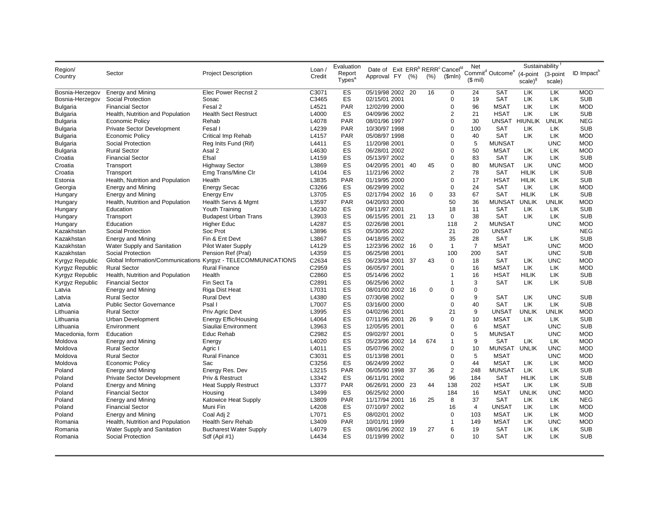|                 |                                   |                                                               |          | Evaluation         |                                                                      |     |     |                | Net            |                                          | Sustainability |              |                        |
|-----------------|-----------------------------------|---------------------------------------------------------------|----------|--------------------|----------------------------------------------------------------------|-----|-----|----------------|----------------|------------------------------------------|----------------|--------------|------------------------|
| Region/         | Sector                            | <b>Project Description</b>                                    | Loan $/$ | Report             | Date of Exit ERR <sup>b</sup> RERR <sup>c</sup> Cancel <sup>ld</sup> |     |     |                |                | Commit <sup>d</sup> Outcome <sup>e</sup> | (4-point       | (3-point     | ID Impact <sup>h</sup> |
| Country         |                                   |                                                               | Credit   | Types <sup>a</sup> | Approval FY (%)                                                      |     | (%) | \$mIn)         | $($$ mil)      |                                          | $scale)^{9}$   | scale)       |                        |
|                 |                                   |                                                               |          |                    |                                                                      |     |     |                |                |                                          |                |              |                        |
| Bosnia-Herzegov | <b>Energy and Mining</b>          | Elec Power Recnst 2                                           | C3071    | ES                 | 05/19/98 2002                                                        | -20 | 16  | 0              | 24             | <b>SAT</b>                               | LIK            | LIK          | <b>MOD</b>             |
| Bosnia-Herzegov | Social Protection                 | Sosac                                                         | C3465    | ES                 | 02/15/01 2001                                                        |     |     | $\mathbf 0$    | 19             | <b>SAT</b>                               | LIK            | LIK          | <b>SUB</b>             |
| Bulgaria        | <b>Financial Sector</b>           | Fesal 2                                                       | L4521    | PAR                | 12/02/99 2000                                                        |     |     | $\Omega$       | 96             | <b>MSAT</b>                              | LIK            | LIK          | <b>MOD</b>             |
| Bulgaria        | Health, Nutrition and Population  | <b>Health Sect Restruct</b>                                   | L4000    | ES                 | 04/09/96 2002                                                        |     |     | $\overline{2}$ | 21             | <b>HSAT</b>                              | LIK            | LIK          | <b>SUB</b>             |
| <b>Bulgaria</b> | <b>Economic Policy</b>            | Rehab                                                         | L4078    | <b>PAR</b>         | 08/01/96 1997                                                        |     |     | $\mathbf 0$    | 30             | UNSAT                                    | <b>HIUNLIK</b> | <b>UNLIK</b> | <b>NEG</b>             |
| <b>Bulgaria</b> | <b>Private Sector Development</b> | Fesal I                                                       | L4239    | <b>PAR</b>         | 10/30/97 1998                                                        |     |     | $\mathbf 0$    | 100            | <b>SAT</b>                               | LIK            | LIK          | <b>SUB</b>             |
| <b>Bulgaria</b> | <b>Economic Policy</b>            | Critical Imp Rehab                                            | L4157    | <b>PAR</b>         | 05/08/97 1998                                                        |     |     | $\mathbf 0$    | 40             | <b>SAT</b>                               | LIK            | LIK          | <b>MOD</b>             |
| <b>Bulgaria</b> | Social Protection                 | Reg Inits Fund (Rif)                                          | L4411    | ES                 | 11/20/98 2001                                                        |     |     | $\mathbf 0$    | 5              | <b>MUNSAT</b>                            |                | <b>UNC</b>   | <b>MOD</b>             |
| <b>Bulgaria</b> | <b>Rural Sector</b>               | Asal 2                                                        | L4630    | ES                 | 06/28/01 2002                                                        |     |     | $\Omega$       | 50             | <b>MSAT</b>                              | LIK            | LIK          | <b>MOD</b>             |
| Croatia         | <b>Financial Sector</b>           | Efsal                                                         | L4159    | ES                 | 05/13/97 2002                                                        |     |     | $\mathbf 0$    | 83             | <b>SAT</b>                               | LIK            | LIK          | <b>SUB</b>             |
| Croatia         | Transport                         | <b>Highway Sector</b>                                         | L3869    | ES                 | 04/20/95 2001 40                                                     |     | 45  | $\pmb{0}$      | 80             | <b>MUNSAT</b>                            | LIK            | <b>UNC</b>   | <b>MOD</b>             |
| Croatia         | Transport                         | Emg Trans/Mine CIr                                            | L4104    | ES                 | 11/21/96 2002                                                        |     |     | $\overline{2}$ | 78             | <b>SAT</b>                               | <b>HILIK</b>   | LIK          | <b>SUB</b>             |
| Estonia         | Health, Nutrition and Population  | Health                                                        | L3835    | <b>PAR</b>         | 01/19/95 2000                                                        |     |     | $\mathbf 0$    | 17             | <b>HSAT</b>                              | <b>HILIK</b>   | LIK          | <b>SUB</b>             |
| Georgia         | <b>Energy and Mining</b>          | <b>Energy Secac</b>                                           | C3266    | ES                 | 06/29/99 2002                                                        |     |     | $\pmb{0}$      | 24             | <b>SAT</b>                               | LIK            | LIK          | <b>MOD</b>             |
| Hungary         | Energy and Mining                 | Energy Env                                                    | L3705    | ES                 | 02/17/94 2002 16                                                     |     | 0   | 33             | 67             | SAT                                      | <b>HILIK</b>   | LIK.         | <b>SUB</b>             |
| Hungary         | Health, Nutrition and Population  | Health Servs & Mgmt                                           | L3597    | <b>PAR</b>         | 04/20/93 2000                                                        |     |     | 50             | 36             | <b>MUNSAT</b>                            | <b>UNLIK</b>   | <b>UNLIK</b> | <b>MOD</b>             |
| Hungary         | Education                         | Youth Training                                                | L4230    | ES                 | 09/11/97 2001                                                        |     |     | 18             | 11             | <b>SAT</b>                               | LIK            | LIK          | <b>SUB</b>             |
| Hungary         | Transport                         | <b>Budapest Urban Trans</b>                                   | L3903    | ES                 | 06/15/95 2001 21                                                     |     | 13  | 0              | 38             | <b>SAT</b>                               | LIK            | LIK          | <b>SUB</b>             |
| Hungary         | Education                         | Higher Educ                                                   | L4287    | ES                 | 02/26/98 2001                                                        |     |     | 118            | $\overline{2}$ | <b>MUNSAT</b>                            |                | <b>UNC</b>   | <b>MOD</b>             |
| Kazakhstan      | Social Protection                 | Soc Prot                                                      | L3896    | ES                 | 05/30/95 2002                                                        |     |     | 21             | 20             | <b>UNSAT</b>                             |                |              | <b>NEG</b>             |
| Kazakhstan      | <b>Energy and Mining</b>          | Fin & Ent Devt                                                | L3867    | ES                 | 04/18/95 2002                                                        |     |     | 35             | 28             | <b>SAT</b>                               | LIK            | LIK          | <b>SUB</b>             |
| Kazakhstan      | Water Supply and Sanitation       | <b>Pilot Water Supply</b>                                     | L4129    | ES                 | 12/23/96 2002 16                                                     |     | 0   | $\mathbf{1}$   | $\overline{7}$ | <b>MSAT</b>                              |                | <b>UNC</b>   | <b>MOD</b>             |
| Kazakhstan      | Social Protection                 | Pension Ref (Pral)                                            | L4359    | ES                 | 06/25/98 2001                                                        |     |     | 100            | 200            | <b>SAT</b>                               |                | <b>UNC</b>   | <b>SUB</b>             |
| Kyrgyz Republic |                                   | Global Information/Communications Kyrgyz - TELECOMMUNICATIONS | C2634    | ES                 | 06/23/94 2001 37                                                     |     | 43  | $\mathbf 0$    | 18             | <b>SAT</b>                               | LIK            | <b>UNC</b>   | <b>MOD</b>             |
| Kyrgyz Republic | <b>Rural Sector</b>               | <b>Rural Finance</b>                                          | C2959    | ES                 | 06/05/97 2001                                                        |     |     | $\pmb{0}$      | 16             | <b>MSAT</b>                              | LIK            | LIK          | <b>MOD</b>             |
| Kyrgyz Republic | Health, Nutrition and Population  | Health                                                        | C2860    | ES                 | 05/14/96 2002                                                        |     |     | $\mathbf{1}$   | 16             | <b>HSAT</b>                              | <b>HILIK</b>   | LIK          | <b>SUB</b>             |
| Kyrgyz Republic | <b>Financial Sector</b>           | Fin Sect Ta                                                   | C2891    | ES                 | 06/25/96 2002                                                        |     |     | $\mathbf{1}$   | 3              | <b>SAT</b>                               | <b>LIK</b>     | LIK          | <b>SUB</b>             |
| Latvia          | Energy and Mining                 | Riga Dist Heat                                                | L7031    | ES                 | 08/01/00 2002 16                                                     |     | 0   | $\mathbf 0$    | $\mathbf 0$    |                                          |                |              |                        |
| Latvia          | <b>Rural Sector</b>               | <b>Rural Devt</b>                                             | L4380    | ES                 | 07/30/98 2002                                                        |     |     | $\Omega$       | 9              | <b>SAT</b>                               | LIK            | <b>UNC</b>   | <b>SUB</b>             |
| Latvia          | <b>Public Sector Governance</b>   | Psal I                                                        | L7007    | ES                 | 03/16/00 2000                                                        |     |     | $\mathbf 0$    | 40             | <b>SAT</b>                               | LIK            | LIK          | <b>SUB</b>             |
| Lithuania       | <b>Rural Sector</b>               | Priv Agric Devt                                               | L3995    | ES                 | 04/02/96 2001                                                        |     |     | 21             | 9              | <b>UNSAT</b>                             | <b>UNLIK</b>   | <b>UNLIK</b> | <b>MOD</b>             |
| Lithuania       | Urban Development                 | <b>Energy Effic/Housing</b>                                   | L4064    | ES                 | 07/11/96 2001 26                                                     |     | 9   | $\pmb{0}$      | 10             | <b>MSAT</b>                              | LIK            | LIK          | <b>SUB</b>             |
| Lithuania       | Environment                       | Siauliai Environment                                          | L3963    | ES                 | 12/05/95 2001                                                        |     |     | $\Omega$       | 6              | <b>MSAT</b>                              |                | <b>UNC</b>   | <b>SUB</b>             |
| Macedonia, form | Education                         | Educ Rehab                                                    | C2982    | ES                 | 09/02/97 2001                                                        |     |     | $\mathbf 0$    | 5              | <b>MUNSAT</b>                            |                | <b>UNC</b>   | <b>MOD</b>             |
| Moldova         | <b>Energy and Mining</b>          | Energy                                                        | L4020    | ES                 | 05/23/96 2002 14                                                     |     | 674 | $\mathbf{1}$   | 9              | <b>SAT</b>                               | LIK            | LIK          | <b>MOD</b>             |
| Moldova         | <b>Rural Sector</b>               | Agric I                                                       | L4011    | ES                 | 05/07/96 2002                                                        |     |     | $\mathbf 0$    | 10             | <b>MUNSAT</b>                            | <b>UNLIK</b>   | <b>UNC</b>   | <b>MOD</b>             |
| Moldova         | <b>Rural Sector</b>               | <b>Rural Finance</b>                                          | C3031    | ES                 | 01/13/98 2001                                                        |     |     | $\mathbf 0$    | 5              | <b>MSAT</b>                              |                | <b>UNC</b>   | <b>MOD</b>             |
| Moldova         | <b>Economic Policy</b>            | Sac                                                           | C3256    | ES                 | 06/24/99 2002                                                        |     |     | $\mathbf 0$    | 44             | <b>MSAT</b>                              | LIK            | LIK          | <b>MOD</b>             |
| Poland          | <b>Energy and Mining</b>          | Energy Res. Dev                                               | L3215    | PAR                | 06/05/90 1998 37                                                     |     | 36  | $\mathbf 2$    | 248            | <b>MUNSAT</b>                            | LIK            | LIK          | <b>SUB</b>             |
| Poland          | <b>Private Sector Development</b> | Priv & Restruct                                               | L3342    | ES                 | 06/11/91 2002                                                        |     |     | 96             | 184            | <b>SAT</b>                               | <b>HILIK</b>   | LIK          | <b>SUB</b>             |
| Poland          | <b>Energy and Mining</b>          | <b>Heat Supply Restruct</b>                                   | L3377    | <b>PAR</b>         | 06/26/91 2000 23                                                     |     | 44  | 138            | 202            | <b>HSAT</b>                              | LIK            | LIK          | <b>SUB</b>             |
| Poland          | <b>Financial Sector</b>           | Housing                                                       | L3499    | ES                 | 06/25/92 2000                                                        |     |     | 184            | 16             | <b>MSAT</b>                              | <b>UNLIK</b>   | <b>UNC</b>   | <b>MOD</b>             |
| Poland          | <b>Energy and Mining</b>          | Katowice Heat Supply                                          | L3809    | <b>PAR</b>         | 11/17/94 2001                                                        | -16 | 25  | 8              | 37             | <b>SAT</b>                               | LIK            | LIK          | <b>NEG</b>             |
| Poland          | <b>Financial Sector</b>           | Muni Fin                                                      | L4208    | ES                 | 07/10/97 2002                                                        |     |     | 16             | $\overline{4}$ | <b>UNSAT</b>                             | LIK            | LIK          | <b>MOD</b>             |
| Poland          | <b>Energy and Mining</b>          | Coal Adj 2                                                    | L7071    | ES                 | 08/02/01 2002                                                        |     |     | $\mathbf 0$    | 103            | <b>MSAT</b>                              | LIK            | LIK          | <b>MOD</b>             |
| Romania         | Health, Nutrition and Population  | Health Serv Rehab                                             | L3409    | PAR                | 10/01/91 1999                                                        |     |     | $\mathbf{1}$   | 149            | <b>MSAT</b>                              | LIK            | <b>UNC</b>   | <b>MOD</b>             |
| Romania         | Water Supply and Sanitation       | <b>Bucharest Water Supply</b>                                 | L4079    | ES                 | 08/01/96 2002 19                                                     |     | 27  | 6              | 19             | <b>SAT</b>                               | LIK            | LIK          | <b>SUB</b>             |
| Romania         | Social Protection                 | Sdf (Apl #1)                                                  | L4434    | ES                 | 01/19/99 2002                                                        |     |     | $\Omega$       | 10             | <b>SAT</b>                               | LIK            | LIK          | <b>SUB</b>             |
|                 |                                   |                                                               |          |                    |                                                                      |     |     |                |                |                                          |                |              |                        |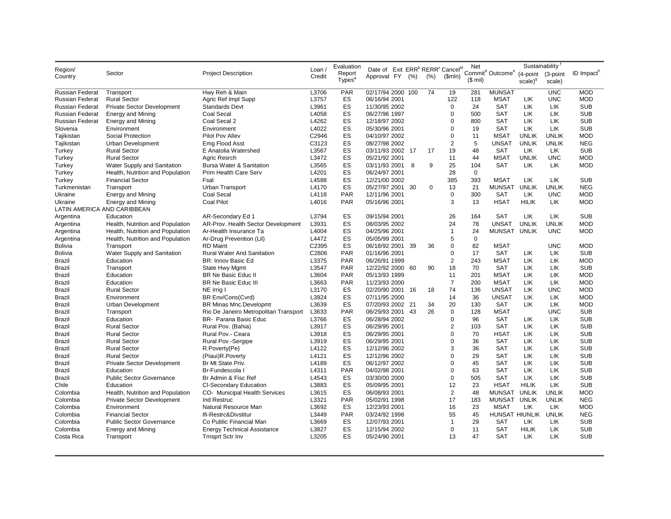|                             |                                       |                                                               |        | Evaluation         |                                                                      |     |             |                | Net               |                                          | Sustainability |              |                        |
|-----------------------------|---------------------------------------|---------------------------------------------------------------|--------|--------------------|----------------------------------------------------------------------|-----|-------------|----------------|-------------------|------------------------------------------|----------------|--------------|------------------------|
| Region/                     | Sector                                | <b>Project Description</b>                                    | Loan/  | Report             | Date of Exit ERR <sup>b</sup> RERR <sup>c</sup> Cancel <sup>ld</sup> |     |             |                |                   | Commit <sup>d</sup> Outcome <sup>e</sup> | (4-point       | (3-point     | ID Impact <sup>h</sup> |
| Country                     |                                       |                                                               | Credit | Types <sup>a</sup> | Approval FY (%)                                                      |     | (%)         | \$mIn)         | $(S \text{ mil})$ |                                          | $scale)^{9}$   | scale)       |                        |
|                             |                                       |                                                               |        |                    |                                                                      |     |             |                |                   |                                          |                |              |                        |
| <b>Russian Federat</b>      | Transport                             | Hwy Reh & Main                                                | L3706  | <b>PAR</b>         | 02/17/94 2000 100                                                    |     | 74          | 19             | 281               | <b>MUNSAT</b>                            |                | <b>UNC</b>   | <b>MOD</b>             |
| <b>Russian Federat</b>      | <b>Rural Sector</b>                   | Agric Ref Impl Supp                                           | L3757  | ES                 | 06/16/94 2001                                                        |     |             | 122            | 118               | <b>MSAT</b>                              | LIK            | <b>UNC</b>   | <b>MOD</b>             |
| <b>Russian Federat</b>      | <b>Private Sector Development</b>     | <b>Standards Devt</b>                                         | L3961  | ES                 | 11/30/95 2002                                                        |     |             | $\Omega$       | 24                | <b>SAT</b>                               | LIK            | LIK          | <b>SUB</b>             |
| Russian Federat             | <b>Energy and Mining</b>              | Coal Secal                                                    | L4058  | ES                 | 06/27/96 1997                                                        |     |             | $\Omega$       | 500               | <b>SAT</b>                               | LIK            | LIK          | <b>SUB</b>             |
| <b>Russian Federat</b>      | <b>Energy and Mining</b>              | Coal Secal 2                                                  | L4262  | ES                 | 12/18/97 2002                                                        |     |             | $\mathbf 0$    | 800               | <b>SAT</b>                               | LIK            | LIK          | <b>SUB</b>             |
| Slovenia                    | Environment                           | Environment                                                   | L4022  | ES                 | 05/30/96 2001                                                        |     |             | $\mathbf 0$    | 19                | <b>SAT</b>                               | LIK            | LIK          | <b>SUB</b>             |
| Tajikistan                  | Social Protection                     | Pilot Pov Allev                                               | C2946  | ES                 | 04/10/97 2002                                                        |     |             | $\pmb{0}$      | 11                | <b>MSAT</b>                              | <b>UNLIK</b>   | <b>UNLIK</b> | <b>MOD</b>             |
| Tajikistan                  | Urban Development                     | Emg Flood Asst                                                | C3123  | ES                 | 08/27/98 2002                                                        |     |             | $\overline{2}$ | 5                 | <b>UNSAT</b>                             | <b>UNLIK</b>   | <b>UNLIK</b> | <b>NEG</b>             |
| Turkey                      | <b>Rural Sector</b>                   | E Anatolia Watershed                                          | L3567  | ES                 | 03/11/93 2002 17                                                     |     | 17          | 19             | 48                | <b>SAT</b>                               | <b>LIK</b>     | LIK          | <b>SUB</b>             |
| Turkey                      | <b>Rural Sector</b>                   | Agric Resrch                                                  | L3472  | ES                 | 05/21/92 2001                                                        |     |             | 11             | 44                | <b>MSAT</b>                              | <b>UNLIK</b>   | <b>UNC</b>   | <b>MOD</b>             |
| Turkey                      | Water Supply and Sanitation           | Bursa Water & Sanitation                                      | L3565  | ES                 | 03/11/93 2001                                                        | 8   | 9           | 25             | 104               | <b>SAT</b>                               | LIK            | <b>LIK</b>   | <b>MOD</b>             |
| Turkey                      | Health, Nutrition and Population      | Prim Health Care Serv                                         | L4201  | ES                 | 06/24/97 2001                                                        |     |             | 28             | $\mathbf 0$       |                                          |                |              |                        |
| Turkey                      | <b>Financial Sector</b>               | Fsal                                                          | L4588  | ES                 | 12/21/00 2002                                                        |     |             | 385            | 393               | <b>MSAT</b>                              | LIK            | LIK          | <b>SUB</b>             |
| Turkmenistan                | Transport                             | Urban Transport                                               | L4170  | ES                 | 05/27/97 2001                                                        | -30 | $\mathbf 0$ | 13             | 21                | <b>MUNSAT</b>                            | <b>UNLIK</b>   | <b>UNLIK</b> | <b>NEG</b>             |
| Ukraine                     | <b>Energy and Mining</b>              | Coal Secal                                                    | L4118  | <b>PAR</b>         | 12/11/96 2001                                                        |     |             | $\pmb{0}$      | 300               | <b>SAT</b>                               | LIK            | <b>UNC</b>   | <b>MOD</b>             |
| Ukraine                     | <b>Energy and Mining</b>              | <b>Coal Pilot</b>                                             | L4016  | <b>PAR</b>         | 05/16/96 2001                                                        |     |             | 3              | 13                | <b>HSAT</b>                              | <b>HILIK</b>   | LIK.         | <b>MOD</b>             |
| LATIN AMERICA AND CARIBBEAN |                                       |                                                               |        |                    |                                                                      |     |             |                |                   |                                          |                |              |                        |
| Argentina                   | Education                             | AR-Secondary Ed 1                                             | L3794  | ES                 | 09/15/94 2001                                                        |     |             | 26             | 164               | <b>SAT</b>                               | LIK            | LIK          | <b>SUB</b>             |
| Argentina                   | Health, Nutrition and Population      | AR-Prov. Health Sector Development                            | L3931  | ES                 | 08/03/95 2002                                                        |     |             | 24             | 78                | <b>UNSAT</b>                             | <b>UNLIK</b>   | <b>UNLIK</b> | <b>MOD</b>             |
| Argentina                   | Health, Nutrition and Population      | Ar-Health Insurance Ta                                        | L4004  | ES                 | 04/25/96 2001                                                        |     |             | $\mathbf{1}$   | 24                | <b>MUNSAT</b>                            | <b>UNLIK</b>   | <b>UNC</b>   | <b>MOD</b>             |
| Argentina                   | Health, Nutrition and Population      | Ar-Drug Prevention (Lil)                                      | L4472  | ES                 | 05/05/99 2001                                                        |     |             | 5              | $\mathbf 0$       |                                          |                |              |                        |
| Bolivia                     | Transport                             | <b>RD Maint</b>                                               | C2395  | ES                 | 06/18/92 2001                                                        | -39 | 36          | $\pmb{0}$      | 82                | <b>MSAT</b>                              |                | <b>UNC</b>   | <b>MOD</b>             |
| <b>Bolivia</b>              | Water Supply and Sanitation           | <b>Rural Water And Sanitation</b>                             | C2806  | <b>PAR</b>         | 01/16/96 2001                                                        |     |             | $\mathbf 0$    | 17                | <b>SAT</b>                               | LIK            | LIK          | <b>SUB</b>             |
| Brazil                      | Education                             | BR: Innov Basic Ed                                            | L3375  | <b>PAR</b>         | 06/26/91 1999                                                        |     |             | $\overline{2}$ | 243               | <b>MSAT</b>                              | LIK            | LIK          | <b>MOD</b>             |
| Brazil                      | Transport                             | State Hwy Mgmt                                                | L3547  | <b>PAR</b>         | 12/22/92 2000 60                                                     |     | 90          | 18             | 70                | <b>SAT</b>                               | LIK            | LIK          | <b>SUB</b>             |
| Brazil                      | Education                             | BR Ne Basic Educ II                                           | L3604  | <b>PAR</b>         | 05/13/93 1999                                                        |     |             | 11             | 201               | MSAT                                     | LIK            | LIK          | <b>MOD</b>             |
| <b>Brazil</b>               | Education                             | BR Ne Basic Educ III                                          | L3663  | <b>PAR</b>         | 11/23/93 2000                                                        |     |             | $\overline{7}$ | 200               | <b>MSAT</b>                              | LIK            | LIK          | <b>MOD</b>             |
| <b>Brazil</b>               | <b>Rural Sector</b>                   | NE Irrig I                                                    | L3170  | ES                 | 02/20/90 2001                                                        | 16  | 18          | 74             | 136               | <b>UNSAT</b>                             | LIK            | <b>UNC</b>   | <b>MOD</b>             |
| Brazil                      | Environment                           | BR Env/Cons(Cvrd)                                             | L3924  | ES                 | 07/11/95 2000                                                        |     |             | 14             | 36                | <b>UNSAT</b>                             | LIK            | LIK          | <b>MOD</b>             |
| Brazil                      | Urban Development                     | BR Minas Mnc.Developmt                                        | L3639  | ES                 | 07/20/93 2002 21                                                     |     | 34          | 20             | 130               | <b>SAT</b>                               | LIK            | LIK          | <b>MOD</b>             |
| Brazil                      | Transport                             | Rio De Janeiro Metropolitan Transport                         | L3633  | <b>PAR</b>         | 06/29/93 2001                                                        | -43 | 26          | $\mathbf 0$    | 128               | <b>MSAT</b>                              |                | <b>UNC</b>   | <b>SUB</b>             |
| Brazil                      | Education                             | BR- Parana Basic Educ                                         | L3766  | ES                 | 06/28/94 2002                                                        |     |             | $\mathbf 0$    | 96                | SAT                                      | LIK            | LIK          | <b>SUB</b>             |
| Brazil                      | <b>Rural Sector</b>                   | Rural Pov. (Bahia)                                            | L3917  | ES                 | 06/29/95 2001                                                        |     |             | $\overline{2}$ | 103               | SAT                                      | LIK            | LIK          | <b>SUB</b>             |
| <b>Brazil</b>               | <b>Rural Sector</b>                   | Rural Pov.- Ceara                                             | L3918  | ES                 | 06/29/95 2001                                                        |     |             | $\mathbf 0$    | 70                | <b>HSAT</b>                              | LIK            | LIK          | <b>SUB</b>             |
| <b>Brazil</b>               | <b>Rural Sector</b>                   | Rural Pov.-Sergipe                                            | L3919  | ES                 | 06/29/95 2001                                                        |     |             | $\mathbf 0$    | 36                | <b>SAT</b>                               | LIK            | LIK          | <b>SUB</b>             |
| Brazil                      | <b>Rural Sector</b>                   | R.Poverty(Pe)                                                 | L4122  | ES                 | 12/12/96 2002                                                        |     |             | 3              | 36                | <b>SAT</b>                               | LIK            | <b>LIK</b>   | <b>SUB</b>             |
| Brazil                      | <b>Rural Sector</b>                   | (Piaui)R.Poverty                                              | L4121  | ES                 | 12/12/96 2002                                                        |     |             | $\Omega$       | 29                | <b>SAT</b>                               | LIK            | LIK          | <b>SUB</b>             |
| Brazil                      | <b>Private Sector Development</b>     | Br Mt State Priv.                                             | L4189  | ES                 | 06/12/97 2002                                                        |     |             | $\Omega$       | 45                | <b>SAT</b>                               | LIK            | LIK          | <b>SUB</b>             |
| Brazil                      | Education                             | Br-Fundescola I                                               | L4311  | <b>PAR</b>         | 04/02/98 2001                                                        |     |             | $\pmb{0}$      | 63                | <b>SAT</b>                               | LIK            | LIK          | <b>SUB</b>             |
| <b>Brazil</b>               | <b>Public Sector Governance</b>       | Br Admin & Fisc Ref                                           | L4543  | ES                 | 03/30/00 2000                                                        |     |             | $\mathbf 0$    | 505               | <b>SAT</b>                               | LIK            | LIK          | <b>SUB</b>             |
| Chile                       | Education                             | <b>CI-Secondary Education</b>                                 | L3883  | ES                 | 05/09/95 2001                                                        |     |             | 12             | 23                | <b>HSAT</b>                              | <b>HILIK</b>   | LIK          | <b>SUB</b>             |
| Colombia                    | Health, Nutrition and Population      | CO- Municipal Health Services                                 | L3615  | ES                 | 06/08/93 2001                                                        |     |             | $\overline{2}$ | 48                | <b>MUNSAT</b>                            | <b>UNLIK</b>   | <b>UNLIK</b> | <b>MOD</b>             |
| Colombia                    | Private Sector Development            | Ind Restruc                                                   | L3321  | <b>PAR</b>         | 05/02/91 1998                                                        |     |             | 17             | 183               | <b>MUNSAT</b>                            | <b>UNLIK</b>   | <b>UNLIK</b> | <b>NEG</b>             |
| Colombia                    | Environment                           | Natural Resource Man                                          | L3692  | ES                 | 12/23/93 2001                                                        |     |             | 16             | 23                | <b>MSAT</b>                              | LIK            | LIK          | <b>MOD</b>             |
| Colombia                    | <b>Financial Sector</b>               | Ifi-Restrc&Divstitur                                          | L3449  | <b>PAR</b>         | 03/24/92 1998                                                        |     |             | 55             | 45                | HUNSAT HIUNLIK                           |                | <b>UNLIK</b> | <b>NEG</b>             |
| Colombia                    | <b>Public Sector Governance</b>       | Co Public Financial Man                                       | L3669  | ES                 | 12/07/93 2001                                                        |     |             | $\mathbf{1}$   | 29                | <b>SAT</b>                               | LIK            | LIK          | <b>SUB</b>             |
|                             |                                       |                                                               | L3827  | ES                 |                                                                      |     |             | $\mathbf 0$    | 11                | <b>SAT</b>                               | <b>HILIK</b>   | LIK          | <b>SUB</b>             |
| Colombia<br>Costa Rica      | <b>Energy and Mining</b><br>Transport | <b>Energy Technical Assistance</b><br><b>Trnsprt Sctr Inv</b> | L3205  | ES                 | 12/15/94 2002<br>05/24/90 2001                                       |     |             | 13             | 47                | <b>SAT</b>                               | <b>LIK</b>     | LIK          | <b>SUB</b>             |
|                             |                                       |                                                               |        |                    |                                                                      |     |             |                |                   |                                          |                |              |                        |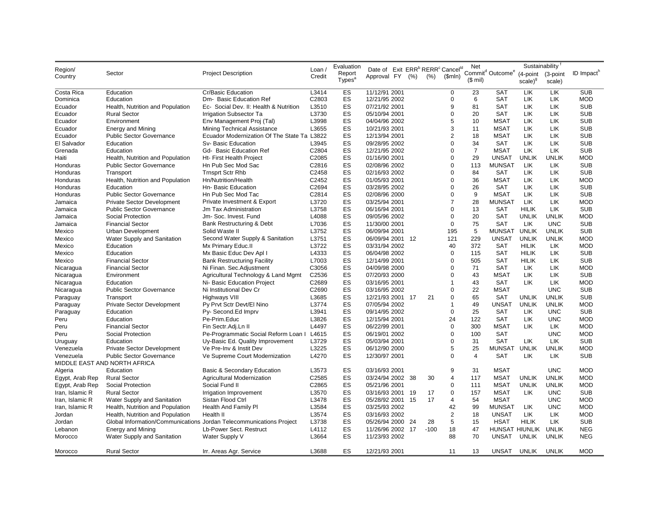|                        |                                   |                                                                     |                  | Evaluation         |                                                                                     |      |        |                               | Net            |                                          | Sustainability |              |                          |
|------------------------|-----------------------------------|---------------------------------------------------------------------|------------------|--------------------|-------------------------------------------------------------------------------------|------|--------|-------------------------------|----------------|------------------------------------------|----------------|--------------|--------------------------|
| Region/                | Sector                            | <b>Project Description</b>                                          | Loan /<br>Credit | Report             | Date of Exit ERR <sup>b</sup> RERR <sup>c</sup> Cancel <sup>ld</sup><br>Approval FY | (% ) |        |                               |                | Commit <sup>d</sup> Outcome <sup>e</sup> | (4-point       | (3-point     | ID Impact <sup>h</sup>   |
| Country                |                                   |                                                                     |                  | Types <sup>a</sup> |                                                                                     |      | (%)    | \$mIn)                        | $$$ mil)       |                                          | $scale)^{9}$   | scale)       |                          |
|                        |                                   |                                                                     |                  | ES                 |                                                                                     |      |        |                               |                |                                          | LIK            |              |                          |
| Costa Rica<br>Dominica | Education<br>Education            | Cr/Basic Education<br>Dm- Basic Education Ref                       | L3414<br>C2803   | ES                 | 11/12/91 2001<br>12/21/95 2002                                                      |      |        | $\mathbf 0$<br>$\mathbf 0$    | 23<br>6        | <b>SAT</b><br><b>SAT</b>                 | LIK            | LIK<br>LIK   | <b>SUB</b><br><b>MOD</b> |
| Ecuador                | Health, Nutrition and Population  | Ec- Social Dev. II: Health & Nutrition                              | L3510            | ES                 | 07/21/92 2001                                                                       |      |        | 9                             | 81             | <b>SAT</b>                               | LIK            | LIK          | <b>SUB</b>               |
| Ecuador                | <b>Rural Sector</b>               | <b>Irrigation Subsector Ta</b>                                      | L3730            | ES                 | 05/10/94 2001                                                                       |      |        | $\overline{0}$                | 20             | <b>SAT</b>                               | LIK            | LIK          | <b>SUB</b>               |
|                        | Environment                       |                                                                     | L3998            | ES                 | 04/04/96 2002                                                                       |      |        | 5                             | 10             | <b>MSAT</b>                              | <b>LIK</b>     | LIK.         | <b>SUB</b>               |
| Ecuador                |                                   | Env Management Proj (Tal)                                           | L3655            | ES                 |                                                                                     |      |        | 3                             |                | <b>MSAT</b>                              | LIK            |              | <b>SUB</b>               |
| Ecuador                | <b>Energy and Mining</b>          | Mining Technical Assistance                                         |                  |                    | 10/21/93 2001                                                                       |      |        |                               | 11             |                                          |                | <b>LIK</b>   |                          |
| Ecuador                | <b>Public Sector Governance</b>   | Ecuador Modernization Of The State Ta L3822                         |                  | ES<br>ES           | 12/13/94 2001                                                                       |      |        | $\overline{2}$<br>$\mathbf 0$ | 18<br>34       | <b>MSAT</b>                              | LIK<br>LIK     | <b>LIK</b>   | <b>SUB</b><br><b>SUB</b> |
| El Salvador            | Education                         | Sv- Basic Education                                                 | L3945            |                    | 09/28/95 2002                                                                       |      |        |                               |                | <b>SAT</b>                               |                | LIK          |                          |
| Grenada                | Education                         | Gd- Basic Education Ref                                             | C2804            | ES                 | 12/21/95 2002                                                                       |      |        | $\overline{0}$                | $\overline{7}$ | <b>MSAT</b>                              | LIK            | LIK          | <b>SUB</b>               |
| Haiti                  | Health, Nutrition and Population  | Ht- First Health Project                                            | C2085            | ES                 | 01/16/90 2001                                                                       |      |        | $\overline{0}$                | 29             | <b>UNSAT</b>                             | <b>UNLIK</b>   | <b>UNLIK</b> | <b>MOD</b>               |
| Honduras               | <b>Public Sector Governance</b>   | Hn Pub Sec Mod Sac                                                  | C2816            | ES                 | 02/08/96 2002                                                                       |      |        | $\mathbf 0$                   | 113            | <b>MUNSAT</b>                            | LIK            | LIK          | <b>SUB</b>               |
| Honduras               | Transport                         | <b>Trnsprt Sctr Rhb</b>                                             | C2458            | ES                 | 02/16/93 2002                                                                       |      |        | $\mathbf 0$                   | 84             | SAT                                      | LIK            | LIK          | <b>SUB</b>               |
| Honduras               | Health, Nutrition and Population  | Hn/Nutrition/Health                                                 | C2452            | ES                 | 01/05/93 2001                                                                       |      |        | $\overline{0}$                | 36             | <b>MSAT</b>                              | LIK            | LIK          | <b>MOD</b>               |
| Honduras               | Education                         | Hn- Basic Education                                                 | C2694            | ES                 | 03/28/95 2002                                                                       |      |        | $\Omega$                      | 26             | <b>SAT</b>                               | LIK            | LIK          | <b>SUB</b>               |
| Honduras               | <b>Public Sector Governance</b>   | Hn Pub Sec Mod Tac                                                  | C2814            | ES                 | 02/08/96 2000                                                                       |      |        | $\overline{0}$                | 9              | <b>MSAT</b>                              | LIK            | LIK          | <b>SUB</b>               |
| Jamaica                | <b>Private Sector Development</b> | Private Investment & Export                                         | L3720            | ES                 | 03/25/94 2001                                                                       |      |        | $\overline{7}$                | 28             | <b>MUNSAT</b>                            | LIK            | <b>LIK</b>   | <b>MOD</b>               |
| Jamaica                | <b>Public Sector Governance</b>   | Jm Tax Administration                                               | L3758            | ES                 | 06/16/94 2001                                                                       |      |        | $\overline{0}$                | 13             | <b>SAT</b>                               | <b>HILIK</b>   | <b>LIK</b>   | <b>SUB</b>               |
| Jamaica                | Social Protection                 | Jm- Soc. Invest. Fund                                               | L4088            | ES                 | 09/05/96 2002                                                                       |      |        | $\Omega$                      | 20             | SAT                                      | <b>UNLIK</b>   | <b>UNLIK</b> | <b>MOD</b>               |
| Jamaica                | <b>Financial Sector</b>           | Bank Restructuring & Debt                                           | L7036            | ES                 | 11/30/00 2001                                                                       |      |        | $\mathbf 0$                   | 75             | <b>SAT</b>                               | LIK            | <b>UNC</b>   | <b>SUB</b>               |
| Mexico                 | Urban Development                 | Solid Waste II                                                      | L3752            | ES                 | 06/09/94 2001                                                                       |      |        | 195                           | 5              | <b>MUNSAT</b>                            | <b>UNLIK</b>   | <b>UNLIK</b> | <b>SUB</b>               |
| Mexico                 | Water Supply and Sanitation       | Second Water Supply & Sanitation                                    | L3751            | ES                 | 06/09/94 2001                                                                       | 12   |        | 121                           | 229            | <b>UNSAT</b>                             | <b>UNLIK</b>   | <b>UNLIK</b> | <b>MOD</b>               |
| Mexico                 | Education                         | Mx Primary Educ.II                                                  | L3722            | ES                 | 03/31/94 2002                                                                       |      |        | 40                            | 372            | <b>SAT</b>                               | <b>HILIK</b>   | LIK          | <b>MOD</b>               |
| Mexico                 | Education                         | Mx Basic Educ Dev Apl I                                             | L4333            | ES                 | 06/04/98 2002                                                                       |      |        | $\mathbf 0$                   | 115            | <b>SAT</b>                               | <b>HILIK</b>   | LIK.         | <b>SUB</b>               |
| Mexico                 | <b>Financial Sector</b>           | <b>Bank Restructuring Facility</b>                                  | L7003            | ES                 | 12/14/99 2001                                                                       |      |        | $\mathbf 0$                   | 505            | <b>SAT</b>                               | <b>HILIK</b>   | LIK          | <b>SUB</b>               |
| Nicaragua              | <b>Financial Sector</b>           | Ni Finan. Sec.Adjustment                                            | C3056            | ES                 | 04/09/98 2000                                                                       |      |        | $\overline{0}$                | 71             | <b>SAT</b>                               | LIK.           | LIK.         | <b>MOD</b>               |
| Nicaragua              | Environment                       | Agricultural Technology & Land Mgmt                                 | C2536            | ES                 | 07/20/93 2000                                                                       |      |        | $\Omega$                      | 43             | <b>MSAT</b>                              | LIK            | LIK          | <b>SUB</b>               |
| Nicaragua              | Education                         | Ni- Basic Education Project                                         | C2689            | ES                 | 03/16/95 2001                                                                       |      |        | $\overline{1}$                | 43             | <b>SAT</b>                               | <b>LIK</b>     | LIK.         | <b>MOD</b>               |
| Nicaragua              | <b>Public Sector Governance</b>   | Ni Institutional Dev Cr                                             | C2690            | ES                 | 03/16/95 2002                                                                       |      |        | $\mathbf 0$                   | 22             | <b>MSAT</b>                              |                | <b>UNC</b>   | <b>SUB</b>               |
| Paraguay               | Transport                         | <b>Highways VIII</b>                                                | L3685            | ES                 | 12/21/93 2001 17                                                                    |      | 21     | $\mathbf 0$                   | 65             | <b>SAT</b>                               | <b>UNLIK</b>   | <b>UNLIK</b> | <b>SUB</b>               |
| Paraguay               | <b>Private Sector Development</b> | Py Prvt Sctr Devt/El Nino                                           | L3774            | ES                 | 07/05/94 2002                                                                       |      |        | $\overline{1}$                | 49             | <b>UNSAT</b>                             | <b>UNLIK</b>   | <b>UNLIK</b> | <b>MOD</b>               |
| Paraguay               | Education                         | Py- Second.Ed Imprv                                                 | L3941            | ES                 | 09/14/95 2002                                                                       |      |        | $\mathbf 0$                   | 25             | <b>SAT</b>                               | LIK            | <b>UNC</b>   | <b>SUB</b>               |
| Peru                   | Education                         | Pe-Prim.Educ                                                        | L3826            | ES                 | 12/15/94 2001                                                                       |      |        | 24                            | 122            | <b>SAT</b>                               | LIK            | <b>UNC</b>   | <b>MOD</b>               |
| Peru                   | <b>Financial Sector</b>           | Fin Sectr.Adj.Ln II                                                 | L4497            | ES                 | 06/22/99 2001                                                                       |      |        | $\mathbf 0$                   | 300            | <b>MSAT</b>                              | LIK            | LIK          | <b>MOD</b>               |
| Peru                   | Social Protection                 | Pe-Programmatic Social Reform Loan I                                | L4615            | ES                 | 06/19/01 2002                                                                       |      |        | $\mathbf 0$                   | 100            | <b>SAT</b>                               |                | <b>UNC</b>   | <b>MOD</b>               |
| Uruguay                | Education                         | Uy-Basic Ed. Quality Improvement                                    | L3729            | ES                 | 05/03/94 2001                                                                       |      |        | $\mathbf 0$                   | 31             | <b>SAT</b>                               | LIK            | LIK          | <b>SUB</b>               |
| Venezuela              | <b>Private Sector Development</b> | Ve Pre-Inv & Instit Dev                                             | L3225            | ES                 | 06/12/90 2000                                                                       |      |        | 5                             | 25             | <b>MUNSAT</b>                            | <b>UNLIK</b>   | <b>UNLIK</b> | <b>MOD</b>               |
| Venezuela              | <b>Public Sector Governance</b>   | Ve Supreme Court Modernization                                      | L4270            | ES                 | 12/30/97 2001                                                                       |      |        | $\Omega$                      | 4              | <b>SAT</b>                               | LIK            | <b>LIK</b>   | <b>SUB</b>               |
|                        | MIDDLE EAST AND NORTH AFRICA      |                                                                     |                  |                    |                                                                                     |      |        |                               |                |                                          |                |              |                          |
| Algeria                | Education                         | <b>Basic &amp; Secondary Education</b>                              | L3573            | ES                 | 03/16/93 2001                                                                       |      |        | 9                             | 31             | <b>MSAT</b>                              |                | <b>UNC</b>   | <b>MOD</b>               |
| Egypt, Arab Rep        | <b>Rural Sector</b>               | Agricultural Modernization                                          | C2585            | ES                 | 03/24/94 2002 38                                                                    |      | 30     | $\overline{4}$                | 117            | <b>MSAT</b>                              | <b>UNLIK</b>   | <b>UNLIK</b> | <b>MOD</b>               |
| Egypt, Arab Rep        | Social Protection                 | Social Fund II                                                      | C2865            | ES                 | 05/21/96 2001                                                                       |      |        | $\mathbf 0$                   | 111            | <b>MSAT</b>                              | <b>UNLIK</b>   | <b>UNLIK</b> | <b>MOD</b>               |
| Iran, Islamic R        | <b>Rural Sector</b>               | Irrigation Improvement                                              | L3570            | ES                 | 03/16/93 2001 19                                                                    |      | 17     | $\mathbf 0$                   | 157            | <b>MSAT</b>                              | <b>LIK</b>     | <b>UNC</b>   | <b>SUB</b>               |
| Iran, Islamic R        | Water Supply and Sanitation       | Sistan Flood Ctrl                                                   | L3478            | ES                 | 05/28/92 2001 15                                                                    |      | 17     | $\overline{4}$                | 54             | <b>MSAT</b>                              |                | <b>UNC</b>   | <b>MOD</b>               |
| Iran, Islamic R        | Health, Nutrition and Population  | Health And Family PI                                                | L3584            | ES                 | 03/25/93 2002                                                                       |      |        | 42                            | 99             | <b>MUNSAT</b>                            | LIK            | <b>UNC</b>   | <b>MOD</b>               |
| Jordan                 | Health, Nutrition and Population  | Health II                                                           | L3574            | ES                 | 03/16/93 2002                                                                       |      |        | $\overline{2}$                | 18             | <b>UNSAT</b>                             | LIK            | <b>LIK</b>   | <b>MOD</b>               |
| Jordan                 |                                   | Global Information/Communications Jordan Telecommunications Project | L3738            | ES                 | 05/26/94 2000 24                                                                    |      | 28     | 5                             | 15             | <b>HSAT</b>                              | <b>HILIK</b>   | <b>LIK</b>   | <b>SUB</b>               |
| Lebanon                | <b>Energy and Mining</b>          | Lb-Power Sect. Restruct                                             | L4112            | ES                 | 11/26/96 2002                                                                       | 17   | $-100$ | 18                            | 47             | HUNSAT HIUNLIK                           |                | <b>UNLIK</b> | <b>NEG</b>               |
| Morocco                | Water Supply and Sanitation       | Water Supply V                                                      | L3664            | ES                 | 11/23/93 2002                                                                       |      |        | 88                            | 70             | <b>UNSAT</b>                             | <b>UNLIK</b>   | <b>UNLIK</b> | <b>NEG</b>               |
|                        |                                   |                                                                     |                  |                    |                                                                                     |      |        |                               |                |                                          |                |              |                          |
| Morocco                | <b>Rural Sector</b>               | Irr. Areas Agr. Service                                             | L3688            | <b>ES</b>          | 12/21/93 2001                                                                       |      |        | 11                            | 13             | UNSAT                                    | UNLIK          | <b>UNLIK</b> | <b>MOD</b>               |